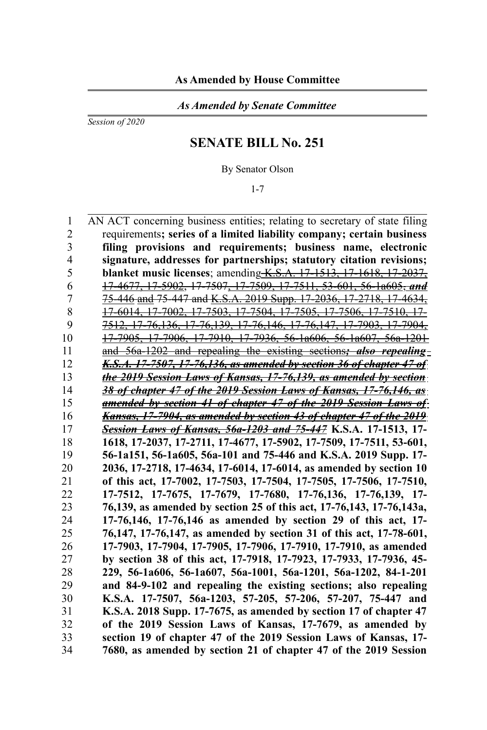## *As Amended by Senate Committee*

*Session of 2020*

## **SENATE BILL No. 251**

By Senator Olson

1-7

AN ACT concerning business entities; relating to secretary of state filing requirements**; series of a limited liability company; certain business filing provisions and requirements; business name, electronic signature, addresses for partnerships; statutory citation revisions; blanket music licenses**; amending K.S.A. 17-1513, 17-1618, 17-2037, 17-4677, 17-5902, 17-7507, 17-7509, 17-7511, 53-601, 56-1a605, *and* 75-446 and 75-447 and K.S.A. 2019 Supp. 17-2036, 17-2718, 17-4634, 17-6014, 17-7002, 17-7503, 17-7504, 17-7505, 17-7506, 17-7510, 17- 7512, 17-76,136, 17-76,139, 17-76,146, 17-76,147, 17-7903, 17-7904, 17-7905, 17-7906, 17-7910, 17-7936, 56-1a606, 56-1a607, 56a-1201 and 56a-1202 and repealing the existing sections; also repealing *K.S.A. 17-7507, 17-76,136, as amended by section 36 of chapter 47 of the 2019 Session Laws of Kansas, 17-76,139, as amended by section 38 of chapter 47 of the 2019 Session Laws of Kansas, 17-76,146, as amended by section 41 of chapter 47 of the 2019 Session Laws of Kansas, 17-7904, as amended by section 43 of chapter 47 of the 2019 Session Laws of Kansas, 56a-1203 and 75-447* **K.S.A. 17-1513, 17- 1618, 17-2037, 17-2711, 17-4677, 17-5902, 17-7509, 17-7511, 53-601, 56-1a151, 56-1a605, 56a-101 and 75-446 and K.S.A. 2019 Supp. 17- 2036, 17-2718, 17-4634, 17-6014, 17-6014, as amended by section 10 of this act, 17-7002, 17-7503, 17-7504, 17-7505, 17-7506, 17-7510, 17-7512, 17-7675, 17-7679, 17-7680, 17-76,136, 17-76,139, 17- 76,139, as amended by section 25 of this act, 17-76,143, 17-76,143a, 17-76,146, 17-76,146 as amended by section 29 of this act, 17- 76,147, 17-76,147, as amended by section 31 of this act, 17-78-601, 17-7903, 17-7904, 17-7905, 17-7906, 17-7910, 17-7910, as amended by section 38 of this act, 17-7918, 17-7923, 17-7933, 17-7936, 45- 229, 56-1a606, 56-1a607, 56a-1001, 56a-1201, 56a-1202, 84-1-201 and 84-9-102 and repealing the existing sections; also repealing K.S.A. 17-7507, 56a-1203, 57-205, 57-206, 57-207, 75-447 and K.S.A. 2018 Supp. 17-7675, as amended by section 17 of chapter 47 of the 2019 Session Laws of Kansas, 17-7679, as amended by section 19 of chapter 47 of the 2019 Session Laws of Kansas, 17- 7680, as amended by section 21 of chapter 47 of the 2019 Session** 1 2 3 4 5 6 7 8 9 10 11 12 13 14 15 16 17 18 19 20 21 22 23 24 25 26 27 28 29 30 31 32 33 34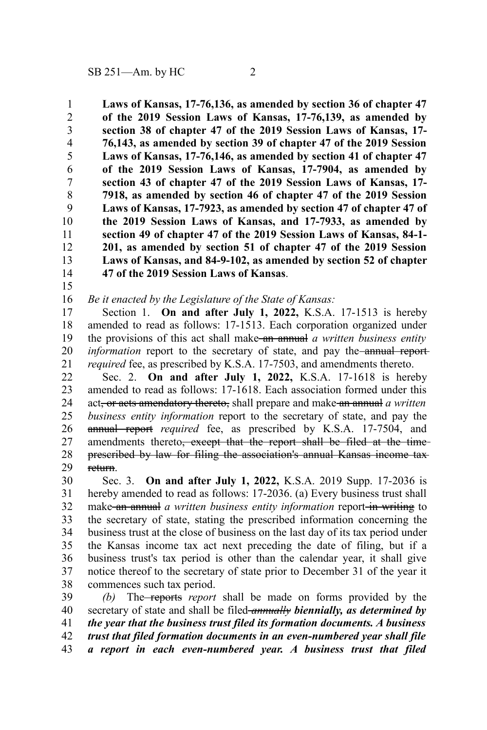**Laws of Kansas, 17-76,136, as amended by section 36 of chapter 47 of the 2019 Session Laws of Kansas, 17-76,139, as amended by section 38 of chapter 47 of the 2019 Session Laws of Kansas, 17- 76,143, as amended by section 39 of chapter 47 of the 2019 Session Laws of Kansas, 17-76,146, as amended by section 41 of chapter 47 of the 2019 Session Laws of Kansas, 17-7904, as amended by section 43 of chapter 47 of the 2019 Session Laws of Kansas, 17- 7918, as amended by section 46 of chapter 47 of the 2019 Session Laws of Kansas, 17-7923, as amended by section 47 of chapter 47 of the 2019 Session Laws of Kansas, and 17-7933, as amended by section 49 of chapter 47 of the 2019 Session Laws of Kansas, 84-1- 201, as amended by section 51 of chapter 47 of the 2019 Session Laws of Kansas, and 84-9-102, as amended by section 52 of chapter 47 of the 2019 Session Laws of Kansas**. 1 2 3 4 5 6 7 8 9 10 11 12 13 14

15

*Be it enacted by the Legislature of the State of Kansas:* 16

Section 1. **On and after July 1, 2022,** K.S.A. 17-1513 is hereby amended to read as follows: 17-1513. Each corporation organized under the provisions of this act shall make an annual *a written business entity information* report to the secretary of state, and pay the annual report*required* fee, as prescribed by K.S.A. 17-7503, and amendments thereto. 17 18 19 20 21

Sec. 2. **On and after July 1, 2022,** K.S.A. 17-1618 is hereby amended to read as follows: 17-1618. Each association formed under this act, or acts amendatory thereto, shall prepare and make an annual *a written business entity information* report to the secretary of state, and pay the annual report *required* fee, as prescribed by K.S.A. 17-7504, and amendments thereto<del>, except that the report shall be filed at the time</del> prescribed by law for filing the association's annual Kansas income tax return. 22 23 24 25 26 27 28 29

Sec. 3. **On and after July 1, 2022,** K.S.A. 2019 Supp. 17-2036 is hereby amended to read as follows: 17-2036. (a) Every business trust shall make an annual *a written business entity information* report-in writing to the secretary of state, stating the prescribed information concerning the business trust at the close of business on the last day of its tax period under the Kansas income tax act next preceding the date of filing, but if a business trust's tax period is other than the calendar year, it shall give notice thereof to the secretary of state prior to December 31 of the year it commences such tax period. 30 31 32 33 34 35 36 37 38

*(b)* The reports *report* shall be made on forms provided by the secretary of state and shall be filed *annually biennially, as determined by the year that the business trust filed its formation documents. A business trust that filed formation documents in an even-numbered year shall file a report in each even-numbered year. A business trust that filed* 39 40 41 42 43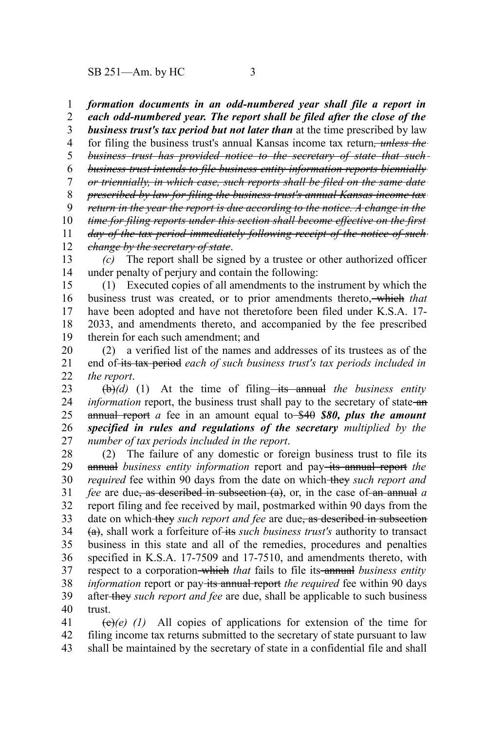*formation documents in an odd-numbered year shall file a report in each odd-numbered year. The report shall be filed after the close of the business trust's tax period but not later than* at the time prescribed by law 1 2 3

for filing the business trust's annual Kansas income tax return*, unless the* 4

*business trust has provided notice to the secretary of state that such* 5

*business trust intends to file business entity information reports biennially* 6 7

*or triennially, in which case, such reports shall be filed on the same date* 8

*prescribed by law for filing the business trust's annual Kansas income tax return in the year the report is due according to the notice. A change in the* 9

*time for filing reports under this section shall become effective on the first* 10

*day of the tax period immediately following receipt of the notice of such* 11

*change by the secretary of state*. 12

*(c)* The report shall be signed by a trustee or other authorized officer under penalty of perjury and contain the following: 13 14

(1) Executed copies of all amendments to the instrument by which the business trust was created, or to prior amendments thereto, which *that* have been adopted and have not theretofore been filed under K.S.A. 17- 2033, and amendments thereto, and accompanied by the fee prescribed therein for each such amendment; and 15 16 17 18 19

(2) a verified list of the names and addresses of its trustees as of the end of its tax period each of such business trust's tax periods included in *the report*. 20 21 22

 $(\theta)(d)$  (1) At the time of filing—its annual the business entity *information* report, the business trust shall pay to the secretary of state-anannual report *a* fee in an amount equal to \$40 *\$80, plus the amount specified in rules and regulations of the secretary multiplied by the number of tax periods included in the report*. 23 24 25 26 27

(2) The failure of any domestic or foreign business trust to file its annual *business entity information* report and pay its annual report *the required* fee within 90 days from the date on which-they such report and *fee* are due, as described in subsection (a), or, in the case of an annual *a* report filing and fee received by mail, postmarked within 90 days from the date on which they *such report and fee* are due, as described in subsection (a), shall work a forfeiture of its *such business trust's* authority to transact business in this state and all of the remedies, procedures and penalties specified in K.S.A. 17-7509 and 17-7510, and amendments thereto, with respect to a corporation-which *that* fails to file its-annual *business entity information* report or pay-its annual report the required fee within 90 days after they *such report and fee* are due, shall be applicable to such business trust. 28 29 30 31 32 33 34 35 36 37 38 39 40

 $\left(\frac{e}{e}\right)(e)$  (1) All copies of applications for extension of the time for filing income tax returns submitted to the secretary of state pursuant to law shall be maintained by the secretary of state in a confidential file and shall 41 42 43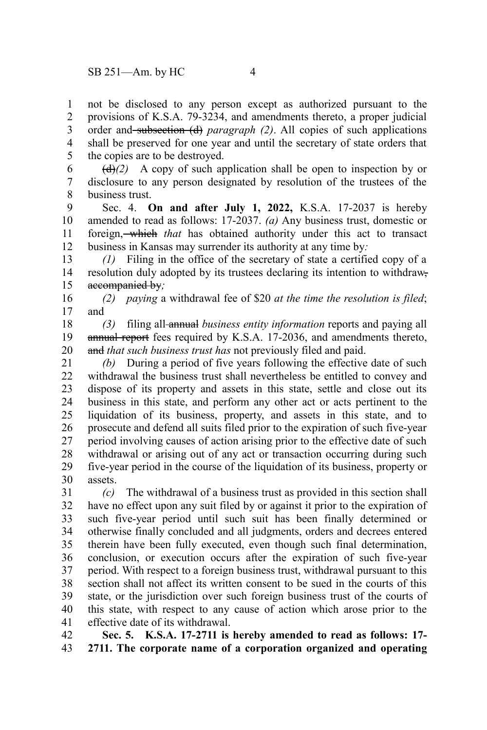not be disclosed to any person except as authorized pursuant to the provisions of K.S.A. 79-3234, and amendments thereto, a proper judicial order and subsection (d) *paragraph (2)*. All copies of such applications shall be preserved for one year and until the secretary of state orders that the copies are to be destroyed. 1 2 3 4 5

 $\left(\frac{d}{dx}\right)$  A copy of such application shall be open to inspection by or disclosure to any person designated by resolution of the trustees of the business trust. 6 7 8

Sec. 4. **On and after July 1, 2022,** K.S.A. 17-2037 is hereby amended to read as follows: 17-2037. *(a)* Any business trust, domestic or foreign, which *that* has obtained authority under this act to transact business in Kansas may surrender its authority at any time by*:* 9 10 11 12

*(1)* Filing in the office of the secretary of state a certified copy of a resolution duly adopted by its trustees declaring its intention to withdraw, accompanied by*;* 13 14 15

*(2) paying* a withdrawal fee of \$20 *at the time the resolution is filed*; and 16 17

*(3)* filing all annual *business entity information* reports and paying all annual report fees required by K.S.A. 17-2036, and amendments thereto, and *that such business trust has* not previously filed and paid. 18 19 20

*(b)* During a period of five years following the effective date of such withdrawal the business trust shall nevertheless be entitled to convey and dispose of its property and assets in this state, settle and close out its business in this state, and perform any other act or acts pertinent to the liquidation of its business, property, and assets in this state, and to prosecute and defend all suits filed prior to the expiration of such five-year period involving causes of action arising prior to the effective date of such withdrawal or arising out of any act or transaction occurring during such five-year period in the course of the liquidation of its business, property or assets. 21 22 23 24 25 26 27 28 29 30

*(c)* The withdrawal of a business trust as provided in this section shall have no effect upon any suit filed by or against it prior to the expiration of such five-year period until such suit has been finally determined or otherwise finally concluded and all judgments, orders and decrees entered therein have been fully executed, even though such final determination, conclusion, or execution occurs after the expiration of such five-year period. With respect to a foreign business trust, withdrawal pursuant to this section shall not affect its written consent to be sued in the courts of this state, or the jurisdiction over such foreign business trust of the courts of this state, with respect to any cause of action which arose prior to the effective date of its withdrawal. 31 32 33 34 35 36 37 38 39 40 41

**Sec. 5. K.S.A. 17-2711 is hereby amended to read as follows: 17- 2711. The corporate name of a corporation organized and operating** 42 43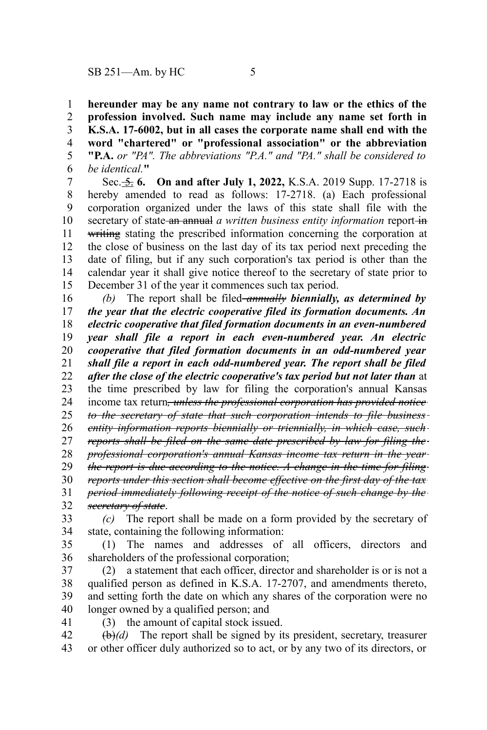**hereunder may be any name not contrary to law or the ethics of the profession involved. Such name may include any name set forth in K.S.A. 17-6002, but in all cases the corporate name shall end with the word "chartered" or "professional association" or the abbreviation "P.A.** *or "PA". The abbreviations "P.A." and "PA." shall be considered to be identical.***"** 1 2 3 4 5 6

Sec. 5. **6.** On and after July 1, 2022, K.S.A. 2019 Supp. 17-2718 is hereby amended to read as follows: 17-2718. (a) Each professional corporation organized under the laws of this state shall file with the secretary of state an annual *a written business entity information* report-in writing stating the prescribed information concerning the corporation at the close of business on the last day of its tax period next preceding the date of filing, but if any such corporation's tax period is other than the calendar year it shall give notice thereof to the secretary of state prior to December 31 of the year it commences such tax period. 7 8 9 10 11 12 13 14 15

*(b)* The report shall be filed-annually **biennially**, as determined by *the year that the electric cooperative filed its formation documents. An electric cooperative that filed formation documents in an even-numbered year shall file a report in each even-numbered year. An electric cooperative that filed formation documents in an odd-numbered year shall file a report in each odd-numbered year. The report shall be filed after the close of the electric cooperative's tax period but not later than* at the time prescribed by law for filing the corporation's annual Kansas income tax return*, unless the professional corporation has provided notice to the secretary of state that such corporation intends to file business entity information reports biennially or triennially, in which case, such reports shall be filed on the same date prescribed by law for filing the professional corporation's annual Kansas income tax return in the year the report is due according to the notice. A change in the time for filing reports under this section shall become effective on the first day of the tax period immediately following receipt of the notice of such change by the secretary of state*. 16 17 18 19 20 21 22 23 24 25 26 27 28 29 30 31 32

*(c)* The report shall be made on a form provided by the secretary of state, containing the following information: 33 34

(1) The names and addresses of all officers, directors and shareholders of the professional corporation; 35 36

(2) a statement that each officer, director and shareholder is or is not a qualified person as defined in K.S.A. 17-2707, and amendments thereto, and setting forth the date on which any shares of the corporation were no longer owned by a qualified person; and 37 38 39 40

41

(3) the amount of capital stock issued.

(b)*(d)* The report shall be signed by its president, secretary, treasurer or other officer duly authorized so to act, or by any two of its directors, or 42 43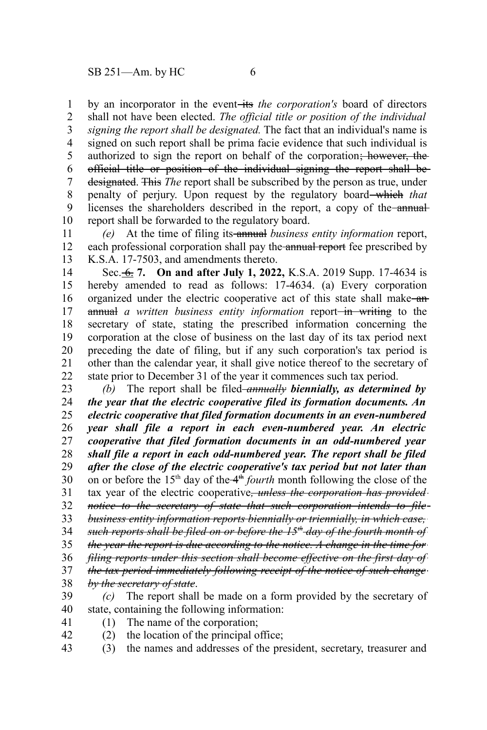by an incorporator in the event<del>-its</del> the corporation's board of directors shall not have been elected. *The official title or position of the individual signing the report shall be designated.* The fact that an individual's name is signed on such report shall be prima facie evidence that such individual is authorized to sign the report on behalf of the corporation; however, the official title or position of the individual signing the report shall be designated. This *The* report shall be subscribed by the person as true, under penalty of perjury. Upon request by the regulatory board which *that* licenses the shareholders described in the report, a copy of the annualreport shall be forwarded to the regulatory board. 1 2 3 4 5 6 7 8 9 10

*(e)* At the time of filing its annual *business entity information* report, each professional corporation shall pay the annual report fee prescribed by K.S.A. 17-7503, and amendments thereto. 11 12 13

Sec. 6. 7. On and after July 1, 2022, K.S.A. 2019 Supp. 17-4634 is hereby amended to read as follows: 17-4634. (a) Every corporation organized under the electric cooperative act of this state shall make-anannual *a written business entity information* report—in writing to the secretary of state, stating the prescribed information concerning the corporation at the close of business on the last day of its tax period next preceding the date of filing, but if any such corporation's tax period is other than the calendar year, it shall give notice thereof to the secretary of state prior to December 31 of the year it commences such tax period. 14 15 16 17 18 19 20 21 22

*(b)* The report shall be filed-annually **biennially**, as determined by *the year that the electric cooperative filed its formation documents. An electric cooperative that filed formation documents in an even-numbered year shall file a report in each even-numbered year. An electric cooperative that filed formation documents in an odd-numbered year shall file a report in each odd-numbered year. The report shall be filed after the close of the electric cooperative's tax period but not later than* on or before the  $15<sup>th</sup>$  day of the  $4<sup>th</sup>$  *fourth* month following the close of the tax year of the electric cooperative*, unless the corporation has provided notice to the secretary of state that such corporation intends to file business entity information reports biennially or triennially, in which case, such reports shall be filed on or before the 15th day of the fourth month of the year the report is due according to the notice. A change in the time for filing reports under this section shall become effective on the first day of the tax period immediately following receipt of the notice of such change by the secretary of state*. *(c)* The report shall be made on a form provided by the secretary of 23 24 25 26 27 28 29 30 31 32 33 34 35 36 37 38 39

- state, containing the following information: 40
- (1) The name of the corporation; 41
- (2) the location of the principal office; 42
- (3) the names and addresses of the president, secretary, treasurer and 43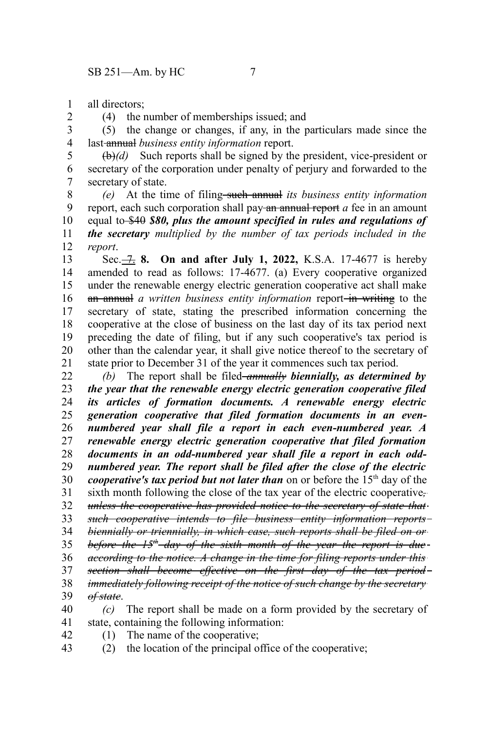all directors; 1

2

(4) the number of memberships issued; and

(5) the change or changes, if any, in the particulars made since the last annual *business entity information* report. 3 4

(b)*(d)* Such reports shall be signed by the president, vice-president or secretary of the corporation under penalty of perjury and forwarded to the secretary of state. 5 6 7

*(e)* At the time of filing such annual *its business entity information* report, each such corporation shall pay an annual report *a* fee in an amount equal to \$40 \$80, plus the amount specified in rules and regulations of *the secretary multiplied by the number of tax periods included in the report*. 8 9 10 11 12

Sec. 7. 8. On and after July 1, 2022, K.S.A. 17-4677 is hereby amended to read as follows: 17-4677. (a) Every cooperative organized under the renewable energy electric generation cooperative act shall make an annual *a written business entity information* report-in writing to the secretary of state, stating the prescribed information concerning the cooperative at the close of business on the last day of its tax period next preceding the date of filing, but if any such cooperative's tax period is other than the calendar year, it shall give notice thereof to the secretary of state prior to December 31 of the year it commences such tax period. 13 14 15 16 17 18 19 20 21

*(b)* The report shall be filed-annually **biennially**, as determined by *the year that the renewable energy electric generation cooperative filed its articles of formation documents. A renewable energy electric generation cooperative that filed formation documents in an evennumbered year shall file a report in each even-numbered year. A renewable energy electric generation cooperative that filed formation documents in an odd-numbered year shall file a report in each oddnumbered year. The report shall be filed after the close of the electric cooperative's tax period but not later than* on or before the 15<sup>th</sup> day of the sixth month following the close of the tax year of the electric cooperative*, unless the cooperative has provided notice to the secretary of state that such cooperative intends to file business entity information reports biennially or triennially, in which case, such reports shall be filed on or before the 15th day of the sixth month of the year the report is due according to the notice. A change in the time for filing reports under this* 22 23 24 25 26 27 28 29 30 31 32 33 34 35 36 37

*section shall become effective on the first day of the tax period immediately following receipt of the notice of such change by the secretary* 38

*of state*. 39

*(c)* The report shall be made on a form provided by the secretary of state, containing the following information: 40 41

- (1) The name of the cooperative; 42
- (2) the location of the principal office of the cooperative; 43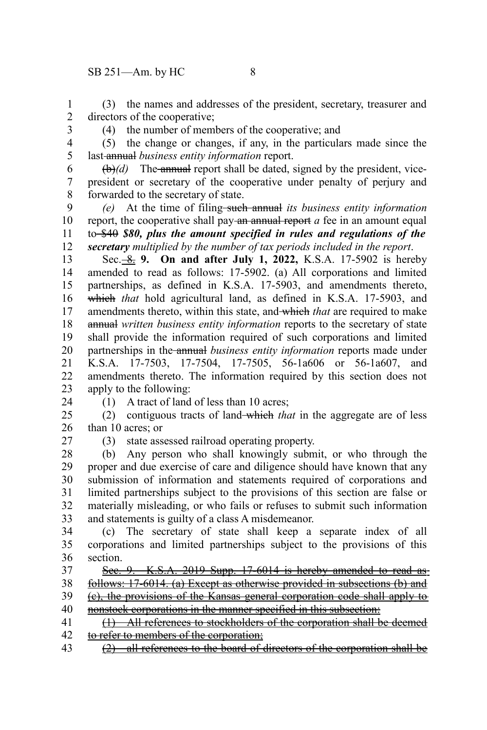(3) the names and addresses of the president, secretary, treasurer and directors of the cooperative; 1 2

3

(4) the number of members of the cooperative; and

(5) the change or changes, if any, in the particulars made since the last annual *business entity information* report. 4 5

 $(\theta)$ *(d)* The annual report shall be dated, signed by the president, vicepresident or secretary of the cooperative under penalty of perjury and forwarded to the secretary of state. 6 7 8

*(e)* At the time of filing such annual *its business entity information* report, the cooperative shall pay-an annual report *a* fee in an amount equal to \$40 *\$80, plus the amount specified in rules and regulations of the secretary multiplied by the number of tax periods included in the report*. 9 10 11 12

Sec. 8. **9. On and after July 1, 2022,** K.S.A. 17-5902 is hereby amended to read as follows: 17-5902. (a) All corporations and limited partnerships, as defined in K.S.A. 17-5903, and amendments thereto, which *that* hold agricultural land, as defined in K.S.A. 17-5903, and amendments thereto, within this state, and which *that* are required to make annual *written business entity information* reports to the secretary of state shall provide the information required of such corporations and limited partnerships in the annual *business entity information* reports made under K.S.A. 17-7503, 17-7504, 17-7505, 56-1a606 or 56-1a607, and amendments thereto. The information required by this section does not apply to the following: 13 14 15 16 17 18 19 20 21 22 23

24

(1) A tract of land of less than 10 acres;

(2) contiguous tracts of land which *that* in the aggregate are of less than 10 acres; or  $25$ 26

27

(3) state assessed railroad operating property.

(b) Any person who shall knowingly submit, or who through the proper and due exercise of care and diligence should have known that any submission of information and statements required of corporations and limited partnerships subject to the provisions of this section are false or materially misleading, or who fails or refuses to submit such information and statements is guilty of a class A misdemeanor. 28 29 30 31 32 33

(c) The secretary of state shall keep a separate index of all corporations and limited partnerships subject to the provisions of this section. 34 35 36

Sec. 9. K.S.A. 2019 Supp. 17-6014 is hereby amended to read asfollows: 17-6014. (a) Except as otherwise provided in subsections (b) and (c), the provisions of the Kansas general corporation code shall apply to nonstock corporations in the manner specified in this subsection: 37 38 39 40

(1) All references to stockholders of the corporation shall be deemed to refer to members of the corporation; 41 42

(2) all references to the board of directors of the corporation shall be 43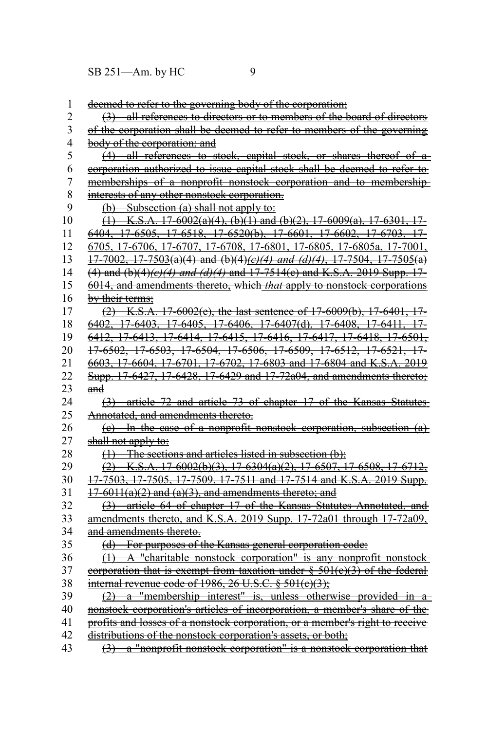| 1              | deemed to refer to the governing body of the corporation;                                                                                                                                                                                                                                                                                                                                                                                               |
|----------------|---------------------------------------------------------------------------------------------------------------------------------------------------------------------------------------------------------------------------------------------------------------------------------------------------------------------------------------------------------------------------------------------------------------------------------------------------------|
| $\overline{2}$ | (3) all references to directors or to members of the board of directors                                                                                                                                                                                                                                                                                                                                                                                 |
| 3              | of the corporation shall be deemed to refer to members of the governing                                                                                                                                                                                                                                                                                                                                                                                 |
| 4              | body of the corporation; and                                                                                                                                                                                                                                                                                                                                                                                                                            |
| 5              | (4) all references to stock, capital stock, or shares thereof of a-                                                                                                                                                                                                                                                                                                                                                                                     |
| 6              | corporation authorized to issue capital stock shall be deemed to refer to                                                                                                                                                                                                                                                                                                                                                                               |
| 7              | memberships of a nonprofit nonstock corporation and to membership-                                                                                                                                                                                                                                                                                                                                                                                      |
| 8              | interests of any other nonstock corporation.                                                                                                                                                                                                                                                                                                                                                                                                            |
| 9              | (b) Subsection (a) shall not apply to:                                                                                                                                                                                                                                                                                                                                                                                                                  |
| 10             | $\frac{(1) \quad K.S.A. \quad 17-6002(a)(4), \quad (b)(1) \quad \text{and} \quad (b)(2), \quad 17-6009(a), \quad 17-6301, \quad 17-6009(a), \quad (c)(1) \quad \text{and} \quad (d)(2) \quad \text{and} \quad (e)(2) \quad \text{and} \quad (f)(2) \quad \text{and} \quad (g)(2) \quad \text{and} \quad (h)(2) \quad \text{and} \quad (i)(2) \quad \text{and} \quad (j)(2) \quad \text{and} \quad (k)(2) \quad \text{and} \quad (l)(2) \quad \text{and$ |
| 11             | $6404, 17-6505, 17-6518, 17-6520(b), 17-6601, 17-6602, 17-6703, 17-$                                                                                                                                                                                                                                                                                                                                                                                    |
| 12             | 6705, 17-6706, 17-6707, 17-6708, 17-6801, 17-6805, 17-6805a, 17-7001,                                                                                                                                                                                                                                                                                                                                                                                   |
| 13             | $\frac{17-7002}{17-7503(a)(4)}$ and $(b)(4)(c)(4)$ and $(d)(4)$ , 17-7504, 17-7505(a)                                                                                                                                                                                                                                                                                                                                                                   |
| 14             | (4) and (b)(4) $(c)/(4)$ and (d)(4) and 17-7514(c) and K.S.A. 2019 Supp. 17-                                                                                                                                                                                                                                                                                                                                                                            |
| 15             | 6014, and amendments thereto, which that apply to nonstock corporations                                                                                                                                                                                                                                                                                                                                                                                 |
| 16             | by their terms:                                                                                                                                                                                                                                                                                                                                                                                                                                         |
| 17             | (2) K.S.A. 17-6002(e), the last sentence of 17-6009(b), 17-6401, 17-                                                                                                                                                                                                                                                                                                                                                                                    |
| 18             | $6402, 17-6403, 17-6405, 17-6406, 17-6407(d), 17-6408, 17-6411, 17-$                                                                                                                                                                                                                                                                                                                                                                                    |
| 19             | 6412, 17-6413, 17-6414, 17-6415, 17-6416, 17-6417, 17-6418, 17-6501,                                                                                                                                                                                                                                                                                                                                                                                    |
| 20             | 17-6502, 17-6503, 17-6504, 17-6506, 17-6509, 17-6512, 17-6521, 17-                                                                                                                                                                                                                                                                                                                                                                                      |
| 21             | 6603, 17-6604, 17-6701, 17-6702, 17-6803 and 17-6804 and K.S.A. 2019                                                                                                                                                                                                                                                                                                                                                                                    |
| 22             | Supp. 17-6427, 17-6428, 17-6429 and 17-72a04, and amendments thereto;                                                                                                                                                                                                                                                                                                                                                                                   |
| 23             | and                                                                                                                                                                                                                                                                                                                                                                                                                                                     |
| 24             | (3) article 72 and article 73 of chapter 17 of the Kansas Statutes                                                                                                                                                                                                                                                                                                                                                                                      |
| 25             | Annotated, and amendments thereto.                                                                                                                                                                                                                                                                                                                                                                                                                      |
| 26             | (e) In the case of a nonprofit nonstock corporation, subsection (a)                                                                                                                                                                                                                                                                                                                                                                                     |
| 27             | shall not apply to:                                                                                                                                                                                                                                                                                                                                                                                                                                     |
| 28             | (1) The sections and articles listed in subsection (b);                                                                                                                                                                                                                                                                                                                                                                                                 |
| 29             | $\frac{(2) \quad K.S.A. 17-6002(b)(3), 17-6304(a)(2), 17-6507, 17-6508, 17-6712, 17-6902(b)(3), 17-6304(c)(3), 17-6508, 17-6712)}{2}$                                                                                                                                                                                                                                                                                                                   |
| 30             | 17-7503, 17-7505, 17-7509, 17-7511 and 17-7514 and K.S.A. 2019 Supp.                                                                                                                                                                                                                                                                                                                                                                                    |
| 31             | $17-6011(a)(2)$ and $(a)(3)$ , and amendments thereto; and                                                                                                                                                                                                                                                                                                                                                                                              |
| 32             | (3) article 64 of chapter 17 of the Kansas Statutes Annotated, and                                                                                                                                                                                                                                                                                                                                                                                      |
| 33             | amendments thereto, and K.S.A. 2019 Supp. 17-72a01 through 17-72a09,                                                                                                                                                                                                                                                                                                                                                                                    |
| 34             | and amendments thereto.                                                                                                                                                                                                                                                                                                                                                                                                                                 |
| 35             | (d) For purposes of the Kansas general corporation code:                                                                                                                                                                                                                                                                                                                                                                                                |
| 36             | (1) A "charitable nonstock corporation" is any nonprofit nonstock                                                                                                                                                                                                                                                                                                                                                                                       |
| 37             | corporation that is exempt from taxation under $§$ 501(e)(3) of the federal                                                                                                                                                                                                                                                                                                                                                                             |
| 38             | internal revenue code of 1986, 26 U.S.C. § 501(e)(3);                                                                                                                                                                                                                                                                                                                                                                                                   |
| 39             | (2) a "membership interest" is, unless otherwise provided in a-                                                                                                                                                                                                                                                                                                                                                                                         |
| 40             | nonstock corporation's articles of incorporation, a member's share of the                                                                                                                                                                                                                                                                                                                                                                               |
| 41             | profits and losses of a nonstock corporation, or a member's right to receive                                                                                                                                                                                                                                                                                                                                                                            |
| 42             | distributions of the nonstock corporation's assets, or both;                                                                                                                                                                                                                                                                                                                                                                                            |
| 43             | (3) a "nonprofit nonstock corporation" is a nonstock corporation that                                                                                                                                                                                                                                                                                                                                                                                   |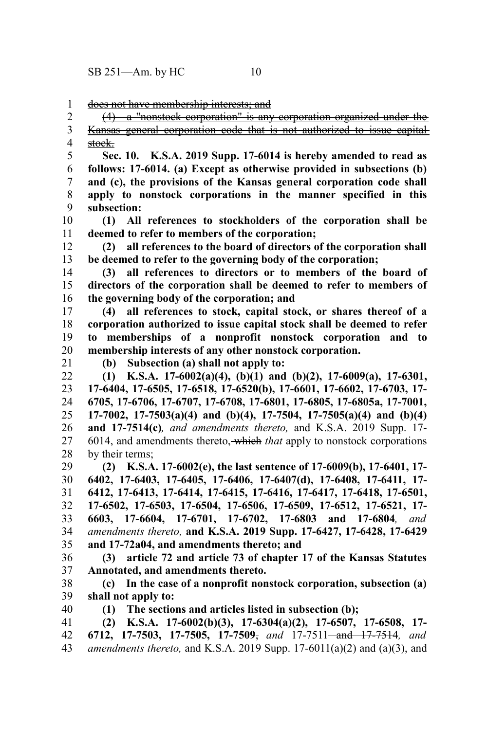does not have membership interests; and 1

(4) a "nonstock corporation" is any corporation organized under the Kansas general corporation code that is not authorized to issue capital stock. 2 3 4

**Sec. 10. K.S.A. 2019 Supp. 17-6014 is hereby amended to read as follows: 17-6014. (a) Except as otherwise provided in subsections (b) and (c), the provisions of the Kansas general corporation code shall apply to nonstock corporations in the manner specified in this subsection:** 5 6 7 8 9

**(1) All references to stockholders of the corporation shall be deemed to refer to members of the corporation;** 10 11

**(2) all references to the board of directors of the corporation shall be deemed to refer to the governing body of the corporation;** 12 13

**(3) all references to directors or to members of the board of directors of the corporation shall be deemed to refer to members of the governing body of the corporation; and** 14 15 16

**(4) all references to stock, capital stock, or shares thereof of a corporation authorized to issue capital stock shall be deemed to refer to memberships of a nonprofit nonstock corporation and to membership interests of any other nonstock corporation.** 17 18 19 20

21

40

**(b) Subsection (a) shall not apply to:**

**(1) K.S.A. 17-6002(a)(4), (b)(1) and (b)(2), 17-6009(a), 17-6301, 17-6404, 17-6505, 17-6518, 17-6520(b), 17-6601, 17-6602, 17-6703, 17- 6705, 17-6706, 17-6707, 17-6708, 17-6801, 17-6805, 17-6805a, 17-7001, 17-7002, 17-7503(a)(4) and (b)(4), 17-7504, 17-7505(a)(4) and (b)(4) and 17-7514(c)***, and amendments thereto,* and K.S.A. 2019 Supp. 17- 6014, and amendments thereto, which *that* apply to nonstock corporations by their terms; 22 23 24 25 26 27 28

**(2) K.S.A. 17-6002(e), the last sentence of 17-6009(b), 17-6401, 17- 6402, 17-6403, 17-6405, 17-6406, 17-6407(d), 17-6408, 17-6411, 17- 6412, 17-6413, 17-6414, 17-6415, 17-6416, 17-6417, 17-6418, 17-6501, 17-6502, 17-6503, 17-6504, 17-6506, 17-6509, 17-6512, 17-6521, 17- 6603, 17-6604, 17-6701, 17-6702, 17-6803 and 17-6804***, and amendments thereto,* **and K.S.A. 2019 Supp. 17-6427, 17-6428, 17-6429 and 17-72a04, and amendments thereto; and** 29 30 31 32 33 34 35

**(3) article 72 and article 73 of chapter 17 of the Kansas Statutes Annotated, and amendments thereto.** 36 37

**(c) In the case of a nonprofit nonstock corporation, subsection (a) shall not apply to:** 38 39

**(1) The sections and articles listed in subsection (b);**

**(2) K.S.A. 17-6002(b)(3), 17-6304(a)(2), 17-6507, 17-6508, 17- 6712, 17-7503, 17-7505, 17-7509**, *and* 17-7511 and 17-7514*, and amendments thereto,* and K.S.A. 2019 Supp. 17-6011(a)(2) and (a)(3), and 41 42 43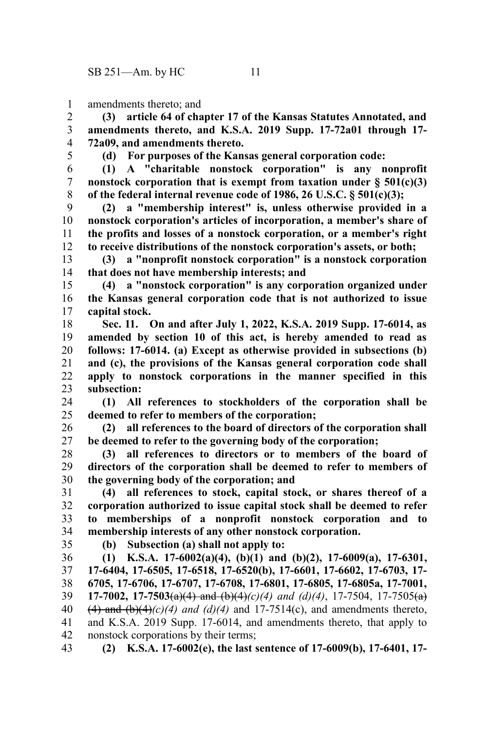amendments thereto; and 1

**(3) article 64 of chapter 17 of the Kansas Statutes Annotated, and amendments thereto, and K.S.A. 2019 Supp. 17-72a01 through 17- 72a09, and amendments thereto.** 2 3 4

5

**(d) For purposes of the Kansas general corporation code:**

**(1) A "charitable nonstock corporation" is any nonprofit** nonstock corporation that is exempt from taxation under  $\S 501(c)(3)$ **of the federal internal revenue code of 1986, 26 U.S.C. § 501(c)(3);** 6 7 8

**(2) a "membership interest" is, unless otherwise provided in a nonstock corporation's articles of incorporation, a member's share of the profits and losses of a nonstock corporation, or a member's right to receive distributions of the nonstock corporation's assets, or both;** 9 10 11 12

**(3) a "nonprofit nonstock corporation" is a nonstock corporation that does not have membership interests; and** 13 14

**(4) a "nonstock corporation" is any corporation organized under the Kansas general corporation code that is not authorized to issue capital stock.** 15 16 17

**Sec. 11. On and after July 1, 2022, K.S.A. 2019 Supp. 17-6014, as amended by section 10 of this act, is hereby amended to read as follows: 17-6014. (a) Except as otherwise provided in subsections (b) and (c), the provisions of the Kansas general corporation code shall apply to nonstock corporations in the manner specified in this subsection:** 18 19 20 21 22 23

**(1) All references to stockholders of the corporation shall be deemed to refer to members of the corporation;** 24 25

**(2) all references to the board of directors of the corporation shall be deemed to refer to the governing body of the corporation;** 26 27

**(3) all references to directors or to members of the board of directors of the corporation shall be deemed to refer to members of the governing body of the corporation; and** 28 29 30

**(4) all references to stock, capital stock, or shares thereof of a corporation authorized to issue capital stock shall be deemed to refer to memberships of a nonprofit nonstock corporation and to membership interests of any other nonstock corporation.** 31 32 33 34

35

**(b) Subsection (a) shall not apply to:**

**(1) K.S.A. 17-6002(a)(4), (b)(1) and (b)(2), 17-6009(a), 17-6301, 17-6404, 17-6505, 17-6518, 17-6520(b), 17-6601, 17-6602, 17-6703, 17- 6705, 17-6706, 17-6707, 17-6708, 17-6801, 17-6805, 17-6805a, 17-7001, 17-7002, 17-7503**(a)(4) and (b)(4)*(c)(4) and (d)(4)*, 17-7504, 17-7505(a)  $(4)$  and  $(b)(4)$ *(c)*(4) and (d)(4) and 17-7514(c), and amendments thereto, and K.S.A. 2019 Supp. 17-6014, and amendments thereto, that apply to nonstock corporations by their terms; 36 37 38 39 40 41 42

**(2) K.S.A. 17-6002(e), the last sentence of 17-6009(b), 17-6401, 17-** 43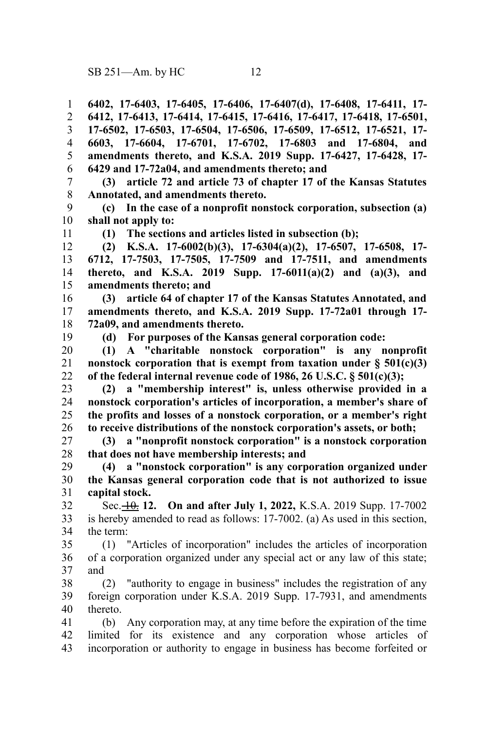**6402, 17-6403, 17-6405, 17-6406, 17-6407(d), 17-6408, 17-6411, 17- 6412, 17-6413, 17-6414, 17-6415, 17-6416, 17-6417, 17-6418, 17-6501, 17-6502, 17-6503, 17-6504, 17-6506, 17-6509, 17-6512, 17-6521, 17- 6603, 17-6604, 17-6701, 17-6702, 17-6803 and 17-6804, and amendments thereto, and K.S.A. 2019 Supp. 17-6427, 17-6428, 17- 6429 and 17-72a04, and amendments thereto; and (3) article 72 and article 73 of chapter 17 of the Kansas Statutes Annotated, and amendments thereto. (c) In the case of a nonprofit nonstock corporation, subsection (a) shall not apply to: (1) The sections and articles listed in subsection (b); (2) K.S.A. 17-6002(b)(3), 17-6304(a)(2), 17-6507, 17-6508, 17- 6712, 17-7503, 17-7505, 17-7509 and 17-7511, and amendments thereto, and K.S.A. 2019 Supp. 17-6011(a)(2) and (a)(3), and amendments thereto; and (3) article 64 of chapter 17 of the Kansas Statutes Annotated, and amendments thereto, and K.S.A. 2019 Supp. 17-72a01 through 17- 72a09, and amendments thereto. (d) For purposes of the Kansas general corporation code: (1) A "charitable nonstock corporation" is any nonprofit nonstock corporation that is exempt from taxation under § 501(c)(3) of the federal internal revenue code of 1986, 26 U.S.C. § 501(c)(3); (2) a "membership interest" is, unless otherwise provided in a nonstock corporation's articles of incorporation, a member's share of the profits and losses of a nonstock corporation, or a member's right to receive distributions of the nonstock corporation's assets, or both; (3) a "nonprofit nonstock corporation" is a nonstock corporation that does not have membership interests; and (4) a "nonstock corporation" is any corporation organized under the Kansas general corporation code that is not authorized to issue capital stock.** Sec. 10. **12.** On and after July 1, 2022, K.S.A. 2019 Supp. 17-7002 is hereby amended to read as follows: 17-7002. (a) As used in this section, the term: "Articles of incorporation" includes the articles of incorporation of a corporation organized under any special act or any law of this state; and (2) "authority to engage in business" includes the registration of any foreign corporation under K.S.A. 2019 Supp. 17-7931, and amendments thereto. (b) Any corporation may, at any time before the expiration of the time limited for its existence and any corporation whose articles of incorporation or authority to engage in business has become forfeited or 1 2 3 4 5 6 7 8 9 10 11 12 13 14 15 16 17 18 19 20 21 22 23 24 25 26 27 28 29 30 31 32 33 34 35 36 37 38 39 40 41 42 43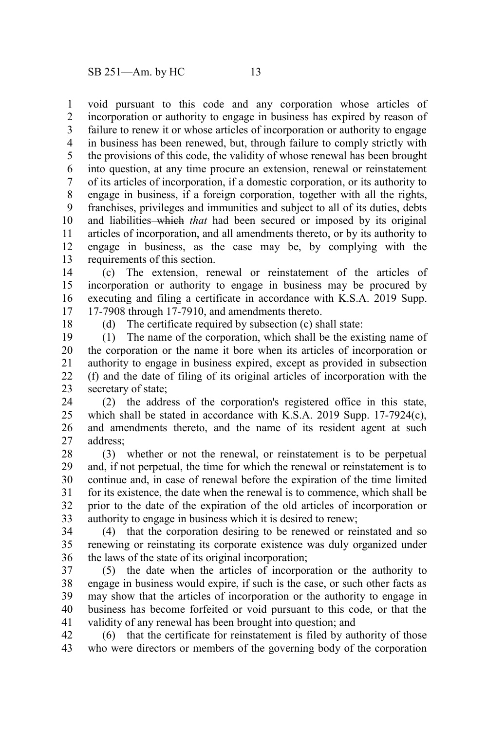void pursuant to this code and any corporation whose articles of incorporation or authority to engage in business has expired by reason of failure to renew it or whose articles of incorporation or authority to engage in business has been renewed, but, through failure to comply strictly with the provisions of this code, the validity of whose renewal has been brought into question, at any time procure an extension, renewal or reinstatement of its articles of incorporation, if a domestic corporation, or its authority to engage in business, if a foreign corporation, together with all the rights, franchises, privileges and immunities and subject to all of its duties, debts and liabilities<del> which</del> that had been secured or imposed by its original articles of incorporation, and all amendments thereto, or by its authority to engage in business, as the case may be, by complying with the requirements of this section. 1 2 3 4 5 6 7 8 9 10 11 12 13

(c) The extension, renewal or reinstatement of the articles of incorporation or authority to engage in business may be procured by executing and filing a certificate in accordance with K.S.A. 2019 Supp. 17-7908 through 17-7910, and amendments thereto. 14 15 16 17

18

(d) The certificate required by subsection (c) shall state:

(1) The name of the corporation, which shall be the existing name of the corporation or the name it bore when its articles of incorporation or authority to engage in business expired, except as provided in subsection (f) and the date of filing of its original articles of incorporation with the secretary of state; 19 20 21 22 23

(2) the address of the corporation's registered office in this state, which shall be stated in accordance with K.S.A. 2019 Supp. 17-7924(c), and amendments thereto, and the name of its resident agent at such address; 24 25 26 27

(3) whether or not the renewal, or reinstatement is to be perpetual and, if not perpetual, the time for which the renewal or reinstatement is to continue and, in case of renewal before the expiration of the time limited for its existence, the date when the renewal is to commence, which shall be prior to the date of the expiration of the old articles of incorporation or authority to engage in business which it is desired to renew; 28 29 30 31 32 33

(4) that the corporation desiring to be renewed or reinstated and so renewing or reinstating its corporate existence was duly organized under the laws of the state of its original incorporation; 34 35 36

(5) the date when the articles of incorporation or the authority to engage in business would expire, if such is the case, or such other facts as may show that the articles of incorporation or the authority to engage in business has become forfeited or void pursuant to this code, or that the validity of any renewal has been brought into question; and 37 38 39 40 41

(6) that the certificate for reinstatement is filed by authority of those who were directors or members of the governing body of the corporation 42 43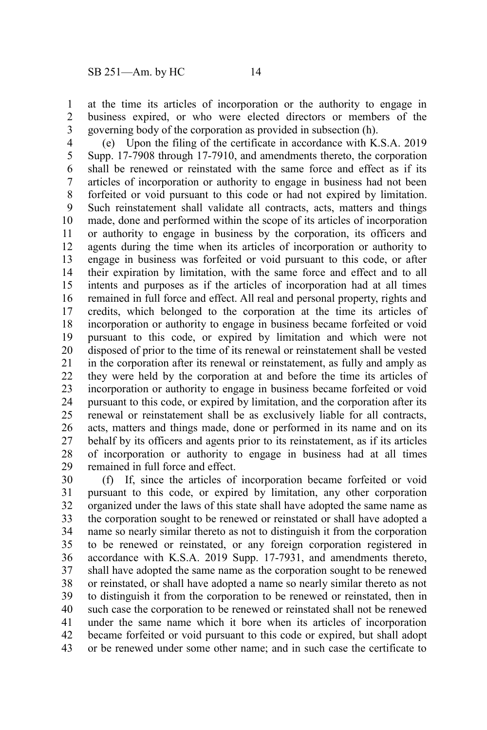at the time its articles of incorporation or the authority to engage in business expired, or who were elected directors or members of the governing body of the corporation as provided in subsection (h). 1 2 3

(e) Upon the filing of the certificate in accordance with K.S.A. 2019 Supp. 17-7908 through 17-7910, and amendments thereto, the corporation shall be renewed or reinstated with the same force and effect as if its articles of incorporation or authority to engage in business had not been forfeited or void pursuant to this code or had not expired by limitation. Such reinstatement shall validate all contracts, acts, matters and things made, done and performed within the scope of its articles of incorporation or authority to engage in business by the corporation, its officers and agents during the time when its articles of incorporation or authority to engage in business was forfeited or void pursuant to this code, or after their expiration by limitation, with the same force and effect and to all intents and purposes as if the articles of incorporation had at all times remained in full force and effect. All real and personal property, rights and credits, which belonged to the corporation at the time its articles of incorporation or authority to engage in business became forfeited or void pursuant to this code, or expired by limitation and which were not disposed of prior to the time of its renewal or reinstatement shall be vested in the corporation after its renewal or reinstatement, as fully and amply as they were held by the corporation at and before the time its articles of incorporation or authority to engage in business became forfeited or void pursuant to this code, or expired by limitation, and the corporation after its renewal or reinstatement shall be as exclusively liable for all contracts, acts, matters and things made, done or performed in its name and on its behalf by its officers and agents prior to its reinstatement, as if its articles of incorporation or authority to engage in business had at all times remained in full force and effect. 4 5 6 7 8 9 10 11 12 13 14 15 16 17 18 19 20 21 22 23 24 25 26 27 28 29

(f) If, since the articles of incorporation became forfeited or void pursuant to this code, or expired by limitation, any other corporation organized under the laws of this state shall have adopted the same name as the corporation sought to be renewed or reinstated or shall have adopted a name so nearly similar thereto as not to distinguish it from the corporation to be renewed or reinstated, or any foreign corporation registered in accordance with K.S.A. 2019 Supp. 17-7931, and amendments thereto, shall have adopted the same name as the corporation sought to be renewed or reinstated, or shall have adopted a name so nearly similar thereto as not to distinguish it from the corporation to be renewed or reinstated, then in such case the corporation to be renewed or reinstated shall not be renewed under the same name which it bore when its articles of incorporation became forfeited or void pursuant to this code or expired, but shall adopt or be renewed under some other name; and in such case the certificate to 30 31 32 33 34 35 36 37 38 39 40 41 42 43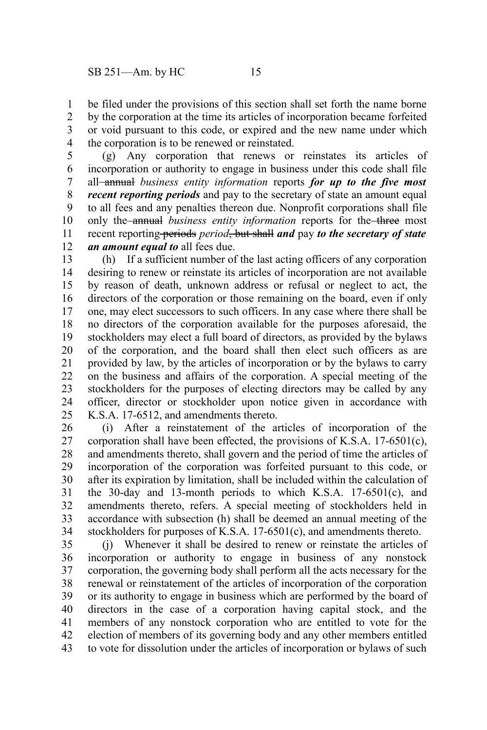be filed under the provisions of this section shall set forth the name borne by the corporation at the time its articles of incorporation became forfeited or void pursuant to this code, or expired and the new name under which the corporation is to be renewed or reinstated. 1 2 3 4

(g) Any corporation that renews or reinstates its articles of incorporation or authority to engage in business under this code shall file all annual *business entity information* reports *for up to the five most recent reporting periods* and pay to the secretary of state an amount equal to all fees and any penalties thereon due. Nonprofit corporations shall file only the annual *business entity information* reports for the three most recent reporting periods *period*, but shall and pay *to the secretary of state an amount equal to* all fees due. 5 6 7 8 9 10 11 12

(h) If a sufficient number of the last acting officers of any corporation desiring to renew or reinstate its articles of incorporation are not available by reason of death, unknown address or refusal or neglect to act, the directors of the corporation or those remaining on the board, even if only one, may elect successors to such officers. In any case where there shall be no directors of the corporation available for the purposes aforesaid, the stockholders may elect a full board of directors, as provided by the bylaws of the corporation, and the board shall then elect such officers as are provided by law, by the articles of incorporation or by the bylaws to carry on the business and affairs of the corporation. A special meeting of the stockholders for the purposes of electing directors may be called by any officer, director or stockholder upon notice given in accordance with K.S.A. 17-6512, and amendments thereto. 13 14 15 16 17 18 19 20 21 22 23 24 25

(i) After a reinstatement of the articles of incorporation of the corporation shall have been effected, the provisions of K.S.A. 17-6501(c), and amendments thereto, shall govern and the period of time the articles of incorporation of the corporation was forfeited pursuant to this code, or after its expiration by limitation, shall be included within the calculation of the 30-day and 13-month periods to which K.S.A. 17-6501(c), and amendments thereto, refers. A special meeting of stockholders held in accordance with subsection (h) shall be deemed an annual meeting of the stockholders for purposes of K.S.A. 17-6501(c), and amendments thereto. 26 27 28 29 30 31 32 33 34

(j) Whenever it shall be desired to renew or reinstate the articles of incorporation or authority to engage in business of any nonstock corporation, the governing body shall perform all the acts necessary for the renewal or reinstatement of the articles of incorporation of the corporation or its authority to engage in business which are performed by the board of directors in the case of a corporation having capital stock, and the members of any nonstock corporation who are entitled to vote for the election of members of its governing body and any other members entitled to vote for dissolution under the articles of incorporation or bylaws of such 35 36 37 38 39 40 41 42 43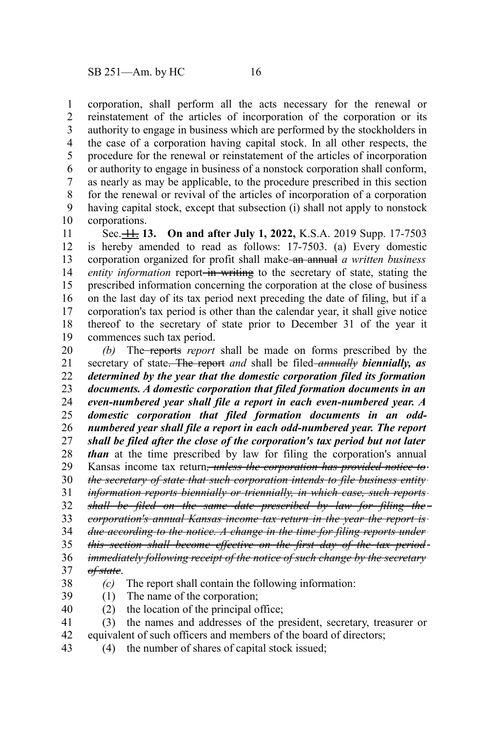corporation, shall perform all the acts necessary for the renewal or reinstatement of the articles of incorporation of the corporation or its authority to engage in business which are performed by the stockholders in the case of a corporation having capital stock. In all other respects, the procedure for the renewal or reinstatement of the articles of incorporation or authority to engage in business of a nonstock corporation shall conform, as nearly as may be applicable, to the procedure prescribed in this section for the renewal or revival of the articles of incorporation of a corporation having capital stock, except that subsection (i) shall not apply to nonstock corporations. 1 2 3 4 5 6 7 8 9 10

Sec. 11. **13.** On and after July 1, 2022, K.S.A. 2019 Supp. 17-7503 is hereby amended to read as follows: 17-7503. (a) Every domestic corporation organized for profit shall make an annual *a written business entity information* report<del> in writing</del> to the secretary of state, stating the prescribed information concerning the corporation at the close of business on the last day of its tax period next preceding the date of filing, but if a corporation's tax period is other than the calendar year, it shall give notice thereof to the secretary of state prior to December 31 of the year it commences such tax period. 11 12 13 14 15 16 17 18 19

*(b)* The reports *report* shall be made on forms prescribed by the secretary of state. The report *and* shall be filed *annually biennially, as determined by the year that the domestic corporation filed its formation documents. A domestic corporation that filed formation documents in an even-numbered year shall file a report in each even-numbered year. A domestic corporation that filed formation documents in an oddnumbered year shall file a report in each odd-numbered year. The report shall be filed after the close of the corporation's tax period but not later than* at the time prescribed by law for filing the corporation's annual Kansas income tax return*, unless the corporation has provided notice to the secretary of state that such corporation intends to file business entity information reports biennially or triennially, in which case, such reports shall be filed on the same date prescribed by law for filing the corporation's annual Kansas income tax return in the year the report is due according to the notice. A change in the time for filing reports under this section shall become effective on the first day of the tax period immediately following receipt of the notice of such change by the secretary of state*. *(c)* The report shall contain the following information: (1) The name of the corporation; 20 21 22 23 24 25 26 27 28 29 30 31 32 33 34 35 36 37 38 39

(2) the location of the principal office;

40

- (3) the names and addresses of the president, secretary, treasurer or equivalent of such officers and members of the board of directors; 41 42
- (4) the number of shares of capital stock issued; 43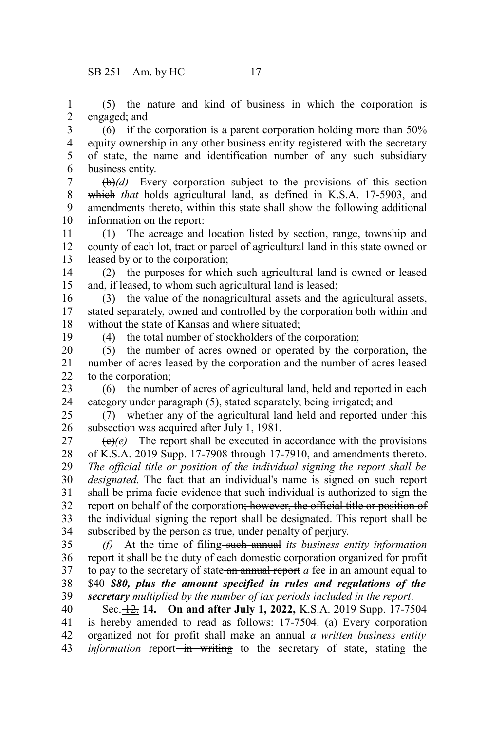(5) the nature and kind of business in which the corporation is engaged; and 1 2

(6) if the corporation is a parent corporation holding more than 50% equity ownership in any other business entity registered with the secretary of state, the name and identification number of any such subsidiary business entity. 3 4 5 6

(b)*(d)* Every corporation subject to the provisions of this section which *that* holds agricultural land, as defined in K.S.A. 17-5903, and amendments thereto, within this state shall show the following additional information on the report: 7 8 9 10

(1) The acreage and location listed by section, range, township and county of each lot, tract or parcel of agricultural land in this state owned or leased by or to the corporation; 11 12 13

(2) the purposes for which such agricultural land is owned or leased and, if leased, to whom such agricultural land is leased; 14 15

(3) the value of the nonagricultural assets and the agricultural assets, stated separately, owned and controlled by the corporation both within and without the state of Kansas and where situated; 16 17 18

19

(4) the total number of stockholders of the corporation;

(5) the number of acres owned or operated by the corporation, the number of acres leased by the corporation and the number of acres leased to the corporation; 20 21 22

(6) the number of acres of agricultural land, held and reported in each category under paragraph (5), stated separately, being irrigated; and 23 24

(7) whether any of the agricultural land held and reported under this subsection was acquired after July 1, 1981. 25 26

 $\left(\frac{e}{e}\right)(e)$  The report shall be executed in accordance with the provisions of K.S.A. 2019 Supp. 17-7908 through 17-7910, and amendments thereto. *The official title or position of the individual signing the report shall be designated.* The fact that an individual's name is signed on such report shall be prima facie evidence that such individual is authorized to sign the report on behalf of the corporation; however, the official title or position of the individual signing the report shall be designated. This report shall be subscribed by the person as true, under penalty of perjury. 27 28 29 30 31 32 33 34

*(f)* At the time of filing such annual *its business entity information* report it shall be the duty of each domestic corporation organized for profit to pay to the secretary of state an annual report *a* fee in an amount equal to \$40 *\$80, plus the amount specified in rules and regulations of the secretary multiplied by the number of tax periods included in the report*. 35 36 37 38 39

Sec. 12. **14. On and after July 1, 2022,** K.S.A. 2019 Supp. 17-7504 is hereby amended to read as follows: 17-7504. (a) Every corporation organized not for profit shall make an annual *a written business entity information* report<del> in writing</del> to the secretary of state, stating the 40 41 42 43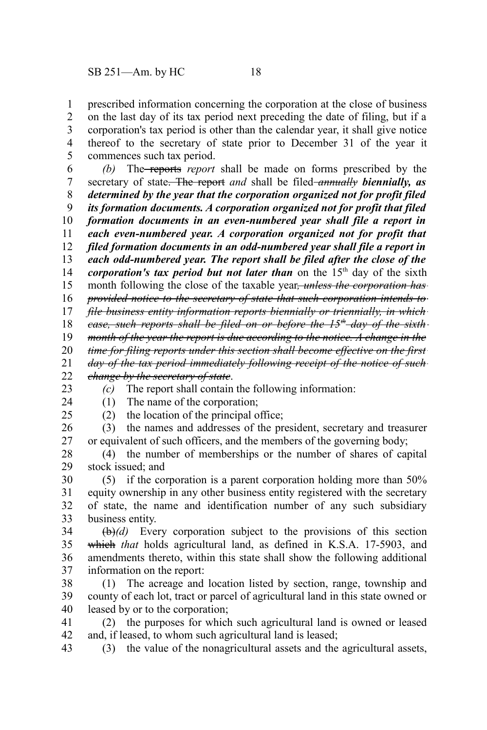prescribed information concerning the corporation at the close of business on the last day of its tax period next preceding the date of filing, but if a corporation's tax period is other than the calendar year, it shall give notice thereof to the secretary of state prior to December 31 of the year it commences such tax period. 1 2 3 4 5

*(b)* The reports *report* shall be made on forms prescribed by the secretary of state. The report *and* shall be filed *annually biennially, as determined by the year that the corporation organized not for profit filed its formation documents. A corporation organized not for profit that filed formation documents in an even-numbered year shall file a report in each even-numbered year. A corporation organized not for profit that filed formation documents in an odd-numbered year shall file a report in each odd-numbered year. The report shall be filed after the close of the corporation's tax period but not later than* on the 15<sup>th</sup> day of the sixth month following the close of the taxable year*, unless the corporation has provided notice to the secretary of state that such corporation intends to file business entity information reports biennially or triennially, in which case, such reports shall be filed on or before the 15th day of the sixth month of the year the report is due according to the notice. A change in the time for filing reports under this section shall become effective on the first day of the tax period immediately following receipt of the notice of such* 6 7 8 9 10 11 12 13 14 15 16 17 18 19 20 21

*change by the secretary of state*. 22

23

*(c)* The report shall contain the following information: (1) The name of the corporation;

24 25

(2) the location of the principal office;

(3) the names and addresses of the president, secretary and treasurer or equivalent of such officers, and the members of the governing body; 26 27

(4) the number of memberships or the number of shares of capital stock issued; and 28 29

(5) if the corporation is a parent corporation holding more than 50% equity ownership in any other business entity registered with the secretary of state, the name and identification number of any such subsidiary business entity. 30 31 32 33

(b)*(d)* Every corporation subject to the provisions of this section which *that* holds agricultural land, as defined in K.S.A. 17-5903, and amendments thereto, within this state shall show the following additional information on the report: 34 35 36 37

(1) The acreage and location listed by section, range, township and county of each lot, tract or parcel of agricultural land in this state owned or leased by or to the corporation; 38 39 40

(2) the purposes for which such agricultural land is owned or leased and, if leased, to whom such agricultural land is leased; 41 42

(3) the value of the nonagricultural assets and the agricultural assets, 43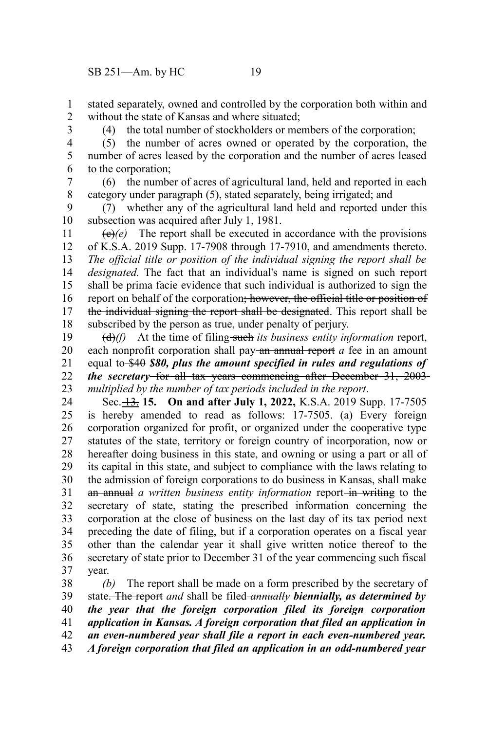stated separately, owned and controlled by the corporation both within and without the state of Kansas and where situated; 1 2

3

(4) the total number of stockholders or members of the corporation;

(5) the number of acres owned or operated by the corporation, the number of acres leased by the corporation and the number of acres leased to the corporation; 4 5 6

(6) the number of acres of agricultural land, held and reported in each category under paragraph (5), stated separately, being irrigated; and 7 8

(7) whether any of the agricultural land held and reported under this subsection was acquired after July 1, 1981. 9 10

 $\langle e \rangle$ (e) The report shall be executed in accordance with the provisions of K.S.A. 2019 Supp. 17-7908 through 17-7910, and amendments thereto. *The official title or position of the individual signing the report shall be designated.* The fact that an individual's name is signed on such report shall be prima facie evidence that such individual is authorized to sign the report on behalf of the corporation; however, the official title or position of the individual signing the report shall be designated. This report shall be subscribed by the person as true, under penalty of perjury. 11 12 13 14 15 16 17 18

(d)*(f)* At the time of filing such *its business entity information* report, each nonprofit corporation shall pay-an annual report *a* fee in an amount equal to \$40 *\$80, plus the amount specified in rules and regulations of the secretary* for all tax years commencing after December 31, 2003 *multiplied by the number of tax periods included in the report*. 19 20 21 22 23

Sec. 13. **15. On and after July 1, 2022,** K.S.A. 2019 Supp. 17-7505 is hereby amended to read as follows: 17-7505. (a) Every foreign corporation organized for profit, or organized under the cooperative type statutes of the state, territory or foreign country of incorporation, now or hereafter doing business in this state, and owning or using a part or all of its capital in this state, and subject to compliance with the laws relating to the admission of foreign corporations to do business in Kansas, shall make an annual *a written business entity information* report-in writing to the secretary of state, stating the prescribed information concerning the corporation at the close of business on the last day of its tax period next preceding the date of filing, but if a corporation operates on a fiscal year other than the calendar year it shall give written notice thereof to the secretary of state prior to December 31 of the year commencing such fiscal year. 24 25 26 27 28 29 30 31 32 33 34 35 36 37

*(b)* The report shall be made on a form prescribed by the secretary of state. The report *and* shall be filed *annually biennially, as determined by the year that the foreign corporation filed its foreign corporation application in Kansas. A foreign corporation that filed an application in an even-numbered year shall file a report in each even-numbered year. A foreign corporation that filed an application in an odd-numbered year* 38 39 40 41 42 43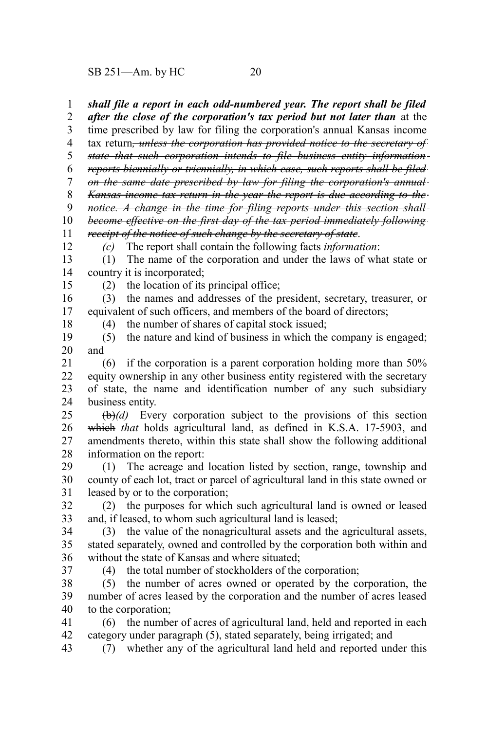*shall file a report in each odd-numbered year. The report shall be filed* 1

*after the close of the corporation's tax period but not later than* at the 2

time prescribed by law for filing the corporation's annual Kansas income tax return*, unless the corporation has provided notice to the secretary of* 3 4

*state that such corporation intends to file business entity information* 5

*reports biennially or triennially, in which case, such reports shall be filed* 6

*on the same date prescribed by law for filing the corporation's annual* 7

*Kansas income tax return in the year the report is due according to the* 8

*notice. A change in the time for filing reports under this section shall* 9

*become effective on the first day of the tax period immediately following receipt of the notice of such change by the secretary of state*. 10 11

12

*(c)* The report shall contain the following facts *information*:

(1) The name of the corporation and under the laws of what state or country it is incorporated; 13 14

15

(2) the location of its principal office;

(3) the names and addresses of the president, secretary, treasurer, or equivalent of such officers, and members of the board of directors; 16 17 18

(4) the number of shares of capital stock issued;

(5) the nature and kind of business in which the company is engaged; and 19 20

(6) if the corporation is a parent corporation holding more than 50% equity ownership in any other business entity registered with the secretary of state, the name and identification number of any such subsidiary business entity. 21 22 23 24

(b)*(d)* Every corporation subject to the provisions of this section which *that* holds agricultural land, as defined in K.S.A. 17-5903, and amendments thereto, within this state shall show the following additional information on the report: 25 26 27 28

(1) The acreage and location listed by section, range, township and county of each lot, tract or parcel of agricultural land in this state owned or leased by or to the corporation; 29 30 31

(2) the purposes for which such agricultural land is owned or leased and, if leased, to whom such agricultural land is leased; 32 33

(3) the value of the nonagricultural assets and the agricultural assets, stated separately, owned and controlled by the corporation both within and without the state of Kansas and where situated; 34 35 36

37

(4) the total number of stockholders of the corporation;

(5) the number of acres owned or operated by the corporation, the number of acres leased by the corporation and the number of acres leased to the corporation; 38 39 40

(6) the number of acres of agricultural land, held and reported in each category under paragraph (5), stated separately, being irrigated; and 41 42

(7) whether any of the agricultural land held and reported under this 43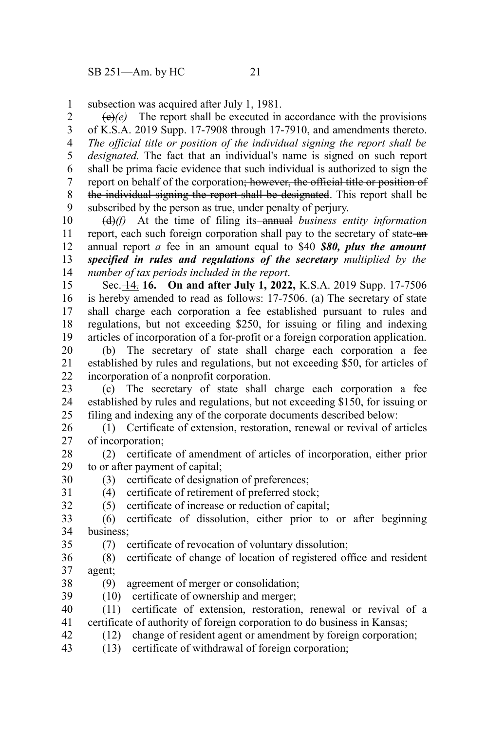subsection was acquired after July 1, 1981. 1

 $\left(\frac{e}{e}\right)(e)$  The report shall be executed in accordance with the provisions of K.S.A. 2019 Supp. 17-7908 through 17-7910, and amendments thereto. *The official title or position of the individual signing the report shall be designated.* The fact that an individual's name is signed on such report shall be prima facie evidence that such individual is authorized to sign the report on behalf of the corporation; however, the official title or position of the individual signing the report shall be designated. This report shall be subscribed by the person as true, under penalty of perjury. 2 3 4 5 6 7 8 9

(d)*(f)* At the time of filing its annual *business entity information* report, each such foreign corporation shall pay to the secretary of state and annual report *a* fee in an amount equal to \$40 *\$80, plus the amount specified in rules and regulations of the secretary multiplied by the number of tax periods included in the report*. 10 11 12 13 14

Sec.  $\frac{14}{16}$  16. On and after July 1, 2022, K.S.A. 2019 Supp. 17-7506 is hereby amended to read as follows: 17-7506. (a) The secretary of state shall charge each corporation a fee established pursuant to rules and regulations, but not exceeding \$250, for issuing or filing and indexing articles of incorporation of a for-profit or a foreign corporation application. 15 16 17 18 19

(b) The secretary of state shall charge each corporation a fee established by rules and regulations, but not exceeding \$50, for articles of incorporation of a nonprofit corporation. 20 21 22

(c) The secretary of state shall charge each corporation a fee established by rules and regulations, but not exceeding \$150, for issuing or filing and indexing any of the corporate documents described below: 23 24 25

(1) Certificate of extension, restoration, renewal or revival of articles of incorporation; 26 27

(2) certificate of amendment of articles of incorporation, either prior to or after payment of capital; 28 29

(3) certificate of designation of preferences; 30

31 32

35

- (4) certificate of retirement of preferred stock;
- (5) certificate of increase or reduction of capital;

(6) certificate of dissolution, either prior to or after beginning business; 33 34

- (7) certificate of revocation of voluntary dissolution;
- (8) certificate of change of location of registered office and resident agent; 36 37
- (9) agreement of merger or consolidation; 38
- (10) certificate of ownership and merger; 39
- $(11)$  certificate of extension, restoration, renewal or revival of a certificate of authority of foreign corporation to do business in Kansas; 40 41
- (12) change of resident agent or amendment by foreign corporation; 42
- (13) certificate of withdrawal of foreign corporation; 43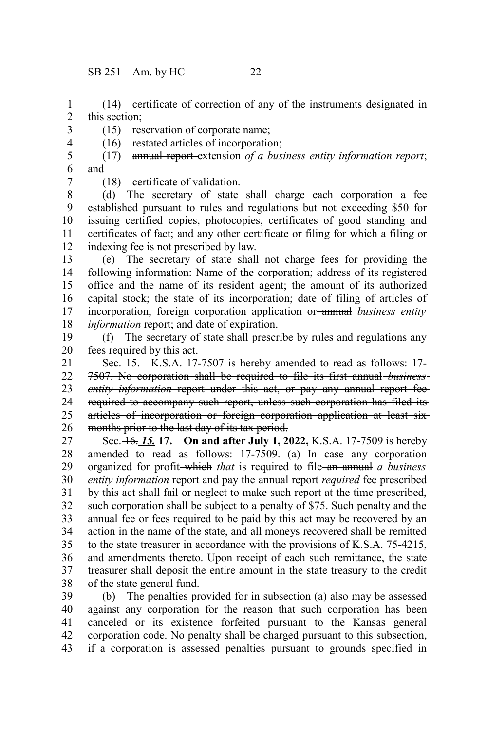(14) certificate of correction of any of the instruments designated in this section; 1 2

3

4

(15) reservation of corporate name;

(16) restated articles of incorporation;

(17) annual report extension *of a business entity information report*; and 5 6

7

(18) certificate of validation.

(d) The secretary of state shall charge each corporation a fee established pursuant to rules and regulations but not exceeding \$50 for issuing certified copies, photocopies, certificates of good standing and certificates of fact; and any other certificate or filing for which a filing or indexing fee is not prescribed by law. 8 9 10 11 12

(e) The secretary of state shall not charge fees for providing the following information: Name of the corporation; address of its registered office and the name of its resident agent; the amount of its authorized capital stock; the state of its incorporation; date of filing of articles of incorporation, foreign corporation application or annual *business entity information* report; and date of expiration. 13 14 15 16 17 18

(f) The secretary of state shall prescribe by rules and regulations any fees required by this act. 19 20

Sec. 15. K.S.A. 17-7507 is hereby amended to read as follows: 17-7507. No corporation shall be required to file its first annual *business entity information* report under this act, or pay any annual report fee required to accompany such report, unless such corporation has filed its articles of incorporation or foreign corporation application at least six months prior to the last day of its tax period. 21 22 23 24 25 26

Sec. 16. *15.* **17. On and after July 1, 2022,** K.S.A. 17-7509 is hereby amended to read as follows: 17-7509. (a) In case any corporation organized for profit which *that* is required to file an annual *a business entity information* report and pay the annual report *required* fee prescribed by this act shall fail or neglect to make such report at the time prescribed, such corporation shall be subject to a penalty of \$75. Such penalty and the annual fee or fees required to be paid by this act may be recovered by an action in the name of the state, and all moneys recovered shall be remitted to the state treasurer in accordance with the provisions of K.S.A. 75-4215, and amendments thereto. Upon receipt of each such remittance, the state treasurer shall deposit the entire amount in the state treasury to the credit of the state general fund. 27 28 29 30 31 32 33 34 35 36 37 38

(b) The penalties provided for in subsection (a) also may be assessed against any corporation for the reason that such corporation has been canceled or its existence forfeited pursuant to the Kansas general corporation code. No penalty shall be charged pursuant to this subsection, if a corporation is assessed penalties pursuant to grounds specified in 39 40 41 42 43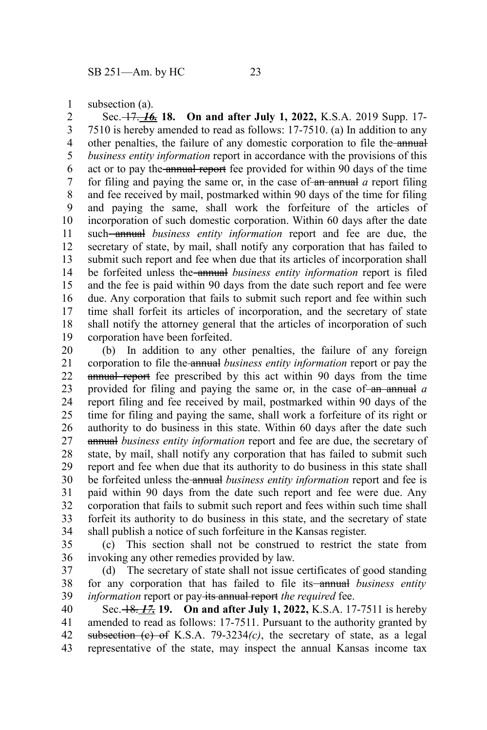subsection (a). 1

Sec. 17. *16.* **18. On and after July 1, 2022,** K.S.A. 2019 Supp. 17- 7510 is hereby amended to read as follows: 17-7510. (a) In addition to any other penalties, the failure of any domestic corporation to file the annual *business entity information* report in accordance with the provisions of this act or to pay the annual report fee provided for within 90 days of the time for filing and paying the same or, in the case of an annual *a* report filing and fee received by mail, postmarked within 90 days of the time for filing and paying the same, shall work the forfeiture of the articles of incorporation of such domestic corporation. Within 60 days after the date such annual *business entity information* report and fee are due, the secretary of state, by mail, shall notify any corporation that has failed to submit such report and fee when due that its articles of incorporation shall be forfeited unless the annual *business entity information* report is filed and the fee is paid within 90 days from the date such report and fee were due. Any corporation that fails to submit such report and fee within such time shall forfeit its articles of incorporation, and the secretary of state shall notify the attorney general that the articles of incorporation of such corporation have been forfeited. 2 3 4 5 6 7 8 9 10 11 12 13 14 15 16 17 18 19

(b) In addition to any other penalties, the failure of any foreign corporation to file the annual *business entity information* report or pay the annual report fee prescribed by this act within 90 days from the time provided for filing and paying the same or, in the case of an annual *a* report filing and fee received by mail, postmarked within 90 days of the time for filing and paying the same, shall work a forfeiture of its right or authority to do business in this state. Within 60 days after the date such annual *business entity information* report and fee are due, the secretary of state, by mail, shall notify any corporation that has failed to submit such report and fee when due that its authority to do business in this state shall be forfeited unless the annual *business entity information* report and fee is paid within 90 days from the date such report and fee were due. Any corporation that fails to submit such report and fees within such time shall forfeit its authority to do business in this state, and the secretary of state shall publish a notice of such forfeiture in the Kansas register. 20 21 22 23 24 25 26 27 28 29 30 31 32 33 34

(c) This section shall not be construed to restrict the state from invoking any other remedies provided by law. 35 36

(d) The secretary of state shall not issue certificates of good standing for any corporation that has failed to file its<del> annual</del> business entity *information* report or pay-its annual report the required fee. 37 38 39

Sec. 18. *17.* **19. On and after July 1, 2022,** K.S.A. 17-7511 is hereby amended to read as follows: 17-7511. Pursuant to the authority granted by subsection  $(e)$  of K.S.A. 79-3234 $(c)$ , the secretary of state, as a legal representative of the state, may inspect the annual Kansas income tax 40 41 42 43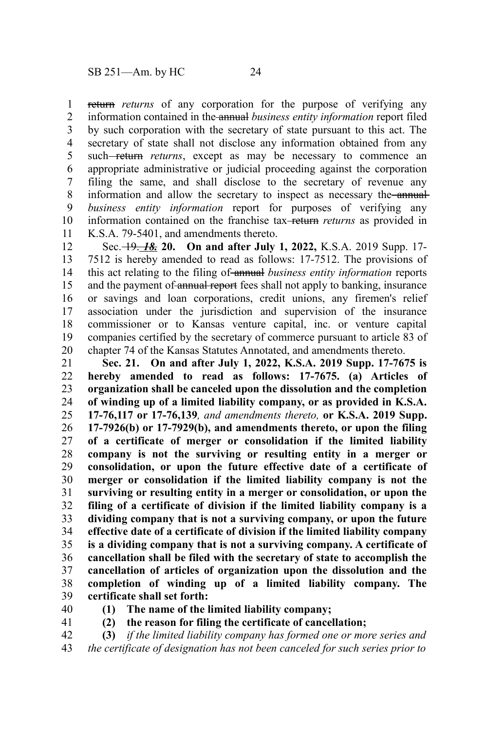return *returns* of any corporation for the purpose of verifying any information contained in the annual *business entity information* report filed by such corporation with the secretary of state pursuant to this act. The secretary of state shall not disclose any information obtained from any such-return *returns*, except as may be necessary to commence an appropriate administrative or judicial proceeding against the corporation filing the same, and shall disclose to the secretary of revenue any information and allow the secretary to inspect as necessary the annual *business entity information* report for purposes of verifying any information contained on the franchise tax return *returns* as provided in K.S.A. 79-5401, and amendments thereto. 1 2 3 4 5 6 7 8 9 10 11

Sec. 19. *18.* **20. On and after July 1, 2022,** K.S.A. 2019 Supp. 17- 7512 is hereby amended to read as follows: 17-7512. The provisions of this act relating to the filing of annual *business entity information* reports and the payment of annual report fees shall not apply to banking, insurance or savings and loan corporations, credit unions, any firemen's relief association under the jurisdiction and supervision of the insurance commissioner or to Kansas venture capital, inc. or venture capital companies certified by the secretary of commerce pursuant to article 83 of chapter 74 of the Kansas Statutes Annotated, and amendments thereto. 12 13 14 15 16 17 18 19 20

**Sec. 21. On and after July 1, 2022, K.S.A. 2019 Supp. 17-7675 is hereby amended to read as follows: 17-7675. (a) Articles of organization shall be canceled upon the dissolution and the completion of winding up of a limited liability company, or as provided in K.S.A. 17-76,117 or 17-76,139***, and amendments thereto,* **or K.S.A. 2019 Supp. 17-7926(b) or 17-7929(b), and amendments thereto, or upon the filing of a certificate of merger or consolidation if the limited liability company is not the surviving or resulting entity in a merger or consolidation, or upon the future effective date of a certificate of merger or consolidation if the limited liability company is not the surviving or resulting entity in a merger or consolidation, or upon the filing of a certificate of division if the limited liability company is a dividing company that is not a surviving company, or upon the future effective date of a certificate of division if the limited liability company is a dividing company that is not a surviving company. A certificate of cancellation shall be filed with the secretary of state to accomplish the cancellation of articles of organization upon the dissolution and the completion of winding up of a limited liability company. The certificate shall set forth:** 21 22 23 24 25 26 27 28 29 30 31 32 33 34 35 36 37 38 39

- 40
- 41
- **(1) The name of the limited liability company;**
- **(2) the reason for filing the certificate of cancellation;**
- **(3)** *if the limited liability company has formed one or more series and the certificate of designation has not been canceled for such series prior to* 42 43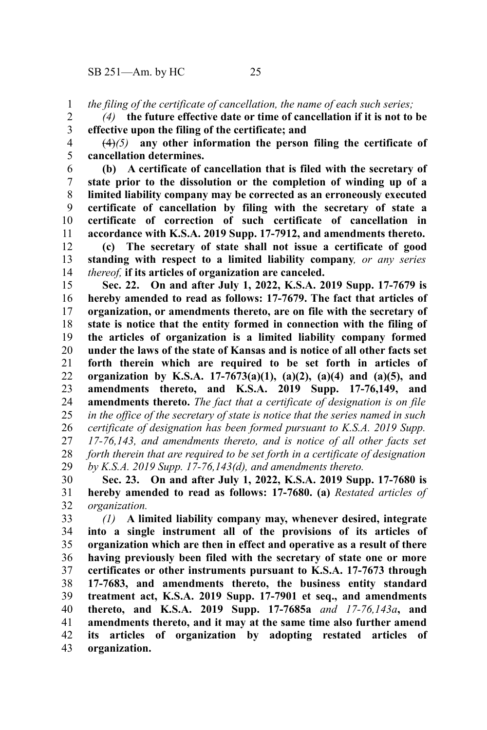*the filing of the certificate of cancellation, the name of each such series;* 1

*(4)* **the future effective date or time of cancellation if it is not to be effective upon the filing of the certificate; and** 2 3

(4)*(5)* **any other information the person filing the certificate of cancellation determines.** 4 5

**(b) A certificate of cancellation that is filed with the secretary of state prior to the dissolution or the completion of winding up of a limited liability company may be corrected as an erroneously executed certificate of cancellation by filing with the secretary of state a certificate of correction of such certificate of cancellation in accordance with K.S.A. 2019 Supp. 17-7912, and amendments thereto.** 6 7 8 9 10 11

**(c) The secretary of state shall not issue a certificate of good standing with respect to a limited liability company***, or any series thereof,* **if its articles of organization are canceled.** 12 13 14

**Sec. 22. On and after July 1, 2022, K.S.A. 2019 Supp. 17-7679 is hereby amended to read as follows: 17-7679. The fact that articles of organization, or amendments thereto, are on file with the secretary of state is notice that the entity formed in connection with the filing of the articles of organization is a limited liability company formed under the laws of the state of Kansas and is notice of all other facts set forth therein which are required to be set forth in articles of organization by K.S.A. 17-7673(a)(1), (a)(2), (a)(4) and (a)(5), and amendments thereto, and K.S.A. 2019 Supp. 17-76,149, and amendments thereto.** *The fact that a certificate of designation is on file in the office of the secretary of state is notice that the series named in such certificate of designation has been formed pursuant to K.S.A. 2019 Supp. 17-76,143, and amendments thereto, and is notice of all other facts set forth therein that are required to be set forth in a certificate of designation by K.S.A. 2019 Supp. 17-76,143(d), and amendments thereto.* 15 16 17 18 19 20 21 22 23 24 25 26 27 28 29

**Sec. 23. On and after July 1, 2022, K.S.A. 2019 Supp. 17-7680 is hereby amended to read as follows: 17-7680. (a)** *Restated articles of organization.* 30 31 32

*(1)* **A limited liability company may, whenever desired, integrate into a single instrument all of the provisions of its articles of organization which are then in effect and operative as a result of there having previously been filed with the secretary of state one or more certificates or other instruments pursuant to K.S.A. 17-7673 through 17-7683, and amendments thereto, the business entity standard treatment act, K.S.A. 2019 Supp. 17-7901 et seq., and amendments thereto, and K.S.A. 2019 Supp. 17-7685a** *and 17-76,143a***, and amendments thereto, and it may at the same time also further amend its articles of organization by adopting restated articles of organization.** 33 34 35 36 37 38 39 40 41 42 43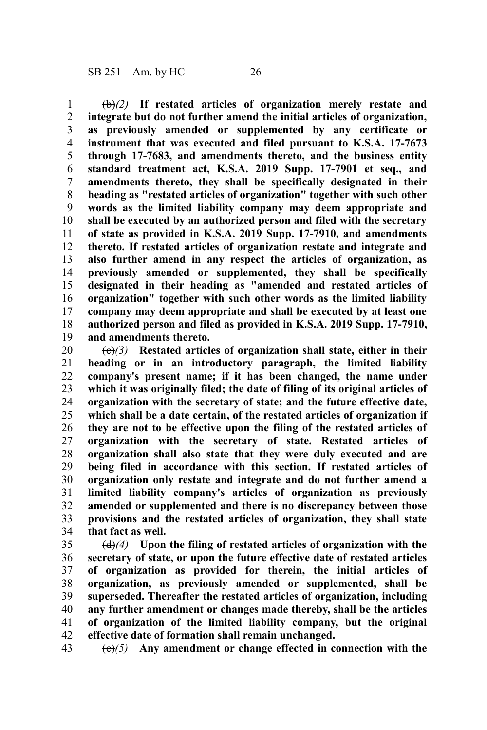(b)*(2)* **If restated articles of organization merely restate and integrate but do not further amend the initial articles of organization, as previously amended or supplemented by any certificate or instrument that was executed and filed pursuant to K.S.A. 17-7673 through 17-7683, and amendments thereto, and the business entity standard treatment act, K.S.A. 2019 Supp. 17-7901 et seq., and amendments thereto, they shall be specifically designated in their heading as "restated articles of organization" together with such other words as the limited liability company may deem appropriate and shall be executed by an authorized person and filed with the secretary of state as provided in K.S.A. 2019 Supp. 17-7910, and amendments thereto. If restated articles of organization restate and integrate and also further amend in any respect the articles of organization, as previously amended or supplemented, they shall be specifically designated in their heading as "amended and restated articles of organization" together with such other words as the limited liability company may deem appropriate and shall be executed by at least one authorized person and filed as provided in K.S.A. 2019 Supp. 17-7910, and amendments thereto.** 1 2 3 4 5 6 7 8 9 10 11 12 13 14 15 16 17 18 19

(c)*(3)* **Restated articles of organization shall state, either in their heading or in an introductory paragraph, the limited liability company's present name; if it has been changed, the name under which it was originally filed; the date of filing of its original articles of organization with the secretary of state; and the future effective date, which shall be a date certain, of the restated articles of organization if they are not to be effective upon the filing of the restated articles of organization with the secretary of state. Restated articles of organization shall also state that they were duly executed and are being filed in accordance with this section. If restated articles of organization only restate and integrate and do not further amend a limited liability company's articles of organization as previously amended or supplemented and there is no discrepancy between those provisions and the restated articles of organization, they shall state that fact as well.** 20 21 22 23 24 25 26 27 28 29 30 31 32 33 34

(d)*(4)* **Upon the filing of restated articles of organization with the secretary of state, or upon the future effective date of restated articles of organization as provided for therein, the initial articles of organization, as previously amended or supplemented, shall be superseded. Thereafter the restated articles of organization, including any further amendment or changes made thereby, shall be the articles of organization of the limited liability company, but the original effective date of formation shall remain unchanged.** 35 36 37 38 39 40 41 42

(e)*(5)* **Any amendment or change effected in connection with the** 43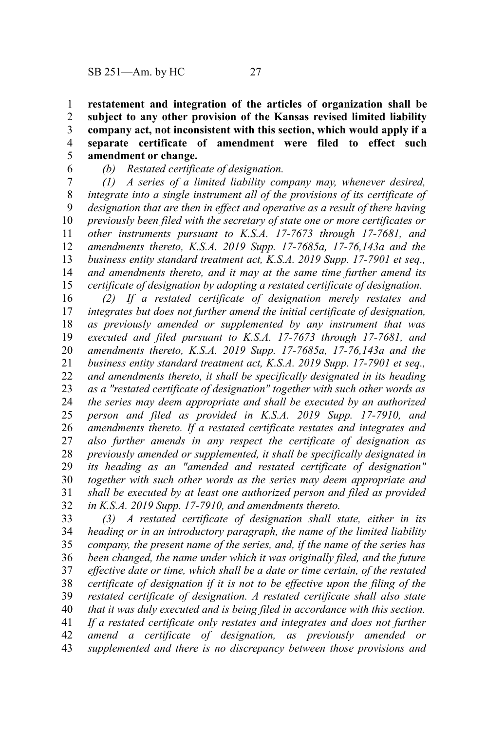6

**restatement and integration of the articles of organization shall be subject to any other provision of the Kansas revised limited liability company act, not inconsistent with this section, which would apply if a separate certificate of amendment were filed to effect such amendment or change.** 1 2 3 4 5

*(b) Restated certificate of designation.*

*(1) A series of a limited liability company may, whenever desired, integrate into a single instrument all of the provisions of its certificate of designation that are then in effect and operative as a result of there having previously been filed with the secretary of state one or more certificates or other instruments pursuant to K.S.A. 17-7673 through 17-7681, and amendments thereto, K.S.A. 2019 Supp. 17-7685a, 17-76,143a and the business entity standard treatment act, K.S.A. 2019 Supp. 17-7901 et seq., and amendments thereto, and it may at the same time further amend its certificate of designation by adopting a restated certificate of designation.* 7 8 9 10 11 12 13 14 15

*(2) If a restated certificate of designation merely restates and integrates but does not further amend the initial certificate of designation, as previously amended or supplemented by any instrument that was executed and filed pursuant to K.S.A. 17-7673 through 17-7681, and amendments thereto, K.S.A. 2019 Supp. 17-7685a, 17-76,143a and the business entity standard treatment act, K.S.A. 2019 Supp. 17-7901 et seq., and amendments thereto, it shall be specifically designated in its heading as a "restated certificate of designation" together with such other words as the series may deem appropriate and shall be executed by an authorized person and filed as provided in K.S.A. 2019 Supp. 17-7910, and amendments thereto. If a restated certificate restates and integrates and also further amends in any respect the certificate of designation as previously amended or supplemented, it shall be specifically designated in its heading as an "amended and restated certificate of designation" together with such other words as the series may deem appropriate and shall be executed by at least one authorized person and filed as provided in K.S.A. 2019 Supp. 17-7910, and amendments thereto.* 16 17 18 19 20 21 22 23 24 25 26 27 28 29 30 31 32

*(3) A restated certificate of designation shall state, either in its heading or in an introductory paragraph, the name of the limited liability company, the present name of the series, and, if the name of the series has been changed, the name under which it was originally filed, and the future effective date or time, which shall be a date or time certain, of the restated certificate of designation if it is not to be effective upon the filing of the restated certificate of designation. A restated certificate shall also state that it was duly executed and is being filed in accordance with this section. If a restated certificate only restates and integrates and does not further amend a certificate of designation, as previously amended or supplemented and there is no discrepancy between those provisions and* 33 34 35 36 37 38 39 40 41 42 43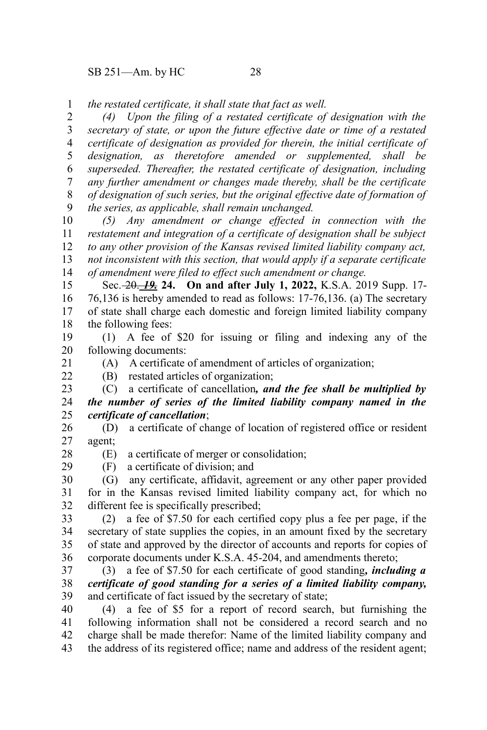*the restated certificate, it shall state that fact as well.* 1

*(4) Upon the filing of a restated certificate of designation with the secretary of state, or upon the future effective date or time of a restated certificate of designation as provided for therein, the initial certificate of designation, as theretofore amended or supplemented, shall be superseded. Thereafter, the restated certificate of designation, including any further amendment or changes made thereby, shall be the certificate of designation of such series, but the original effective date of formation of the series, as applicable, shall remain unchanged.* 2 3 4 5 6 7 8 9

*(5) Any amendment or change effected in connection with the restatement and integration of a certificate of designation shall be subject to any other provision of the Kansas revised limited liability company act, not inconsistent with this section, that would apply if a separate certificate of amendment were filed to effect such amendment or change.* 10 11 12 13 14

Sec. 20. *19.* **24. On and after July 1, 2022,** K.S.A. 2019 Supp. 17- 76,136 is hereby amended to read as follows: 17-76,136. (a) The secretary of state shall charge each domestic and foreign limited liability company the following fees: 15 16 17 18

(1) A fee of \$20 for issuing or filing and indexing any of the following documents: 19 20

(A) A certificate of amendment of articles of organization;

21  $22$ 

> 28 29

(B) restated articles of organization;

(C) a certificate of cancellation*, and the fee shall be multiplied by the number of series of the limited liability company named in the certificate of cancellation*; 23 24 25

(D) a certificate of change of location of registered office or resident agent; 26 27

(E) a certificate of merger or consolidation;

(F) a certificate of division; and

(G) any certificate, affidavit, agreement or any other paper provided for in the Kansas revised limited liability company act, for which no different fee is specifically prescribed; 30 31 32

(2) a fee of \$7.50 for each certified copy plus a fee per page, if the secretary of state supplies the copies, in an amount fixed by the secretary of state and approved by the director of accounts and reports for copies of corporate documents under K.S.A. 45-204, and amendments thereto; 33 34 35 36

(3) a fee of \$7.50 for each certificate of good standing*, including a certificate of good standing for a series of a limited liability company,* and certificate of fact issued by the secretary of state; 37 38 39

(4) a fee of \$5 for a report of record search, but furnishing the following information shall not be considered a record search and no charge shall be made therefor: Name of the limited liability company and the address of its registered office; name and address of the resident agent; 40 41 42 43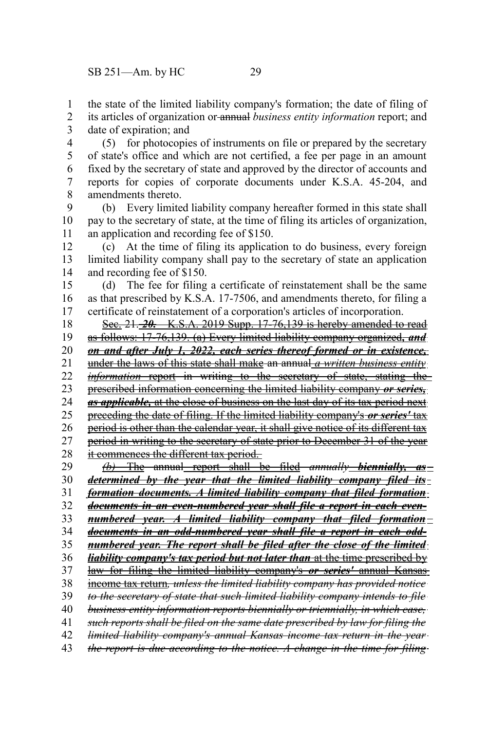the state of the limited liability company's formation; the date of filing of 1

its articles of organization or annual *business entity information* report; and date of expiration; and 2 3

(5) for photocopies of instruments on file or prepared by the secretary of state's office and which are not certified, a fee per page in an amount fixed by the secretary of state and approved by the director of accounts and reports for copies of corporate documents under K.S.A. 45-204, and amendments thereto. 4 5 6 7 8

(b) Every limited liability company hereafter formed in this state shall pay to the secretary of state, at the time of filing its articles of organization, an application and recording fee of \$150. 9 10 11

(c) At the time of filing its application to do business, every foreign limited liability company shall pay to the secretary of state an application and recording fee of \$150. 12 13 14

(d) The fee for filing a certificate of reinstatement shall be the same as that prescribed by K.S.A. 17-7506, and amendments thereto, for filing a certificate of reinstatement of a corporation's articles of incorporation. 15 16 17

Sec. 21. *20.*  K.S.A. 2019 Supp. 17-76,139 is hereby amended to read as follows: 17-76,139. (a) Every limited liability company organized, *and on and after July 1, 2022, each series thereof formed or in existence,* under the laws of this state shall make an annual *a written business entity information* report in writing to the secretary of state, stating the prescribed information concerning the limited liability company *or series, as applicable,* at the close of business on the last day of its tax period next preceding the date of filing. If the limited liability company's *or series'* tax period is other than the calendar year, it shall give notice of its different tax period in writing to the secretary of state prior to December 31 of the year it commences the different tax period. 18 19 20 21 22 23 24 25 26 27 28

 *(b)* The annual report shall be filed *annually biennially, as determined by the year that the limited liability company filed its formation documents. A limited liability company that filed formation* 29 30 31

*documents in an even-numbered year shall file a report in each even-*32

*numbered year. A limited liability company that filed formation* 33

*documents in an odd-numbered year shall file a report in each odd-*34

*numbered year. The report shall be filed after the close of the limited* 35

 *liability company's tax period but not later than* at the time prescribed by 36

 law for filing the limited liability company's *or series'* annual Kansas 37

income tax return*, unless the limited liability company has provided notice* 38

*to the secretary of state that such limited liability company intends to file* 39

*business entity information reports biennially or triennially, in which case,* 40

*such reports shall be filed on the same date prescribed by law for filing the* 41

*limited liability company's annual Kansas income tax return in the year* 42

*the report is due according to the notice. A change in the time for filing* 43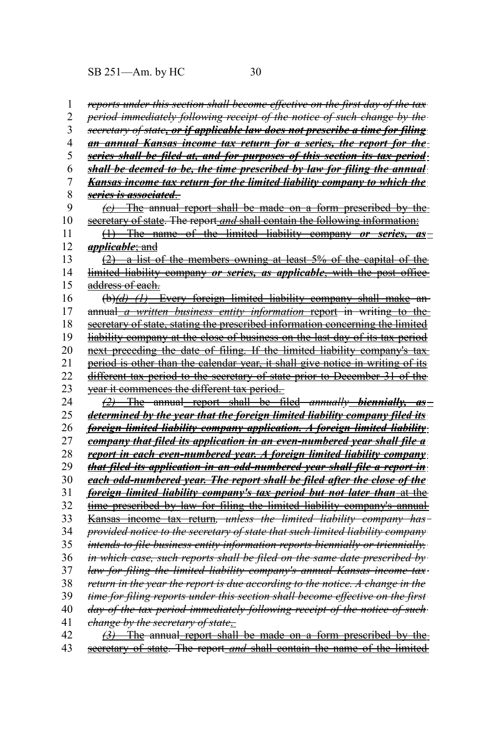| 1  | reports under this section shall become effective on the first day of the tax    |
|----|----------------------------------------------------------------------------------|
| 2  | period immediately following receipt of the notice of such change by the         |
| 3  | secretary of state, or if applicable law does not prescribe a time for filing    |
| 4  | an annual Kansas income tax return for a series, the report for the              |
| 5  | series shall be filed at, and for purposes of this section its tax period:       |
| 6  | shall be deemed to be, the time prescribed by law for filing the annual          |
| 7  | <b>Kansas income tax return for the limited liability company to which the</b>   |
| 8  | series is associated.                                                            |
| 9  | $(c)$ The annual report shall be made on a form prescribed by the                |
| 10 | secretary of state. The report and shall contain the following information:      |
| 11 | (1) The name of the limited liability company or series, as-                     |
| 12 | <i>applicable</i> ; and                                                          |
| 13 | $(2)$ a list of the members owning at least 5% of the capital of the             |
| 14 | limited liability company or series, as applicable, with the post office         |
| 15 | address of each.                                                                 |
| 16 | (b)(d) (1) Every foreign limited liability company shall make an-                |
| 17 | annual a written business entity information report in writing to the            |
| 18 | secretary of state, stating the prescribed information concerning the limited    |
| 19 | liability company at the close of business on the last day of its tax period     |
| 20 | next preceding the date of filing. If the limited liability company's tax-       |
| 21 | period is other than the calendar year, it shall give notice in writing of its   |
| 22 | different tax period to the secretary of state prior to December 31 of the       |
| 23 | year it commences the different tax period.                                      |
| 24 | $(2)$ The annual report shall be filed <i>annually biennially</i> , as           |
| 25 | determined by the year that the foreign limited liability company filed its      |
| 26 | foreign limited liability company application. A foreign limited liability:      |
| 27 | <b>company that filed its application in an even-numbered year shall file a</b>  |
| 28 | report in each even-numbered year. A foreign limited liability company:          |
| 29 | that filed its application in an odd-numbered year shall file a report in        |
| 30 | each odd-numbered year. The report shall be filed after the close of the         |
| 31 | foreign limited liability company's tax period but not later than-at the         |
| 32 | time prescribed by law for filing the limited liability company's annual-        |
| 33 | Kansas income tax return, unless the limited liability company has-              |
| 34 | provided notice to the secretary of state that such limited liability company    |
| 35 | $intends$ to file business entity information reports biennially or triennially, |
| 36 | in which case, such reports shall be filed on the same date prescribed by        |
| 37 | law for filing the limited liability company's annual Kansas income tax-         |
| 38 | return in the year the report is due according to the notice. A change in the    |
| 39 | time for filing reports under this section shall become effective on the first   |
| 40 | day of the tax period immediately following receipt of the notice of such        |
| 41 | change by the secretary of state.                                                |
| 42 | $\overline{(3)}$ The annual report shall be made on a form prescribed by the     |

secretary of state. The report *and* shall contain the name of the limited 43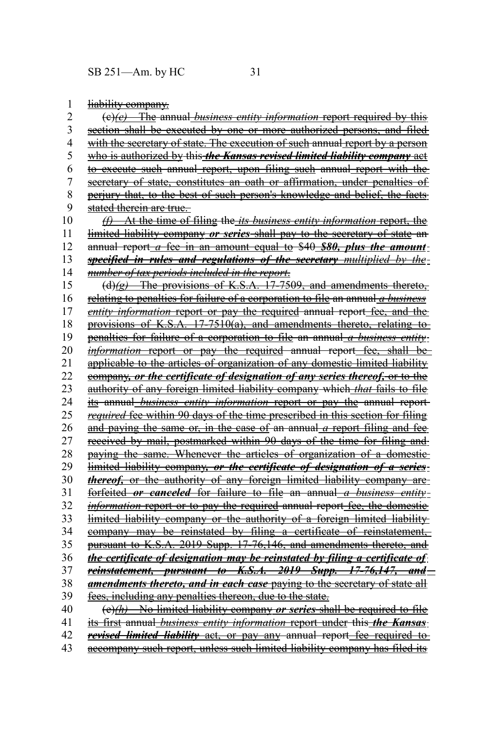liability company. 1

(e)(e) The annual *business entity information* report required by this section shall be executed by one or more authorized persons, and filedwith the secretary of state. The execution of such annual report by a person who is authorized by this *the Kansas revised limited liability company* act to execute such annual report, upon filing such annual report with the secretary of state, constitutes an oath or affirmation, under penalties of perjury that, to the best of such person's knowledge and belief, the facts stated therein are true.  *(f)* At the time of filing the *its business entity information* report, the limited liability company *or series* shall pay to the secretary of state an annual report *a* fee in an amount equal to \$40 *\$80, plus the amount specified in rules and regulations of the secretary multiplied by the number of tax periods included in the report*.  $(d)(g)$  The provisions of K.S.A. 17-7509, and amendments thereto, relating to penalties for failure of a corporation to file an annual *a business entity information* report or pay the required annual report fee, and the provisions of K.S.A. 17-7510(a), and amendments thereto, relating to penalties for failure of a corporation to file an annual *a business entity information* report or pay the required annual report fee, shall be applicable to the articles of organization of any domestic limited liability company*, or the certificate of designation of any series thereof,*or to the authority of any foreign limited liability company which *that* fails to file its annual *business entity information* report or pay the annual report *required* fee within 90 days of the time prescribed in this section for filing and paying the same or, in the case of an annual *a* report filing and fee received by mail, postmarked within 90 days of the time for filing and paying the same. Whenever the articles of organization of a domestic *limited liability company, or the certificate of designation of a series-<i>thereof*, or the authority of any foreign limited liability company are forfeited *or canceled* for failure to file an annual *a business entity information* report or to pay the required annual report fee, the domestic limited liability company or the authority of a foreign limited liabilitycompany may be reinstated by filing a certificate of reinstatement, pursuant to K.S.A. 2019 Supp. 17-76,146, and amendments thereto, and *the certificate of designation may be reinstated by filing a certificate of reinstatement, pursuant to K.S.A. 2019 Supp. 17-76,147, and amendments thereto, and in each case* paying to the secretary of state all fees, including any penalties thereon, due to the state. (e) *(h)*  No limited liability company *or series* shall be required to file its first annual *business entity information* report under this *the Kansas revised limited liability* act, or pay any annual report fee required to 2 3 4 5 6 7 8 9 10 11 12 13 14 15 16 17 18 19 20 21 22 23 24 25 26 27 28 29 30 31 32 33 34 35 36 37 38 39 40 41 42

accompany such report, unless such limited liability company has filed its 43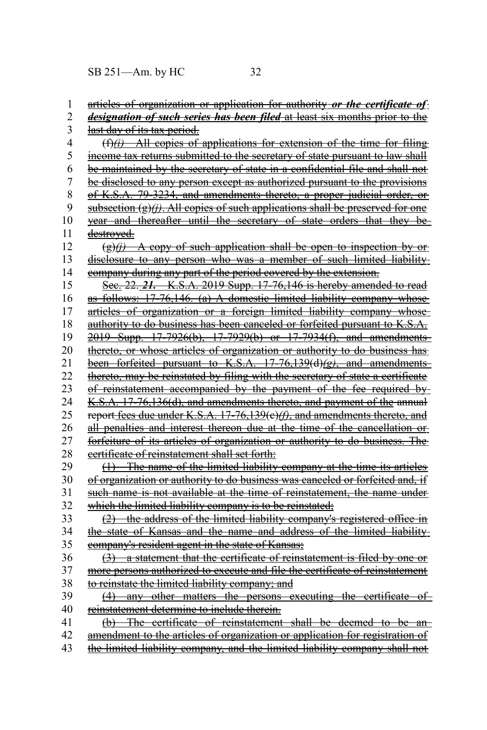| 1  | articles of organization or application for authority or the certificate of      |
|----|----------------------------------------------------------------------------------|
| 2  | designation of such series has been filed at least six months prior to the       |
| 3  | <u>last day of its tax period.</u>                                               |
| 4  | $(f)(i)$ All copies of applications for extension of the time for filing         |
| 5  | income tax returns submitted to the secretary of state pursuant to law shall     |
| 6  | be maintained by the secretary of state in a confidential file and shall not     |
| 7  | be disclosed to any person except as authorized pursuant to the provisions       |
| 8  | of K.S.A. 79-3234, and amendments thereto, a proper judicial order, or           |
| 9  | subsection $(g)(j)$ . All copies of such applications shall be preserved for one |
| 10 | year and thereafter until the secretary of state orders that they be             |
| 11 | destroyed.                                                                       |
| 12 | $(g)(j)$ A copy of such application shall be open to inspection by or            |
| 13 | disclosure to any person who was a member of such limited liability-             |
| 14 | company during any part of the period covered by the extension.                  |
| 15 | Sec. 22. 21. K.S.A. 2019 Supp. 17-76,146 is hereby amended to read               |
| 16 | as follows: 17-76,146. (a) A domestic limited liability company whose            |
| 17 | articles of organization or a foreign limited liability company whose-           |
| 18 | authority to do business has been canceled or forfeited pursuant to K.S.A.       |
| 19 | 2019 Supp. 17-7926(b), 17-7929(b) or 17-7934(f), and amendments                  |
| 20 | thereto, or whose articles of organization or authority to do business has       |
| 21 | been forfeited pursuant to K.S.A. $17-76,139(d)(g)$ , and amendments             |
| 22 | thereto, may be reinstated by filing with the secretary of state a certificate   |
| 23 | of reinstatement accompanied by the payment of the fee required by-              |
| 24 | K.S.A. 17-76,136(d), and amendments thereto, and payment of the annual           |
| 25 | report fees due under K.S.A. 17-76,139(e)(f), and amendments thereto, and        |
| 26 | all penalties and interest thereon due at the time of the cancellation or        |
| 27 | forfeiture of its articles of organization or authority to do business. The      |
| 28 | eertificate of reinstatement shall set forth:                                    |
| 29 | (1) The name of the limited liability company at the time its articles           |
| 30 | of organization or authority to do business was canceled or forfeited and, if    |
| 31 | such name is not available at the time of reinstatement, the name under          |
| 32 | which the limited liability company is to be reinstated;                         |
| 33 | (2) the address of the limited liability company's registered office in          |
| 34 | the state of Kansas and the name and address of the limited liability-           |
| 35 | company's resident agent in the state of Kansas;                                 |
| 36 | (3) a statement that the certificate of reinstatement is filed by one or         |
| 37 | more persons authorized to execute and file the certificate of reinstatement     |
| 38 | to reinstate the limited liability company; and                                  |
| 39 | (4) any other matters the persons executing the certificate of                   |
| 40 | reinstatement determine to include therein.                                      |
| 41 | (b) The certificate of reinstatement shall be deemed to be an                    |
| 42 | amendment to the articles of organization or application for registration of     |
| 43 | the limited liability company, and the limited liability company shall not       |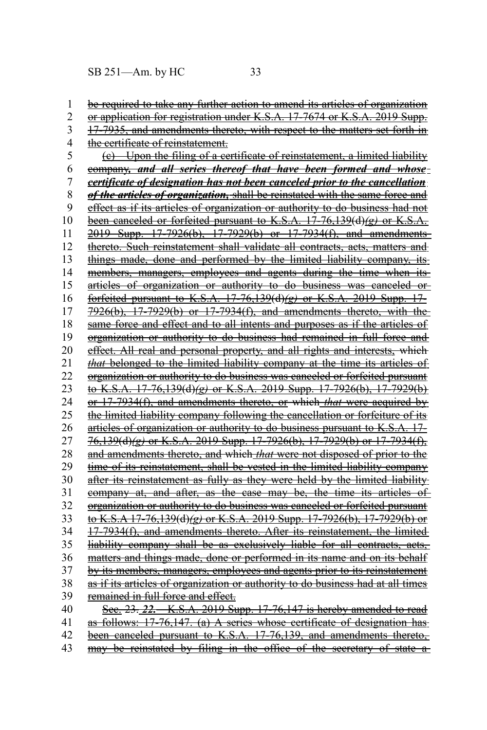be required to take any further action to amend its articles of organization or application for registration under K.S.A. 17-7674 or K.S.A. 2019 Supp. 17-7935, and amendments thereto, with respect to the matters set forth in the certificate of reinstatement. (c) Upon the filing of a certificate of reinstatement, a limited liability company*, and all series thereof that have been formed and whose certificate of designation has not been canceled prior to the cancellation of the articles of organization,* shall be reinstated with the same force and effect as if its articles of organization or authority to do business had not been canceled or forfeited pursuant to K.S.A. 17-76,139(d)*(g)* or K.S.A. 2019 Supp. 17-7926(b), 17-7929(b) or 17-7934(f), and amendments thereto. Such reinstatement shall validate all contracts, acts, matters and things made, done and performed by the limited liability company, its members, managers, employees and agents during the time when its articles of organization or authority to do business was canceled or forfeited pursuant to K.S.A. 17-76,139(d) *(g)* or K.S.A. 2019 Supp. 17- 7926(b), 17-7929(b) or 17-7934(f), and amendments thereto, with the same force and effect and to all intents and purposes as if the articles of organization or authority to do business had remained in full force and effect. All real and personal property, and all rights and interests, which  *that* belonged to the limited liability company at the time its articles of organization or authority to do business was canceled or forfeited pursuant to K.S.A. 17-76,139(d) *(g)* or K.S.A. 2019 Supp. 17-7926(b), 17-7929(b) or 17-7934(f), and amendments thereto, or which *that* were acquired by the limited liability company following the cancellation or forfeiture of its articles of organization or authority to do business pursuant to K.S.A. 17- 76,139(d) *(g)* or K.S.A. 2019 Supp. 17-7926(b), 17-7929(b) or 17-7934(f), and amendments thereto, and which *that* were not disposed of prior to the time of its reinstatement, shall be vested in the limited liability company after its reinstatement as fully as they were held by the limited liabilitycompany at, and after, as the case may be, the time its articles of organization or authority to do business was canceled or forfeited pursuant to K.S.A 17-76,139(d) *(g)* or K.S.A. 2019 Supp. 17-7926(b), 17-7929(b) or 17-7934(f), and amendments thereto. After its reinstatement, the limited liability company shall be as exclusively liable for all contracts, acts, matters and things made, done or performed in its name and on its behalf by its members, managers, employees and agents prior to its reinstatement as if its articles of organization or authority to do business had at all times remained in full force and effect. Sec. 23. *22.*  K.S.A. 2019 Supp. 17-76,147 is hereby amended to read as follows: 17-76,147. (a) A series whose certificate of designation has been canceled pursuant to K.S.A. 17-76.139, and amendments thereto, may be reinstated by filing in the office of the secretary of state a 1 2 3 4 5 6 7 8 9 10 11 12 13 14 15 16 17 18 19 20 21 22 23 24 25 26 27 28 29 30 31 32 33 34 35 36 37 38 39 40 41 42 43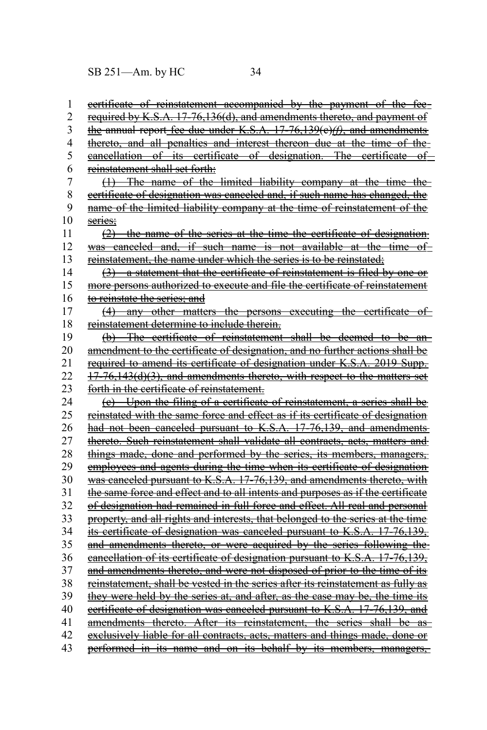certificate of reinstatement accompanied by the payment of the fee required by K.S.A. 17-76,136(d), and amendments thereto, and payment of the annual report fee due under K.S.A. 17-76,139(e)(f), and amendments thereto, and all penalties and interest thereon due at the time of the cancellation of its certificate of designation. The certificate of reinstatement shall set forth: (1) The name of the limited liability company at the time the certificate of designation was canceled and, if such name has changed, the name of the limited liability company at the time of reinstatement of the series; (2) the name of the series at the time the certificate of designation was canceled and, if such name is not available at the time ofreinstatement, the name under which the series is to be reinstated; (3) a statement that the certificate of reinstatement is filed by one or more persons authorized to execute and file the certificate of reinstatement to reinstate the series; and (4) any other matters the persons executing the certificate of reinstatement determine to include therein. (b) The certificate of reinstatement shall be deemed to be an amendment to the certificate of designation, and no further actions shall be required to amend its certificate of designation under K.S.A. 2019 Supp. 17-76,143(d)(3), and amendments thereto, with respect to the matters set forth in the certificate of reinstatement. (c) Upon the filing of a certificate of reinstatement, a series shall be reinstated with the same force and effect as if its certificate of designation had not been canceled pursuant to K.S.A. 17-76.139, and amendments thereto. Such reinstatement shall validate all contracts, acts, matters and things made, done and performed by the series, its members, managers, employees and agents during the time when its certificate of designation was canceled pursuant to K.S.A. 17-76,139, and amendments thereto, with the same force and effect and to all intents and purposes as if the certificate of designation had remained in full force and effect. All real and personal property, and all rights and interests, that belonged to the series at the time its certificate of designation was canceled pursuant to K.S.A. 17-76,139, and amendments thereto, or were acquired by the series following the cancellation of its certificate of designation pursuant to K.S.A. 17-76,139, and amendments thereto, and were not disposed of prior to the time of its reinstatement, shall be vested in the series after its reinstatement as fully as they were held by the series at, and after, as the case may be, the time its certificate of designation was canceled pursuant to K.S.A. 17-76,139, and amendments thereto. After its reinstatement, the series shall be as exclusively liable for all contracts, acts, matters and things made, done or performed in its name and on its behalf by its members, managers, 1 2 3 4 5 6 7 8 9 10 11 12 13 14 15 16 17 18 19 20 21 22 23 24 25 26 27 28 29 30 31 32 33 34 35 36 37 38 39 40 41 42 43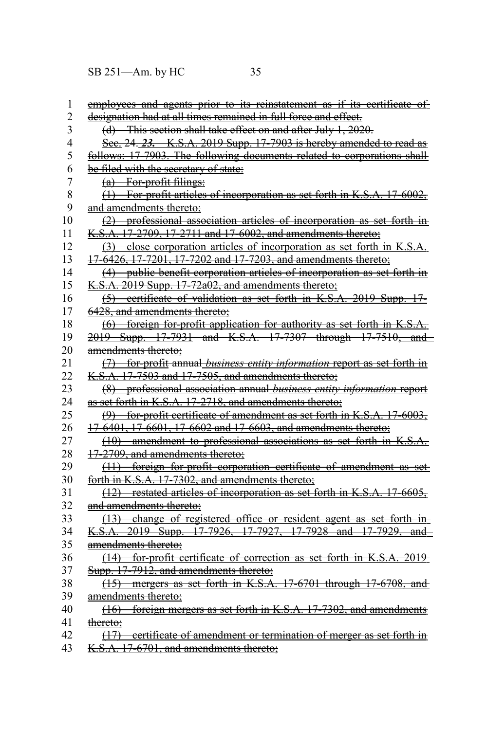| 1              | employees and agents prior to its reinstatement as if its certificate of                                                                                                                                                                                                                                                                                                               |
|----------------|----------------------------------------------------------------------------------------------------------------------------------------------------------------------------------------------------------------------------------------------------------------------------------------------------------------------------------------------------------------------------------------|
| $\overline{2}$ | designation had at all times remained in full force and effect.                                                                                                                                                                                                                                                                                                                        |
| 3              | (d) This section shall take effect on and after July 1, 2020.                                                                                                                                                                                                                                                                                                                          |
| 4              | See: 24. 23. K.S.A. 2019 Supp. 17-7903 is hereby amended to read as                                                                                                                                                                                                                                                                                                                    |
| 5              | follows: 17-7903. The following documents related to corporations shall                                                                                                                                                                                                                                                                                                                |
| 6              | be filed with the secretary of state:                                                                                                                                                                                                                                                                                                                                                  |
| $\overline{7}$ | $(a)$ For-profit filings:                                                                                                                                                                                                                                                                                                                                                              |
| 8              | (1) For-profit articles of incorporation as set forth in K.S.A. 17-6002,                                                                                                                                                                                                                                                                                                               |
| 9              | and amendments thereto;                                                                                                                                                                                                                                                                                                                                                                |
| 10             | (2) professional association articles of incorporation as set forth in-                                                                                                                                                                                                                                                                                                                |
| 11             | K.S.A. 17-2709, 17-2711 and 17-6002, and amendments thereto;                                                                                                                                                                                                                                                                                                                           |
| 12             | (3) close corporation articles of incorporation as set forth in K.S.A.                                                                                                                                                                                                                                                                                                                 |
| 13             | 17-6426, 17-7201, 17-7202 and 17-7203, and amendments thereto;                                                                                                                                                                                                                                                                                                                         |
| 14             | (4) public benefit corporation articles of incorporation as set forth in                                                                                                                                                                                                                                                                                                               |
| 15             | K.S.A. 2019 Supp. 17-72a02, and amendments thereto;                                                                                                                                                                                                                                                                                                                                    |
| 16             | (5) eertificate of validation as set forth in K.S.A. 2019 Supp. 17-                                                                                                                                                                                                                                                                                                                    |
| 17             | 6428, and amendments thereto;                                                                                                                                                                                                                                                                                                                                                          |
| 18             | (6) foreign for-profit application for authority as set forth in K.S.A.                                                                                                                                                                                                                                                                                                                |
| 19             | 2019 Supp. 17-7931 and K.S.A. 17-7307 through 17-7510, and                                                                                                                                                                                                                                                                                                                             |
| 20             | amendments thereto:                                                                                                                                                                                                                                                                                                                                                                    |
| 21             | (7) for-profit annual <i>business entity information</i> report as set forth in                                                                                                                                                                                                                                                                                                        |
| 22             | K.S.A. 17-7503 and 17-7505, and amendments thereto;                                                                                                                                                                                                                                                                                                                                    |
| 23             | (8) professional association annual <i>business entity information</i> report                                                                                                                                                                                                                                                                                                          |
| 24             | as set forth in K.S.A. 17-2718, and amendments thereto;                                                                                                                                                                                                                                                                                                                                |
| 25             | (9) for-profit certificate of amendment as set forth in K.S.A. 17-6003,                                                                                                                                                                                                                                                                                                                |
| 26             | 17-6401, 17-6601, 17-6602 and 17-6603, and amendments thereto;                                                                                                                                                                                                                                                                                                                         |
| 27             | (10) amendment to professional associations as set forth in K.S.A.                                                                                                                                                                                                                                                                                                                     |
| 28             | 17-2709, and amendments thereto;                                                                                                                                                                                                                                                                                                                                                       |
| 29             | (11) foreign for-profit corporation certificate of amendment as set-                                                                                                                                                                                                                                                                                                                   |
| 30             | forth in K.S.A. 17-7302, and amendments thereto;                                                                                                                                                                                                                                                                                                                                       |
| 31             | (12) restated articles of incorporation as set forth in K.S.A. 17-6605.                                                                                                                                                                                                                                                                                                                |
| 32             | and amendments thereto;                                                                                                                                                                                                                                                                                                                                                                |
| 33             | (13) change of registered office or resident agent as set forth in-                                                                                                                                                                                                                                                                                                                    |
| 34             | K.S.A. 2019 Supp. 17-7926, 17-7927, 17-7928 and 17-7929, and                                                                                                                                                                                                                                                                                                                           |
| 35             | amendments thereto;                                                                                                                                                                                                                                                                                                                                                                    |
| 36             | (14) for-profit certificate of correction as set forth in K.S.A. 2019.                                                                                                                                                                                                                                                                                                                 |
| 37             | Supp. 17-7912, and amendments thereto;                                                                                                                                                                                                                                                                                                                                                 |
| 38             | (15) mergers as set forth in K.S.A. 17-6701 through 17-6708, and                                                                                                                                                                                                                                                                                                                       |
| 39             | amendments thereto;                                                                                                                                                                                                                                                                                                                                                                    |
| 40             | (16) foreign mergers as set forth in K.S.A. 17-7302, and amendments                                                                                                                                                                                                                                                                                                                    |
| 41             | thereto:                                                                                                                                                                                                                                                                                                                                                                               |
| 42             | (17) certificate of amendment or termination of merger as set forth in                                                                                                                                                                                                                                                                                                                 |
| $\Lambda$      | $\overline{V}$ $\alpha$ $\overline{A}$ $\overline{A}$ $\overline{C}$ $\overline{A}$ $\alpha$ $\overline{A}$ $\overline{A}$ $\overline{A}$ $\overline{A}$ $\overline{A}$ $\overline{A}$ $\overline{A}$ $\overline{A}$ $\overline{A}$ $\overline{A}$ $\overline{A}$ $\overline{A}$ $\overline{A}$ $\overline{A}$ $\overline{A}$ $\overline{A}$ $\overline{A}$ $\overline{A}$ $\overline$ |

43 **K.S.A. 17-6701, and amendments thereto;**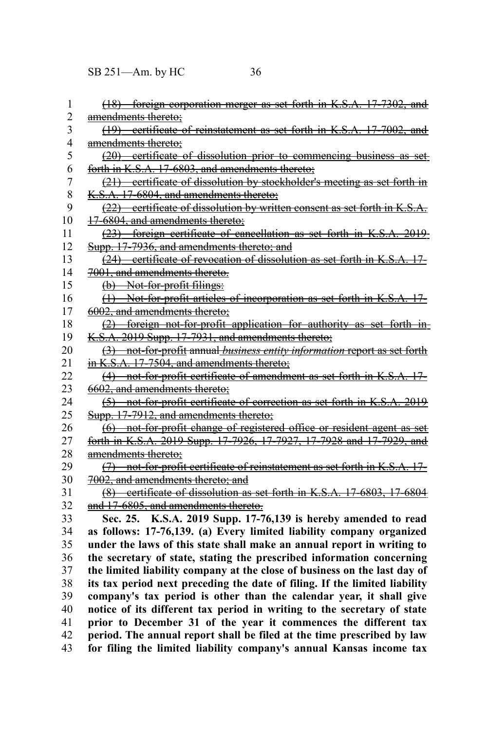| 1  | (18) foreign corporation merger as set forth in K.S.A. 17-7302, and              |
|----|----------------------------------------------------------------------------------|
| 2  | amendments thereto;                                                              |
| 3  | (19) certificate of reinstatement as set forth in K.S.A. 17-7002, and            |
| 4  | amendments thereto:                                                              |
| 5  | (20) certificate of dissolution prior to commencing business as set-             |
| 6  | forth in K.S.A. 17-6803, and amendments thereto;                                 |
| 7  | (21) eertificate of dissolution by stockholder's meeting as set forth in         |
| 8  | K.S.A. 17-6804, and amendments thereto;                                          |
| 9  | (22) eertificate of dissolution by written consent as set forth in K.S.A.        |
| 10 | 17-6804, and amendments thereto;                                                 |
| 11 | (23) foreign certificate of cancellation as set forth in K.S.A. 2019-            |
| 12 | Supp. 17-7936, and amendments thereto; and                                       |
| 13 | (24) eertificate of revocation of dissolution as set forth in K.S.A. 17-         |
| 14 | 7001, and amendments thereto.                                                    |
| 15 | (b) Not-for-profit filings:                                                      |
| 16 | (1) Not-for-profit articles of incorporation as set forth in K.S.A. 17-          |
| 17 | 6002, and amendments thereto:                                                    |
| 18 | (2) foreign not-for-profit application for authority as set forth in-            |
| 19 | K.S.A. 2019 Supp. 17-7931, and amendments thereto;                               |
| 20 | (3) not-for-profit annual <i>business entity information</i> report as set forth |
| 21 | in K.S.A. 17-7504, and amendments thereto;                                       |
| 22 | (4) not-for-profit certificate of amendment as set forth in K.S.A. 17-           |
| 23 | 6602, and amendments thereto;                                                    |
| 24 | (5) not-for-profit certificate of correction as set forth in K.S.A. 2019         |
| 25 | Supp. 17-7912, and amendments thereto;                                           |
| 26 | (6) not-for-profit change of registered office or resident agent as set          |
| 27 | forth in K.S.A. 2019 Supp. 17-7926, 17-7927, 17-7928 and 17-7929, and            |
| 28 | amendments thereto;                                                              |
| 29 | (7) not-for-profit certificate of reinstatement as set forth in K.S.A. 17-       |
| 30 | 7002, and amendments thereto; and                                                |
| 31 | (8) certificate of dissolution as set forth in K.S.A. 17-6803, 17-6804           |
| 32 | and 17-6805, and amendments thereto.                                             |
| 33 | Sec. 25. K.S.A. 2019 Supp. 17-76,139 is hereby amended to read                   |
| 34 | as follows: 17-76,139. (a) Every limited liability company organized             |
| 35 | under the laws of this state shall make an annual report in writing to           |
| 36 | the secretary of state, stating the prescribed information concerning            |
| 37 | the limited liability company at the close of business on the last day of        |
| 38 | its tax period next preceding the date of filing. If the limited liability       |
| 39 | company's tax period is other than the calendar year, it shall give              |
| 40 | notice of its different tax period in writing to the secretary of state          |
| 41 | prior to December 31 of the year it commences the different tax                  |
| 42 | period. The annual report shall be filed at the time prescribed by law           |
| 43 | for filing the limited liability company's annual Kansas income tax              |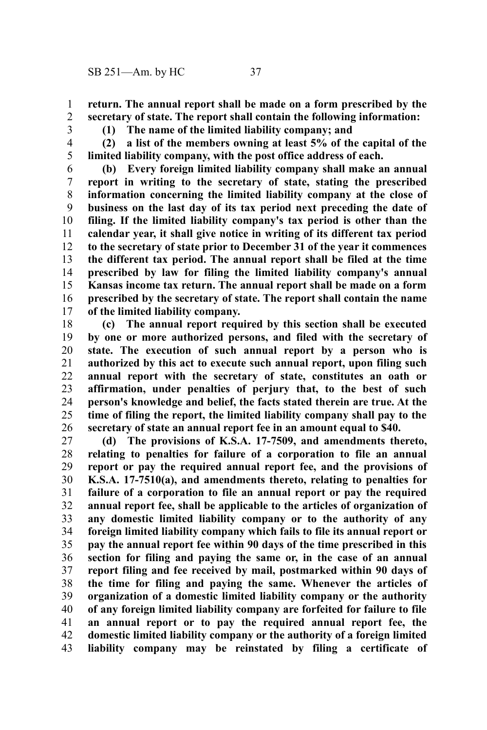**return. The annual report shall be made on a form prescribed by the secretary of state. The report shall contain the following information:** 1 2

3

**(1) The name of the limited liability company; and**

**(2) a list of the members owning at least 5% of the capital of the limited liability company, with the post office address of each.** 4 5

**(b) Every foreign limited liability company shall make an annual report in writing to the secretary of state, stating the prescribed information concerning the limited liability company at the close of business on the last day of its tax period next preceding the date of filing. If the limited liability company's tax period is other than the calendar year, it shall give notice in writing of its different tax period to the secretary of state prior to December 31 of the year it commences the different tax period. The annual report shall be filed at the time prescribed by law for filing the limited liability company's annual Kansas income tax return. The annual report shall be made on a form prescribed by the secretary of state. The report shall contain the name of the limited liability company.** 6 7 8 9 10 11 12 13 14 15 16 17

**(c) The annual report required by this section shall be executed by one or more authorized persons, and filed with the secretary of state. The execution of such annual report by a person who is authorized by this act to execute such annual report, upon filing such annual report with the secretary of state, constitutes an oath or affirmation, under penalties of perjury that, to the best of such person's knowledge and belief, the facts stated therein are true. At the time of filing the report, the limited liability company shall pay to the secretary of state an annual report fee in an amount equal to \$40.** 18 19 20 21 22 23 24 25 26

**(d) The provisions of K.S.A. 17-7509, and amendments thereto, relating to penalties for failure of a corporation to file an annual report or pay the required annual report fee, and the provisions of K.S.A. 17-7510(a), and amendments thereto, relating to penalties for failure of a corporation to file an annual report or pay the required annual report fee, shall be applicable to the articles of organization of any domestic limited liability company or to the authority of any foreign limited liability company which fails to file its annual report or pay the annual report fee within 90 days of the time prescribed in this section for filing and paying the same or, in the case of an annual report filing and fee received by mail, postmarked within 90 days of the time for filing and paying the same. Whenever the articles of organization of a domestic limited liability company or the authority of any foreign limited liability company are forfeited for failure to file an annual report or to pay the required annual report fee, the domestic limited liability company or the authority of a foreign limited liability company may be reinstated by filing a certificate of** 27 28 29 30 31 32 33 34 35 36 37 38 39 40 41 42 43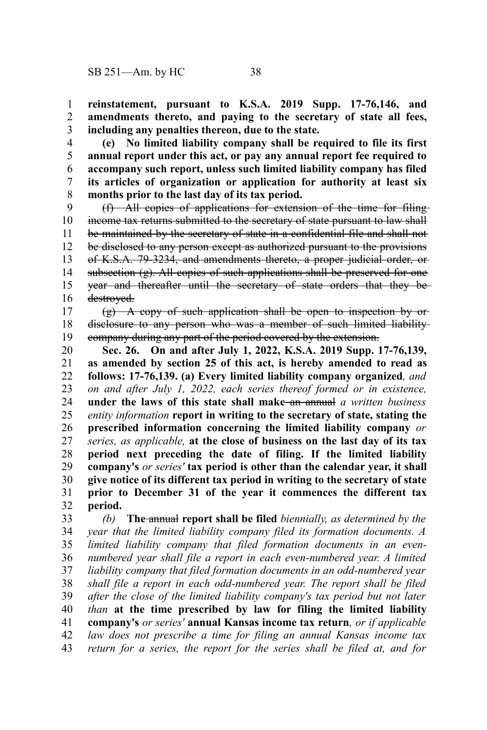**reinstatement, pursuant to K.S.A. 2019 Supp. 17-76,146, and amendments thereto, and paying to the secretary of state all fees, including any penalties thereon, due to the state.** 1 2 3

**(e) No limited liability company shall be required to file its first annual report under this act, or pay any annual report fee required to accompany such report, unless such limited liability company has filed its articles of organization or application for authority at least six months prior to the last day of its tax period.** 4 5 6 7 8

(f) All copies of applications for extension of the time for filing income tax returns submitted to the secretary of state pursuant to law shall be maintained by the secretary of state in a confidential file and shall not be disclosed to any person except as authorized pursuant to the provisions of K.S.A. 79-3234, and amendments thereto, a proper judicial order, or subsection  $(g)$ . All copies of such applications shall be preserved for one year and thereafter until the secretary of state orders that they be destroyed. 9 10 11 12 13 14 15 16

(g) A copy of such application shall be open to inspection by or disclosure to any person who was a member of such limited liabilitycompany during any part of the period covered by the extension. 17 18 19

**Sec. 26. On and after July 1, 2022, K.S.A. 2019 Supp. 17-76,139, as amended by section 25 of this act, is hereby amended to read as follows: 17-76,139. (a) Every limited liability company organized***, and on and after July 1, 2022, each series thereof formed or in existence,* **under the laws of this state shall make-an annual** a written business *entity information* **report in writing to the secretary of state, stating the prescribed information concerning the limited liability company** *or series, as applicable,* **at the close of business on the last day of its tax period next preceding the date of filing. If the limited liability company's** *or series'* **tax period is other than the calendar year, it shall give notice of its different tax period in writing to the secretary of state prior to December 31 of the year it commences the different tax period.**  20 21 22 23 24 25 26 27 28 29 30 31 32

*(b)* **The** annual **report shall be filed** *biennially, as determined by the year that the limited liability company filed its formation documents. A limited liability company that filed formation documents in an evennumbered year shall file a report in each even-numbered year. A limited liability company that filed formation documents in an odd-numbered year shall file a report in each odd-numbered year. The report shall be filed after the close of the limited liability company's tax period but not later than* **at the time prescribed by law for filing the limited liability company's** *or series'* **annual Kansas income tax return***, or if applicable law does not prescribe a time for filing an annual Kansas income tax return for a series, the report for the series shall be filed at, and for* 33 34 35 36 37 38 39 40 41 42 43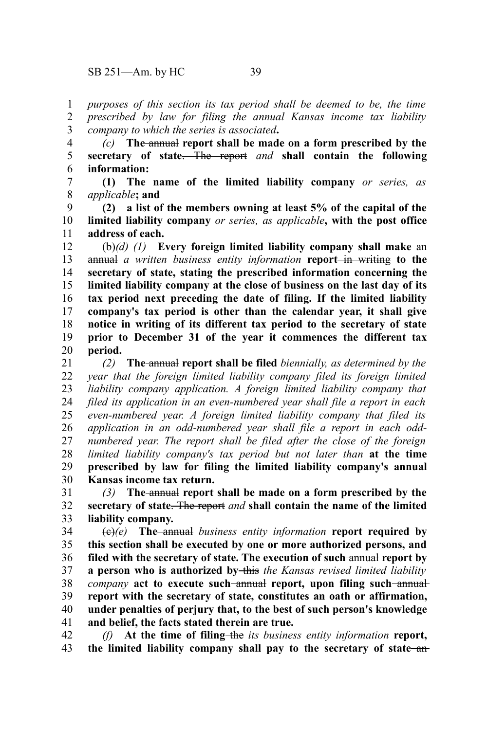*purposes of this section its tax period shall be deemed to be, the time prescribed by law for filing the annual Kansas income tax liability company to which the series is associated***.**  1 2 3

*(c)* **The** annual **report shall be made on a form prescribed by the secretary of state**. The report *and* **shall contain the following information:** 4 5 6

**(1) The name of the limited liability company** *or series, as applicable***; and** 7 8

**(2) a list of the members owning at least 5% of the capital of the limited liability company** *or series, as applicable***, with the post office address of each.** 9 10 11

(b)(d) (1) Every foreign limited liability company shall make-anannual *a written business entity information* **report** in writing **to the secretary of state, stating the prescribed information concerning the limited liability company at the close of business on the last day of its tax period next preceding the date of filing. If the limited liability company's tax period is other than the calendar year, it shall give notice in writing of its different tax period to the secretary of state prior to December 31 of the year it commences the different tax period.**  12 13 14 15 16 17 18 19 20

*(2)* **The** annual **report shall be filed** *biennially, as determined by the year that the foreign limited liability company filed its foreign limited liability company application. A foreign limited liability company that filed its application in an even-numbered year shall file a report in each even-numbered year. A foreign limited liability company that filed its application in an odd-numbered year shall file a report in each oddnumbered year. The report shall be filed after the close of the foreign limited liability company's tax period but not later than* **at the time prescribed by law for filing the limited liability company's annual Kansas income tax return.**  21 22 23 24 25 26 27 28 29 30

*(3)* **The** annual **report shall be made on a form prescribed by the secretary of state**. The report *and* **shall contain the name of the limited liability company.** 31 32 33

(c)*(e)* **The** annual *business entity information* **report required by this section shall be executed by one or more authorized persons, and filed with the secretary of state. The execution of such** annual **report by a person who is authorized by** this *the Kansas revised limited liability company* act to execute such-annual report, upon filing such-annual**report with the secretary of state, constitutes an oath or affirmation, under penalties of perjury that, to the best of such person's knowledge and belief, the facts stated therein are true.**  34 35 36 37 38 39 40 41

*(f)* **At the time of filing** the *its business entity information* **report, the limited liability company shall pay to the secretary of state** an 42 43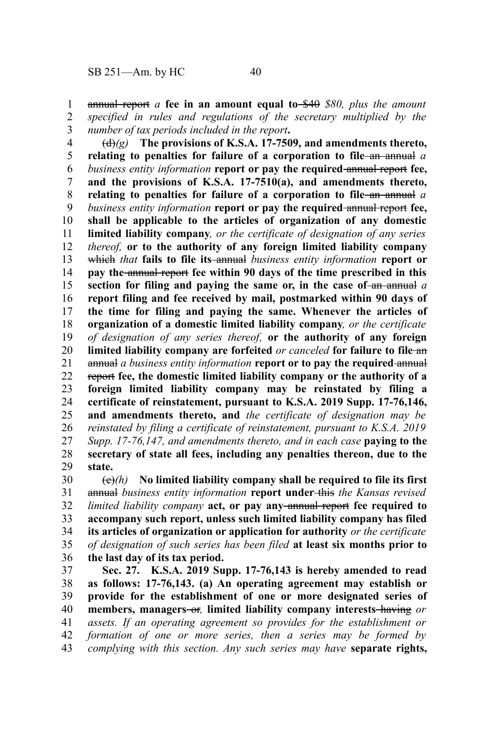annual report *a* **fee in an amount equal to** \$40 *\$80, plus the amount specified in rules and regulations of the secretary multiplied by the number of tax periods included in the report***.** 1 2 3

(d)*(g)* **The provisions of K.S.A. 17-7509, and amendments thereto,** relating to penalties for failure of a corporation to file-an annual a *business entity information* **report or pay the required** annual report **fee, and the provisions of K.S.A. 17-7510(a), and amendments thereto,** relating to penalties for failure of a corporation to file-an annual *a business entity information* **report or pay the required** annual report **fee, shall be applicable to the articles of organization of any domestic limited liability company***, or the certificate of designation of any series thereof,* **or to the authority of any foreign limited liability company** which *that* **fails to file its** annual *business entity information* **report or pay the** annual report **fee within 90 days of the time prescribed in this** section for filing and paying the same or, in the case of  $an$  annual  $a$ **report filing and fee received by mail, postmarked within 90 days of the time for filing and paying the same. Whenever the articles of organization of a domestic limited liability company***, or the certificate of designation of any series thereof,* **or the authority of any foreign limited liability company are forfeited** *or canceled* **for failure to file** an annual *a business entity information* **report or to pay the required-annual** report **fee, the domestic limited liability company or the authority of a foreign limited liability company may be reinstated by filing a certificate of reinstatement, pursuant to K.S.A. 2019 Supp. 17-76,146, and amendments thereto, and** *the certificate of designation may be reinstated by filing a certificate of reinstatement, pursuant to K.S.A. 2019 Supp. 17-76,147, and amendments thereto, and in each case* **paying to the secretary of state all fees, including any penalties thereon, due to the state.** 4 5 6 7 8 9 10 11 12 13 14 15 16 17 18 19 20 21 22 23 24 25 26 27 28 29

(e)*(h)* **No limited liability company shall be required to file its first** annual *business entity information* **report under** this *the Kansas revised limited liability company* act, or pay any annual report fee required to **accompany such report, unless such limited liability company has filed its articles of organization or application for authority** *or the certificate of designation of such series has been filed* **at least six months prior to the last day of its tax period.** 30 31 32 33 34 35 36

**Sec. 27. K.S.A. 2019 Supp. 17-76,143 is hereby amended to read as follows: 17-76,143. (a) An operating agreement may establish or provide for the establishment of one or more designated series of** members, managers-or, limited liability company interests-having or *assets. If an operating agreement so provides for the establishment or formation of one or more series, then a series may be formed by complying with this section. Any such series may have* **separate rights,** 37 38 39 40 41 42 43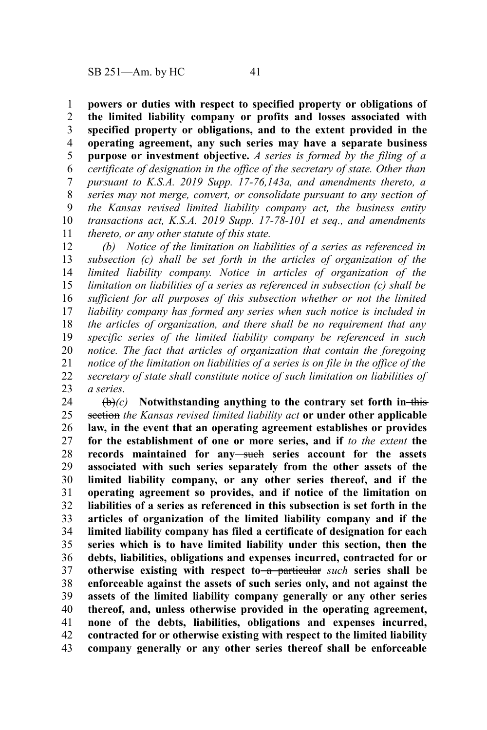**powers or duties with respect to specified property or obligations of the limited liability company or profits and losses associated with specified property or obligations, and to the extent provided in the operating agreement, any such series may have a separate business purpose or investment objective.** *A series is formed by the filing of a certificate of designation in the office of the secretary of state. Other than pursuant to K.S.A. 2019 Supp. 17-76,143a, and amendments thereto, a series may not merge, convert, or consolidate pursuant to any section of the Kansas revised limited liability company act, the business entity transactions act, K.S.A. 2019 Supp. 17-78-101 et seq., and amendments thereto, or any other statute of this state.* 1 2 3 4 5 6 7 8 9 10 11

*(b) Notice of the limitation on liabilities of a series as referenced in subsection (c) shall be set forth in the articles of organization of the limited liability company. Notice in articles of organization of the limitation on liabilities of a series as referenced in subsection (c) shall be sufficient for all purposes of this subsection whether or not the limited liability company has formed any series when such notice is included in the articles of organization, and there shall be no requirement that any specific series of the limited liability company be referenced in such notice. The fact that articles of organization that contain the foregoing notice of the limitation on liabilities of a series is on file in the office of the secretary of state shall constitute notice of such limitation on liabilities of a series.* 12 13 14 15 16 17 18 19 20 21 22 23

 $(\theta)$  (c) Notwithstanding anything to the contrary set forth in this section *the Kansas revised limited liability act* **or under other applicable law, in the event that an operating agreement establishes or provides for the establishment of one or more series, and if** *to the extent* **the** records maintained for any<del> such</del> series account for the assets **associated with such series separately from the other assets of the limited liability company, or any other series thereof, and if the operating agreement so provides, and if notice of the limitation on liabilities of a series as referenced in this subsection is set forth in the articles of organization of the limited liability company and if the limited liability company has filed a certificate of designation for each series which is to have limited liability under this section, then the debts, liabilities, obligations and expenses incurred, contracted for or otherwise existing with respect to-a particular** such series shall be **enforceable against the assets of such series only, and not against the assets of the limited liability company generally or any other series thereof, and, unless otherwise provided in the operating agreement, none of the debts, liabilities, obligations and expenses incurred, contracted for or otherwise existing with respect to the limited liability company generally or any other series thereof shall be enforceable** 24 25 26 27 28 29 30 31 32 33 34 35 36 37 38 39 40 41 42 43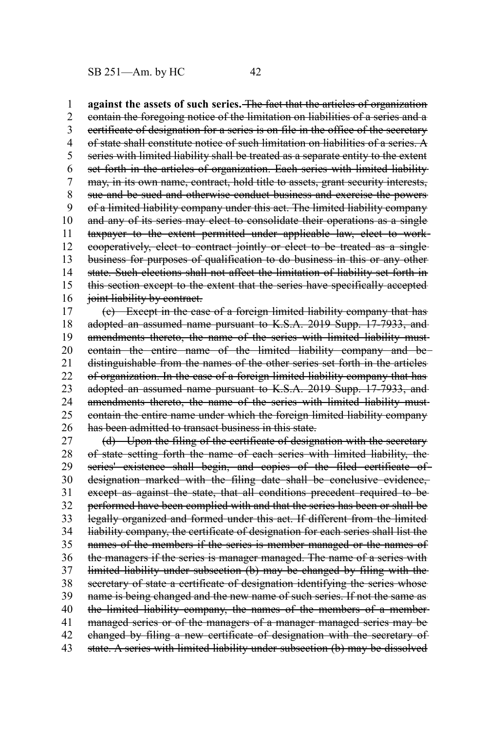**against the assets of such series.** The fact that the articles of organization contain the foregoing notice of the limitation on liabilities of a series and a certificate of designation for a series is on file in the office of the secretary of state shall constitute notice of such limitation on liabilities of a series. A series with limited liability shall be treated as a separate entity to the extent set forth in the articles of organization. Each series with limited liability may, in its own name, contract, hold title to assets, grant security interests, sue and be sued and otherwise conduct business and exercise the powers of a limited liability company under this act. The limited liability company and any of its series may elect to consolidate their operations as a single taxpayer to the extent permitted under applicable law, elect to workcooperatively, elect to contract jointly or elect to be treated as a single business for purposes of qualification to do business in this or any other state. Such elections shall not affect the limitation of liability set forth in this section except to the extent that the series have specifically accepted joint liability by contract. 1 2 3 4 5 6 7 8 9 10 11 12 13 14 15 16

(c) Except in the case of a foreign limited liability company that has adopted an assumed name pursuant to K.S.A. 2019 Supp. 17-7933, and amendments thereto, the name of the series with limited liability mustcontain the entire name of the limited liability company and be distinguishable from the names of the other series set forth in the articles of organization. In the case of a foreign limited liability company that has adopted an assumed name pursuant to K.S.A. 2019 Supp. 17-7933, and amendments thereto, the name of the series with limited liability mustcontain the entire name under which the foreign limited liability company has been admitted to transact business in this state. 17 18 19 20 21 22 23 24 25 26

(d) Upon the filing of the certificate of designation with the secretary of state setting forth the name of each series with limited liability, the series' existence shall begin, and copies of the filed certificate of designation marked with the filing date shall be conclusive evidence, except as against the state, that all conditions precedent required to be performed have been complied with and that the series has been or shall be legally organized and formed under this act. If different from the limited liability company, the certificate of designation for each series shall list the names of the members if the series is member managed or the names of the managers if the series is manager managed. The name of a series with limited liability under subsection (b) may be changed by filing with the secretary of state a certificate of designation identifying the series whose name is being changed and the new name of such series. If not the same as the limited liability company, the names of the members of a membermanaged series or of the managers of a manager managed series may be changed by filing a new certificate of designation with the secretary of state. A series with limited liability under subsection (b) may be dissolved 27 28 29 30 31 32 33 34 35 36 37 38 39 40 41 42 43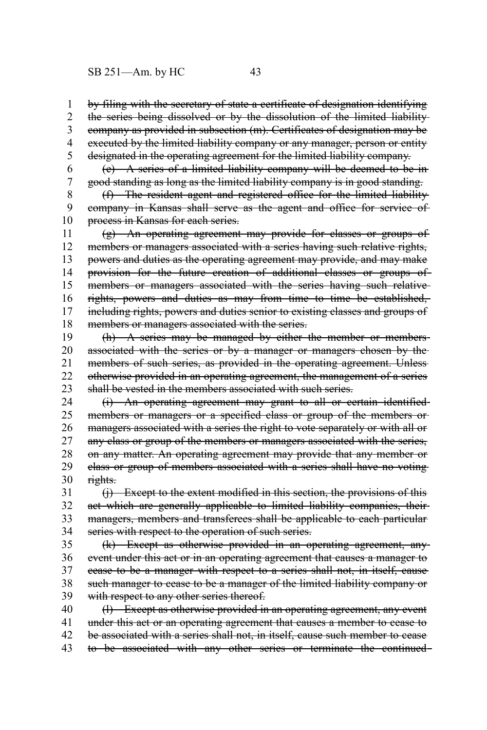by filing with the secretary of state a certificate of designation identifying 1

the series being dissolved or by the dissolution of the limited liability company as provided in subsection (m). Certificates of designation may be executed by the limited liability company or any manager, person or entity designated in the operating agreement for the limited liability company. 2 3 4 5

(e) A series of a limited liability company will be deemed to be in good standing as long as the limited liability company is in good standing. 6 7

(f) The resident agent and registered office for the limited liability company in Kansas shall serve as the agent and office for service of process in Kansas for each series. 8 9 10

(g) An operating agreement may provide for classes or groups of members or managers associated with a series having such relative rights, powers and duties as the operating agreement may provide, and may make provision for the future creation of additional classes or groups of members or managers associated with the series having such relative rights, powers and duties as may from time to time be established, including rights, powers and duties senior to existing classes and groups of members or managers associated with the series. 11 12 13 14 15 16 17 18

(h) A series may be managed by either the member or members associated with the series or by a manager or managers chosen by the members of such series, as provided in the operating agreement. Unlessotherwise provided in an operating agreement, the management of a series shall be vested in the members associated with such series. 19 20 21 22 23

(i) An operating agreement may grant to all or certain identified members or managers or a specified class or group of the members ormanagers associated with a series the right to vote separately or with all or any class or group of the members or managers associated with the series, on any matter. An operating agreement may provide that any member or class or group of members associated with a series shall have no voting rights. 24 25 26 27 28 29 30

(j) Except to the extent modified in this section, the provisions of this act which are generally applicable to limited liability companies, their managers, members and transferees shall be applicable to each particular series with respect to the operation of such series. 31 32 33 34

(k) Except as otherwise provided in an operating agreement, any event under this act or in an operating agreement that causes a manager to cease to be a manager with respect to a series shall not, in itself, cause such manager to cease to be a manager of the limited liability company or with respect to any other series thereof. 35 36 37 38 39

(l) Except as otherwise provided in an operating agreement, any event under this act or an operating agreement that causes a member to cease to be associated with a series shall not, in itself, cause such member to cease to be associated with any other series or terminate the continued 40 41 42 43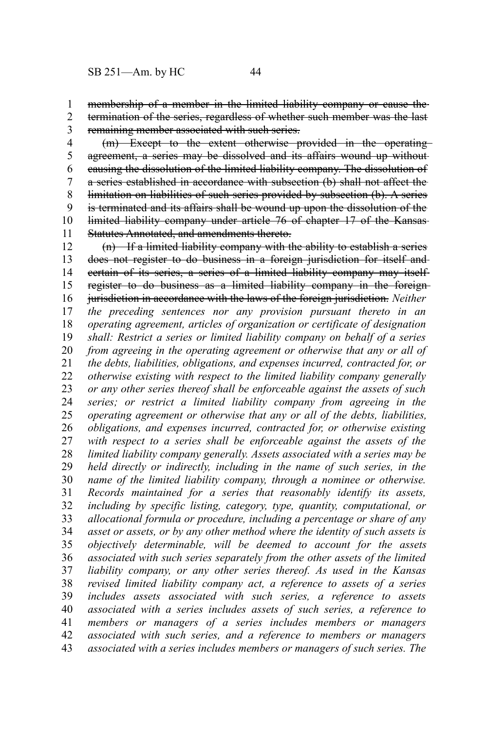membership of a member in the limited liability company or cause the 1

termination of the series, regardless of whether such member was the last remaining member associated with such series. 2 3

(m) Except to the extent otherwise provided in the operating agreement, a series may be dissolved and its affairs wound up without causing the dissolution of the limited liability company. The dissolution of a series established in accordance with subsection (b) shall not affect the limitation on liabilities of such series provided by subsection (b). A series is terminated and its affairs shall be wound up upon the dissolution of the limited liability company under article 76 of chapter 17 of the Kansas Statutes Annotated, and amendments thereto. 4 5 6 7 8 9 10 11

(n) If a limited liability company with the ability to establish a series does not register to do business in a foreign jurisdiction for itself and certain of its series, a series of a limited liability company may itself register to do business as a limited liability company in the foreign jurisdiction in accordance with the laws of the foreign jurisdiction. *Neither the preceding sentences nor any provision pursuant thereto in an operating agreement, articles of organization or certificate of designation shall: Restrict a series or limited liability company on behalf of a series from agreeing in the operating agreement or otherwise that any or all of the debts, liabilities, obligations, and expenses incurred, contracted for, or otherwise existing with respect to the limited liability company generally or any other series thereof shall be enforceable against the assets of such series; or restrict a limited liability company from agreeing in the operating agreement or otherwise that any or all of the debts, liabilities, obligations, and expenses incurred, contracted for, or otherwise existing with respect to a series shall be enforceable against the assets of the limited liability company generally. Assets associated with a series may be held directly or indirectly, including in the name of such series, in the name of the limited liability company, through a nominee or otherwise. Records maintained for a series that reasonably identify its assets, including by specific listing, category, type, quantity, computational, or allocational formula or procedure, including a percentage or share of any asset or assets, or by any other method where the identity of such assets is objectively determinable, will be deemed to account for the assets associated with such series separately from the other assets of the limited liability company, or any other series thereof. As used in the Kansas revised limited liability company act, a reference to assets of a series includes assets associated with such series, a reference to assets associated with a series includes assets of such series, a reference to members or managers of a series includes members or managers associated with such series, and a reference to members or managers associated with a series includes members or managers of such series. The* 12 13 14 15 16 17 18 19 20 21 22 23 24 25 26 27 28 29 30 31 32 33 34 35 36 37 38 39 40 41 42 43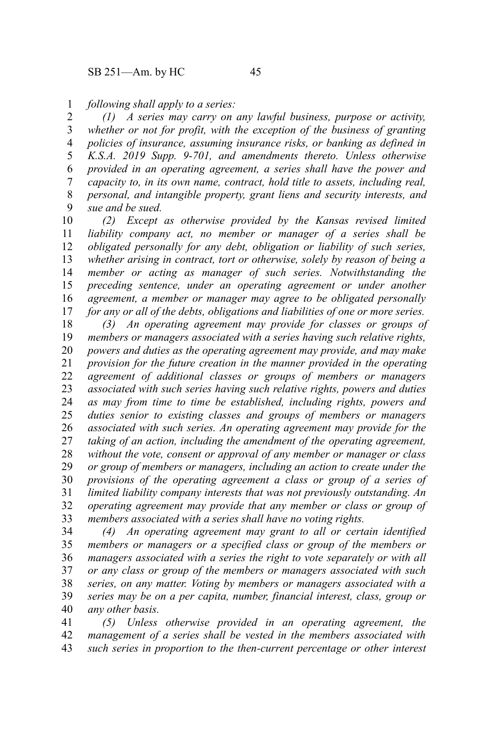*following shall apply to a series:* 1

*(1) A series may carry on any lawful business, purpose or activity, whether or not for profit, with the exception of the business of granting policies of insurance, assuming insurance risks, or banking as defined in K.S.A. 2019 Supp. 9-701, and amendments thereto. Unless otherwise provided in an operating agreement, a series shall have the power and capacity to, in its own name, contract, hold title to assets, including real, personal, and intangible property, grant liens and security interests, and sue and be sued.* 2 3 4 5 6 7 8 9

*(2) Except as otherwise provided by the Kansas revised limited liability company act, no member or manager of a series shall be obligated personally for any debt, obligation or liability of such series, whether arising in contract, tort or otherwise, solely by reason of being a member or acting as manager of such series. Notwithstanding the preceding sentence, under an operating agreement or under another agreement, a member or manager may agree to be obligated personally for any or all of the debts, obligations and liabilities of one or more series.* 10 11 12 13 14 15 16 17

*(3) An operating agreement may provide for classes or groups of members or managers associated with a series having such relative rights, powers and duties as the operating agreement may provide, and may make provision for the future creation in the manner provided in the operating agreement of additional classes or groups of members or managers associated with such series having such relative rights, powers and duties as may from time to time be established, including rights, powers and duties senior to existing classes and groups of members or managers associated with such series. An operating agreement may provide for the taking of an action, including the amendment of the operating agreement, without the vote, consent or approval of any member or manager or class or group of members or managers, including an action to create under the provisions of the operating agreement a class or group of a series of limited liability company interests that was not previously outstanding. An operating agreement may provide that any member or class or group of members associated with a series shall have no voting rights.* 18 19 20 21 22 23 24 25 26 27 28 29 30 31 32 33

*(4) An operating agreement may grant to all or certain identified members or managers or a specified class or group of the members or managers associated with a series the right to vote separately or with all or any class or group of the members or managers associated with such series, on any matter. Voting by members or managers associated with a series may be on a per capita, number, financial interest, class, group or any other basis.* 34 35 36 37 38 39 40

*(5) Unless otherwise provided in an operating agreement, the management of a series shall be vested in the members associated with such series in proportion to the then-current percentage or other interest* 41 42 43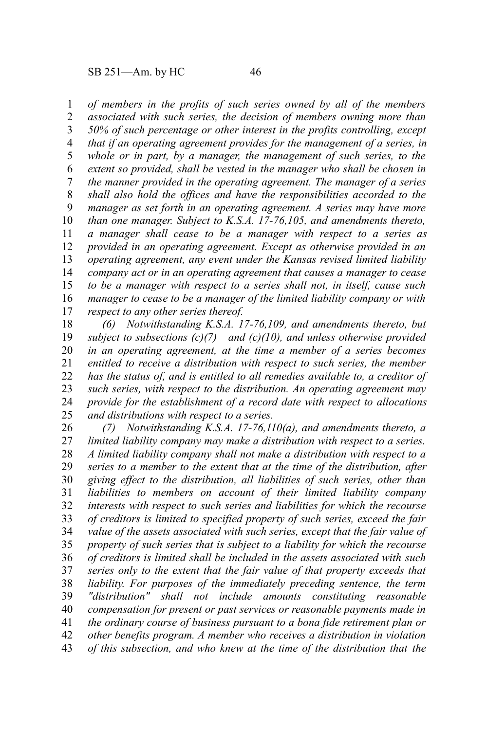*of members in the profits of such series owned by all of the members associated with such series, the decision of members owning more than 50% of such percentage or other interest in the profits controlling, except that if an operating agreement provides for the management of a series, in whole or in part, by a manager, the management of such series, to the extent so provided, shall be vested in the manager who shall be chosen in the manner provided in the operating agreement. The manager of a series shall also hold the offices and have the responsibilities accorded to the manager as set forth in an operating agreement. A series may have more than one manager. Subject to K.S.A. 17-76,105, and amendments thereto, a manager shall cease to be a manager with respect to a series as provided in an operating agreement. Except as otherwise provided in an operating agreement, any event under the Kansas revised limited liability company act or in an operating agreement that causes a manager to cease to be a manager with respect to a series shall not, in itself, cause such manager to cease to be a manager of the limited liability company or with respect to any other series thereof.* 1 2 3 4 5 6 7 8 9 10 11 12 13 14 15 16 17

*(6) Notwithstanding K.S.A. 17-76,109, and amendments thereto, but subject to subsections (c)(7) and (c)(10), and unless otherwise provided in an operating agreement, at the time a member of a series becomes entitled to receive a distribution with respect to such series, the member has the status of, and is entitled to all remedies available to, a creditor of such series, with respect to the distribution. An operating agreement may provide for the establishment of a record date with respect to allocations and distributions with respect to a series.* 18 19 20 21 22 23 24 25

*(7) Notwithstanding K.S.A. 17-76,110(a), and amendments thereto, a limited liability company may make a distribution with respect to a series. A limited liability company shall not make a distribution with respect to a series to a member to the extent that at the time of the distribution, after giving effect to the distribution, all liabilities of such series, other than liabilities to members on account of their limited liability company interests with respect to such series and liabilities for which the recourse of creditors is limited to specified property of such series, exceed the fair value of the assets associated with such series, except that the fair value of property of such series that is subject to a liability for which the recourse of creditors is limited shall be included in the assets associated with such series only to the extent that the fair value of that property exceeds that liability. For purposes of the immediately preceding sentence, the term "distribution" shall not include amounts constituting reasonable compensation for present or past services or reasonable payments made in the ordinary course of business pursuant to a bona fide retirement plan or other benefits program. A member who receives a distribution in violation of this subsection, and who knew at the time of the distribution that the* 26 27 28 29 30 31 32 33 34 35 36 37 38 39 40 41 42 43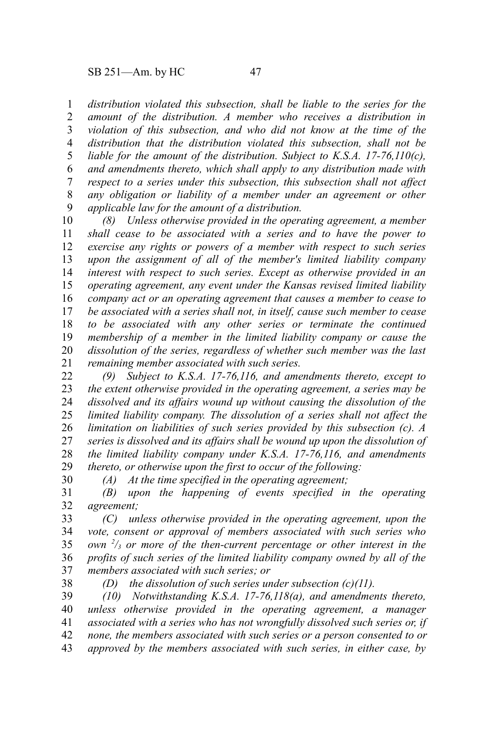*distribution violated this subsection, shall be liable to the series for the amount of the distribution. A member who receives a distribution in violation of this subsection, and who did not know at the time of the distribution that the distribution violated this subsection, shall not be liable for the amount of the distribution. Subject to K.S.A. 17-76,110(c), and amendments thereto, which shall apply to any distribution made with respect to a series under this subsection, this subsection shall not affect any obligation or liability of a member under an agreement or other applicable law for the amount of a distribution.* 1 2 3 4 5 6 7 8 9

*(8) Unless otherwise provided in the operating agreement, a member shall cease to be associated with a series and to have the power to exercise any rights or powers of a member with respect to such series upon the assignment of all of the member's limited liability company interest with respect to such series. Except as otherwise provided in an operating agreement, any event under the Kansas revised limited liability company act or an operating agreement that causes a member to cease to be associated with a series shall not, in itself, cause such member to cease to be associated with any other series or terminate the continued membership of a member in the limited liability company or cause the dissolution of the series, regardless of whether such member was the last remaining member associated with such series.* 10 11 12 13 14 15 16 17 18 19 20 21

*(9) Subject to K.S.A. 17-76,116, and amendments thereto, except to the extent otherwise provided in the operating agreement, a series may be dissolved and its affairs wound up without causing the dissolution of the limited liability company. The dissolution of a series shall not affect the limitation on liabilities of such series provided by this subsection (c). A series is dissolved and its affairs shall be wound up upon the dissolution of the limited liability company under K.S.A. 17-76,116, and amendments thereto, or otherwise upon the first to occur of the following:* 22 23 24 25 26 27 28 29

*(A) At the time specified in the operating agreement;*

*(B) upon the happening of events specified in the operating agreement;* 31 32

*(C) unless otherwise provided in the operating agreement, upon the vote, consent or approval of members associated with such series who own <sup>2</sup> /<sup>3</sup> or more of the then-current percentage or other interest in the profits of such series of the limited liability company owned by all of the members associated with such series; or* 33 34 35 36 37

38

30

*(D) the dissolution of such series under subsection (c)(11).*

*(10) Notwithstanding K.S.A. 17-76,118(a), and amendments thereto, unless otherwise provided in the operating agreement, a manager associated with a series who has not wrongfully dissolved such series or, if none, the members associated with such series or a person consented to or approved by the members associated with such series, in either case, by* 39 40 41 42 43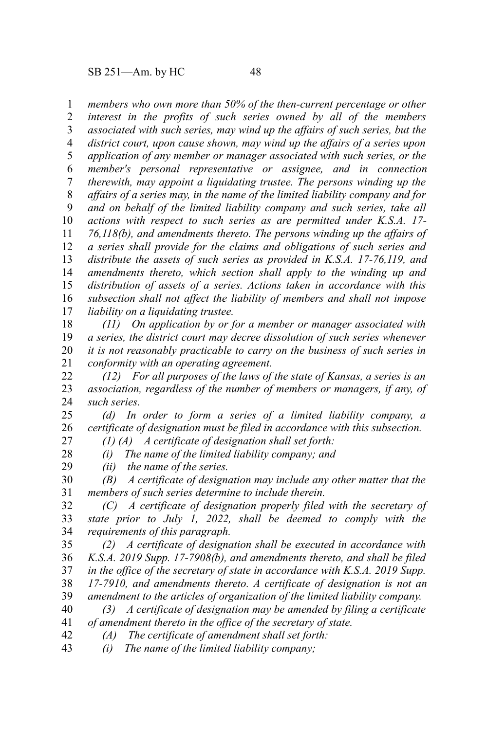*members who own more than 50% of the then-current percentage or other interest in the profits of such series owned by all of the members associated with such series, may wind up the affairs of such series, but the district court, upon cause shown, may wind up the affairs of a series upon application of any member or manager associated with such series, or the member's personal representative or assignee, and in connection therewith, may appoint a liquidating trustee. The persons winding up the affairs of a series may, in the name of the limited liability company and for and on behalf of the limited liability company and such series, take all actions with respect to such series as are permitted under K.S.A. 17- 76,118(b), and amendments thereto. The persons winding up the affairs of a series shall provide for the claims and obligations of such series and distribute the assets of such series as provided in K.S.A. 17-76,119, and amendments thereto, which section shall apply to the winding up and distribution of assets of a series. Actions taken in accordance with this subsection shall not affect the liability of members and shall not impose liability on a liquidating trustee.* 1 2 3 4 5 6 7 8 9 10 11 12 13 14 15 16 17

*(11) On application by or for a member or manager associated with a series, the district court may decree dissolution of such series whenever it is not reasonably practicable to carry on the business of such series in conformity with an operating agreement.* 18 19 20 21

*(12) For all purposes of the laws of the state of Kansas, a series is an association, regardless of the number of members or managers, if any, of such series.* 22 23 24

*(d) In order to form a series of a limited liability company, a certificate of designation must be filed in accordance with this subsection.* 25 26 27

*(1) (A) A certificate of designation shall set forth:*

- *(i) The name of the limited liability company; and*
- *(ii) the name of the series.* 29

28

*(B) A certificate of designation may include any other matter that the members of such series determine to include therein.* 30 31

*(C) A certificate of designation properly filed with the secretary of state prior to July 1, 2022, shall be deemed to comply with the requirements of this paragraph.* 32 33 34

*(2) A certificate of designation shall be executed in accordance with K.S.A. 2019 Supp. 17-7908(b), and amendments thereto, and shall be filed in the office of the secretary of state in accordance with K.S.A. 2019 Supp. 17-7910, and amendments thereto. A certificate of designation is not an amendment to the articles of organization of the limited liability company.* 35 36 37 38 39

*(3) A certificate of designation may be amended by filing a certificate of amendment thereto in the office of the secretary of state.* 40 41

- *(A) The certificate of amendment shall set forth:* 42
- *(i) The name of the limited liability company;* 43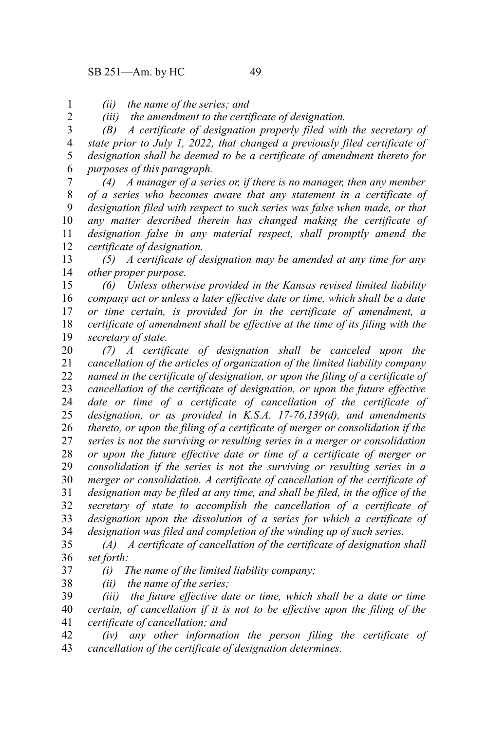*(ii) the name of the series; and*

1 2

*(iii) the amendment to the certificate of designation.*

*(B) A certificate of designation properly filed with the secretary of state prior to July 1, 2022, that changed a previously filed certificate of designation shall be deemed to be a certificate of amendment thereto for purposes of this paragraph.* 3 4 5 6

*(4) A manager of a series or, if there is no manager, then any member of a series who becomes aware that any statement in a certificate of designation filed with respect to such series was false when made, or that any matter described therein has changed making the certificate of designation false in any material respect, shall promptly amend the certificate of designation.* 7 8 9 10 11 12

*(5) A certificate of designation may be amended at any time for any other proper purpose.* 13 14

*(6) Unless otherwise provided in the Kansas revised limited liability company act or unless a later effective date or time, which shall be a date or time certain, is provided for in the certificate of amendment, a certificate of amendment shall be effective at the time of its filing with the secretary of state.* 15 16 17 18 19

*(7) A certificate of designation shall be canceled upon the cancellation of the articles of organization of the limited liability company named in the certificate of designation, or upon the filing of a certificate of cancellation of the certificate of designation, or upon the future effective date or time of a certificate of cancellation of the certificate of designation, or as provided in K.S.A. 17-76,139(d), and amendments thereto, or upon the filing of a certificate of merger or consolidation if the series is not the surviving or resulting series in a merger or consolidation or upon the future effective date or time of a certificate of merger or consolidation if the series is not the surviving or resulting series in a merger or consolidation. A certificate of cancellation of the certificate of designation may be filed at any time, and shall be filed, in the office of the secretary of state to accomplish the cancellation of a certificate of designation upon the dissolution of a series for which a certificate of designation was filed and completion of the winding up of such series.* 20 21 22 23 24 25 26 27 28 29 30 31 32 33 34

*(A) A certificate of cancellation of the certificate of designation shall set forth:* 35 36

- *(i) The name of the limited liability company;* 37
- *(ii) the name of the series;* 38

*(iii) the future effective date or time, which shall be a date or time certain, of cancellation if it is not to be effective upon the filing of the certificate of cancellation; and* 39 40 41

*(iv) any other information the person filing the certificate of cancellation of the certificate of designation determines.* 42 43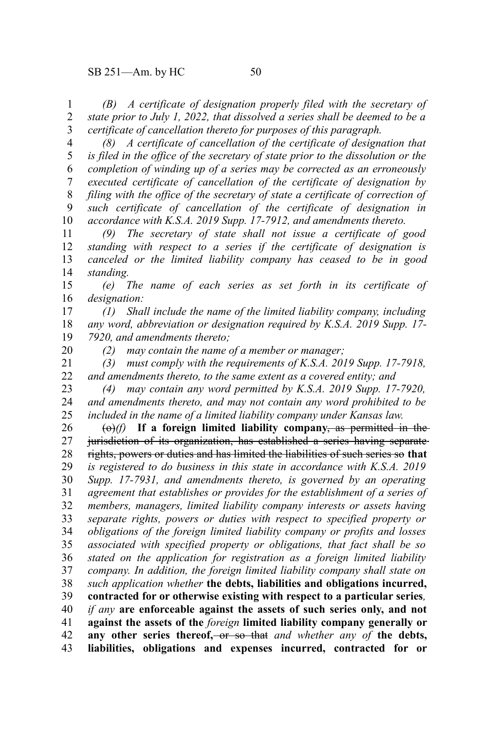*(B) A certificate of designation properly filed with the secretary of state prior to July 1, 2022, that dissolved a series shall be deemed to be a certificate of cancellation thereto for purposes of this paragraph.* 1 2 3

*(8) A certificate of cancellation of the certificate of designation that is filed in the office of the secretary of state prior to the dissolution or the completion of winding up of a series may be corrected as an erroneously executed certificate of cancellation of the certificate of designation by filing with the office of the secretary of state a certificate of correction of such certificate of cancellation of the certificate of designation in accordance with K.S.A. 2019 Supp. 17-7912, and amendments thereto.* 4 5 6 7 8 9 10

*(9) The secretary of state shall not issue a certificate of good standing with respect to a series if the certificate of designation is canceled or the limited liability company has ceased to be in good standing.* 11 12 13 14

*(e) The name of each series as set forth in its certificate of designation:* 15 16

*(1) Shall include the name of the limited liability company, including any word, abbreviation or designation required by K.S.A. 2019 Supp. 17- 7920, and amendments thereto;* 17 18 19

20

*(2) may contain the name of a member or manager;*

*(3) must comply with the requirements of K.S.A. 2019 Supp. 17-7918, and amendments thereto, to the same extent as a covered entity; and* 21 22

*(4) may contain any word permitted by K.S.A. 2019 Supp. 17-7920, and amendments thereto, and may not contain any word prohibited to be included in the name of a limited liability company under Kansas law.* 23 24 25

 $\left(\frac{\theta}{f}\right)$  If a foreign limited liability company, as permitted in the jurisdiction of its organization, has established a series having separaterights, powers or duties and has limited the liabilities of such series so **that** *is registered to do business in this state in accordance with K.S.A. 2019 Supp. 17-7931, and amendments thereto, is governed by an operating agreement that establishes or provides for the establishment of a series of members, managers, limited liability company interests or assets having separate rights, powers or duties with respect to specified property or obligations of the foreign limited liability company or profits and losses associated with specified property or obligations, that fact shall be so stated on the application for registration as a foreign limited liability company. In addition, the foreign limited liability company shall state on such application whether* **the debts, liabilities and obligations incurred, contracted for or otherwise existing with respect to a particular series***, if any* **are enforceable against the assets of such series only, and not against the assets of the** *foreign* **limited liability company generally or any other series thereof,** or so that *and whether any of* **the debts,** 26 27 28 29 30 31 32 33 34 35 36 37 38 39 40 41 42

**liabilities, obligations and expenses incurred, contracted for or** 43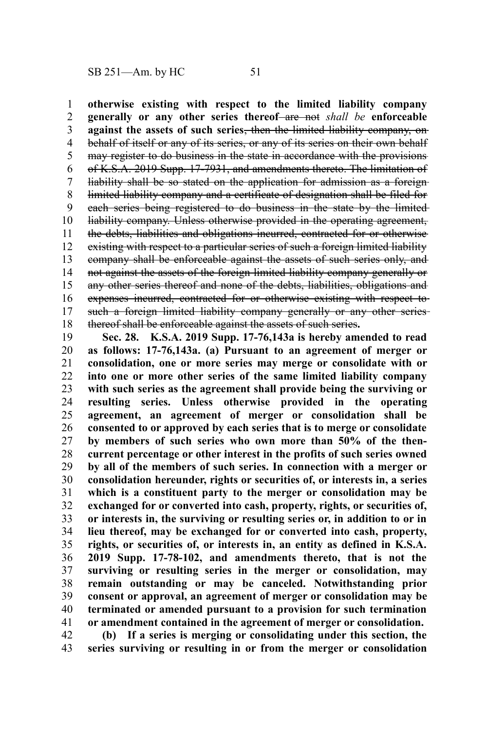1

5

7 8

11 12 13

15

**otherwise existing with respect to the limited liability company generally** or any other series thereof-are not shall be enforceable **against the assets of such series**, then the limited liability company, on behalf of itself or any of its series, or any of its series on their own behalf may register to do business in the state in accordance with the provisions of K.S.A. 2019 Supp. 17-7931, and amendments thereto. The limitation of liability shall be so stated on the application for admission as a foreignlimited liability company and a certificate of designation shall be filed for each series being registered to do business in the state by the limited liability company. Unless otherwise provided in the operating agreement, the debts, liabilities and obligations incurred, contracted for or otherwise existing with respect to a particular series of such a foreign limited liability company shall be enforceable against the assets of such series only, and not against the assets of the foreign limited liability company generally or any other series thereof and none of the debts, liabilities, obligations and expenses incurred, contracted for or otherwise existing with respect to 2 3 4 6 9 10 14 16

such a foreign limited liability company generally or any other seriesthereof shall be enforceable against the assets of such series**.** 17 18

**Sec. 28. K.S.A. 2019 Supp. 17-76,143a is hereby amended to read as follows: 17-76,143a. (a) Pursuant to an agreement of merger or consolidation, one or more series may merge or consolidate with or into one or more other series of the same limited liability company with such series as the agreement shall provide being the surviving or resulting series. Unless otherwise provided in the operating agreement, an agreement of merger or consolidation shall be consented to or approved by each series that is to merge or consolidate by members of such series who own more than 50% of the thencurrent percentage or other interest in the profits of such series owned by all of the members of such series. In connection with a merger or consolidation hereunder, rights or securities of, or interests in, a series which is a constituent party to the merger or consolidation may be exchanged for or converted into cash, property, rights, or securities of, or interests in, the surviving or resulting series or, in addition to or in lieu thereof, may be exchanged for or converted into cash, property, rights, or securities of, or interests in, an entity as defined in K.S.A. 2019 Supp. 17-78-102, and amendments thereto, that is not the surviving or resulting series in the merger or consolidation, may remain outstanding or may be canceled. Notwithstanding prior consent or approval, an agreement of merger or consolidation may be terminated or amended pursuant to a provision for such termination or amendment contained in the agreement of merger or consolidation.** 19 20 21 22 23 24 25 26 27 28 29 30 31 32 33 34 35 36 37 38 39 40 41

**(b) If a series is merging or consolidating under this section, the series surviving or resulting in or from the merger or consolidation** 42 43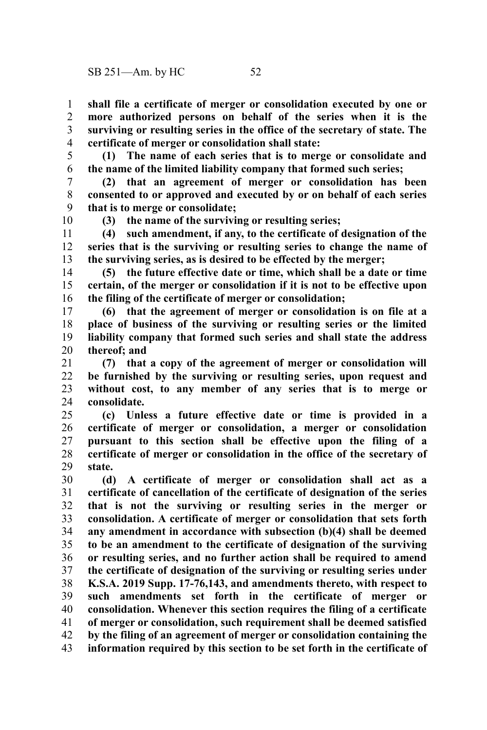**shall file a certificate of merger or consolidation executed by one or more authorized persons on behalf of the series when it is the surviving or resulting series in the office of the secretary of state. The certificate of merger or consolidation shall state:** 1 2 3 4

5

10

**(1) The name of each series that is to merge or consolidate and the name of the limited liability company that formed such series;** 6

**(2) that an agreement of merger or consolidation has been consented to or approved and executed by or on behalf of each series that is to merge or consolidate;** 7 8 9

**(3) the name of the surviving or resulting series;**

**(4) such amendment, if any, to the certificate of designation of the series that is the surviving or resulting series to change the name of the surviving series, as is desired to be effected by the merger;** 11 12 13

**(5) the future effective date or time, which shall be a date or time certain, of the merger or consolidation if it is not to be effective upon the filing of the certificate of merger or consolidation;** 14 15 16

**(6) that the agreement of merger or consolidation is on file at a place of business of the surviving or resulting series or the limited liability company that formed such series and shall state the address thereof; and** 17 18 19 20

**(7) that a copy of the agreement of merger or consolidation will be furnished by the surviving or resulting series, upon request and without cost, to any member of any series that is to merge or consolidate.** 21 22 23 24

**(c) Unless a future effective date or time is provided in a certificate of merger or consolidation, a merger or consolidation pursuant to this section shall be effective upon the filing of a certificate of merger or consolidation in the office of the secretary of state.**  $25$ 26 27 28 29

**(d) A certificate of merger or consolidation shall act as a certificate of cancellation of the certificate of designation of the series that is not the surviving or resulting series in the merger or consolidation. A certificate of merger or consolidation that sets forth any amendment in accordance with subsection (b)(4) shall be deemed to be an amendment to the certificate of designation of the surviving or resulting series, and no further action shall be required to amend the certificate of designation of the surviving or resulting series under K.S.A. 2019 Supp. 17-76,143, and amendments thereto, with respect to such amendments set forth in the certificate of merger or consolidation. Whenever this section requires the filing of a certificate of merger or consolidation, such requirement shall be deemed satisfied by the filing of an agreement of merger or consolidation containing the information required by this section to be set forth in the certificate of** 30 31 32 33 34 35 36 37 38 39 40 41 42 43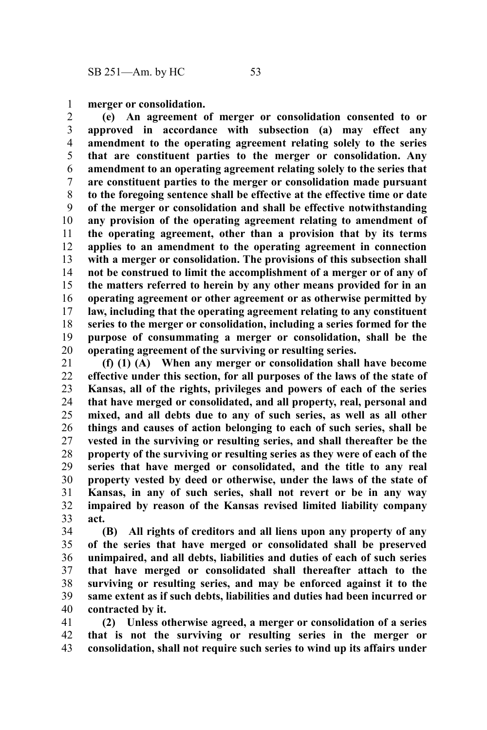**merger or consolidation.** 1

**(e) An agreement of merger or consolidation consented to or approved in accordance with subsection (a) may effect any amendment to the operating agreement relating solely to the series that are constituent parties to the merger or consolidation. Any amendment to an operating agreement relating solely to the series that are constituent parties to the merger or consolidation made pursuant to the foregoing sentence shall be effective at the effective time or date of the merger or consolidation and shall be effective notwithstanding any provision of the operating agreement relating to amendment of the operating agreement, other than a provision that by its terms applies to an amendment to the operating agreement in connection with a merger or consolidation. The provisions of this subsection shall not be construed to limit the accomplishment of a merger or of any of the matters referred to herein by any other means provided for in an operating agreement or other agreement or as otherwise permitted by law, including that the operating agreement relating to any constituent series to the merger or consolidation, including a series formed for the purpose of consummating a merger or consolidation, shall be the operating agreement of the surviving or resulting series.** 2 3 4 5 6 7 8 9 10 11 12 13 14 15 16 17 18 19 20

**(f) (1) (A) When any merger or consolidation shall have become effective under this section, for all purposes of the laws of the state of Kansas, all of the rights, privileges and powers of each of the series that have merged or consolidated, and all property, real, personal and mixed, and all debts due to any of such series, as well as all other things and causes of action belonging to each of such series, shall be vested in the surviving or resulting series, and shall thereafter be the property of the surviving or resulting series as they were of each of the series that have merged or consolidated, and the title to any real property vested by deed or otherwise, under the laws of the state of Kansas, in any of such series, shall not revert or be in any way impaired by reason of the Kansas revised limited liability company act.** 21 22 23 24 25 26 27 28 29 30 31 32 33

**(B) All rights of creditors and all liens upon any property of any of the series that have merged or consolidated shall be preserved unimpaired, and all debts, liabilities and duties of each of such series that have merged or consolidated shall thereafter attach to the surviving or resulting series, and may be enforced against it to the same extent as if such debts, liabilities and duties had been incurred or contracted by it.** 34 35 36 37 38 39 40

**(2) Unless otherwise agreed, a merger or consolidation of a series that is not the surviving or resulting series in the merger or consolidation, shall not require such series to wind up its affairs under** 41 42 43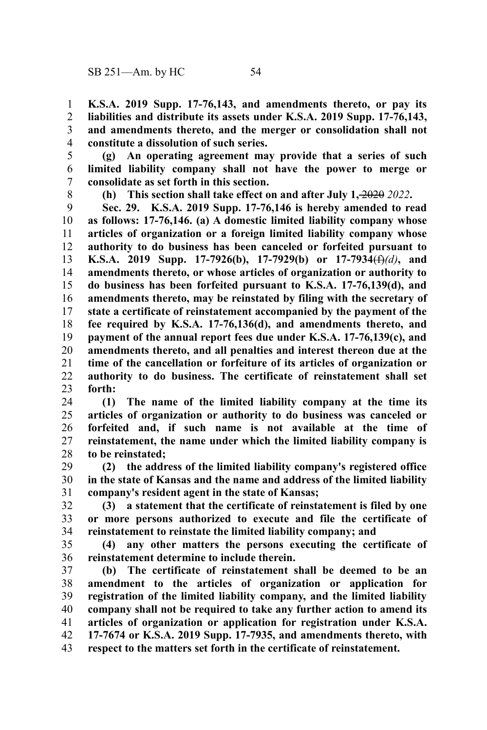**K.S.A. 2019 Supp. 17-76,143, and amendments thereto, or pay its liabilities and distribute its assets under K.S.A. 2019 Supp. 17-76,143, and amendments thereto, and the merger or consolidation shall not constitute a dissolution of such series.** 1 2 3 4

**(g) An operating agreement may provide that a series of such limited liability company shall not have the power to merge or consolidate as set forth in this section.** 5 6 7

8

**(h) This section shall take effect on and after July 1,** 2020 *2022***.**

**Sec. 29. K.S.A. 2019 Supp. 17-76,146 is hereby amended to read as follows: 17-76,146. (a) A domestic limited liability company whose articles of organization or a foreign limited liability company whose authority to do business has been canceled or forfeited pursuant to K.S.A. 2019 Supp. 17-7926(b), 17-7929(b) or 17-7934**(f)*(d)***, and amendments thereto, or whose articles of organization or authority to do business has been forfeited pursuant to K.S.A. 17-76,139(d), and amendments thereto, may be reinstated by filing with the secretary of state a certificate of reinstatement accompanied by the payment of the fee required by K.S.A. 17-76,136(d), and amendments thereto, and payment of the annual report fees due under K.S.A. 17-76,139(c), and amendments thereto, and all penalties and interest thereon due at the time of the cancellation or forfeiture of its articles of organization or authority to do business. The certificate of reinstatement shall set forth:** 9 10 11 12 13 14 15 16 17 18 19 20 21 22 23

**(1) The name of the limited liability company at the time its articles of organization or authority to do business was canceled or forfeited and, if such name is not available at the time of reinstatement, the name under which the limited liability company is to be reinstated;** 24 25 26 27 28

**(2) the address of the limited liability company's registered office in the state of Kansas and the name and address of the limited liability company's resident agent in the state of Kansas;** 29 30 31

**(3) a statement that the certificate of reinstatement is filed by one or more persons authorized to execute and file the certificate of reinstatement to reinstate the limited liability company; and** 32 33 34

**(4) any other matters the persons executing the certificate of reinstatement determine to include therein.** 35 36

**(b) The certificate of reinstatement shall be deemed to be an amendment to the articles of organization or application for registration of the limited liability company, and the limited liability company shall not be required to take any further action to amend its articles of organization or application for registration under K.S.A. 17-7674 or K.S.A. 2019 Supp. 17-7935, and amendments thereto, with respect to the matters set forth in the certificate of reinstatement.** 37 38 39 40 41 42 43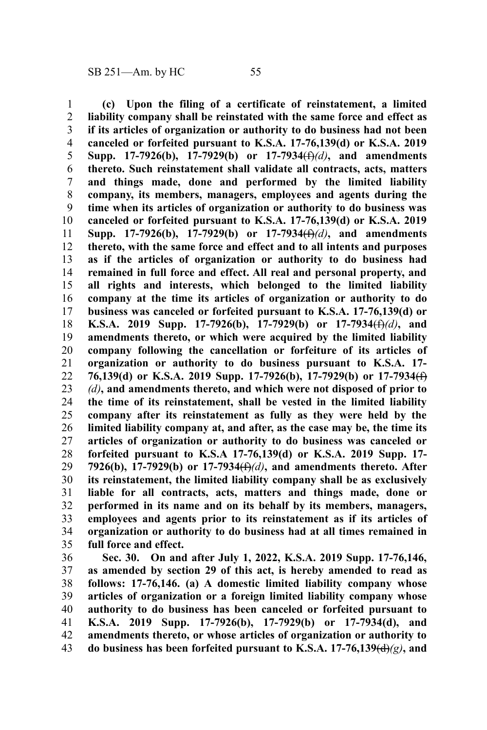**(c) Upon the filing of a certificate of reinstatement, a limited liability company shall be reinstated with the same force and effect as if its articles of organization or authority to do business had not been canceled or forfeited pursuant to K.S.A. 17-76,139(d) or K.S.A. 2019 Supp. 17-7926(b), 17-7929(b) or 17-7934**(f)*(d)***, and amendments thereto. Such reinstatement shall validate all contracts, acts, matters and things made, done and performed by the limited liability company, its members, managers, employees and agents during the time when its articles of organization or authority to do business was canceled or forfeited pursuant to K.S.A. 17-76,139(d) or K.S.A. 2019 Supp. 17-7926(b), 17-7929(b) or 17-7934**(f)*(d)***, and amendments thereto, with the same force and effect and to all intents and purposes as if the articles of organization or authority to do business had remained in full force and effect. All real and personal property, and all rights and interests, which belonged to the limited liability company at the time its articles of organization or authority to do business was canceled or forfeited pursuant to K.S.A. 17-76,139(d) or K.S.A. 2019 Supp. 17-7926(b), 17-7929(b) or 17-7934**(f)*(d)***, and amendments thereto, or which were acquired by the limited liability company following the cancellation or forfeiture of its articles of organization or authority to do business pursuant to K.S.A. 17- 76,139(d) or K.S.A. 2019 Supp. 17-7926(b), 17-7929(b) or 17-7934**(f) *(d)***, and amendments thereto, and which were not disposed of prior to the time of its reinstatement, shall be vested in the limited liability company after its reinstatement as fully as they were held by the limited liability company at, and after, as the case may be, the time its articles of organization or authority to do business was canceled or forfeited pursuant to K.S.A 17-76,139(d) or K.S.A. 2019 Supp. 17- 7926(b), 17-7929(b) or 17-7934**(f)*(d)***, and amendments thereto. After its reinstatement, the limited liability company shall be as exclusively liable for all contracts, acts, matters and things made, done or performed in its name and on its behalf by its members, managers, employees and agents prior to its reinstatement as if its articles of organization or authority to do business had at all times remained in full force and effect.** 1 2 3 4 5 6 7 8 9 10 11 12 13 14 15 16 17 18 19 20 21 22 23 24 25 26 27 28 29 30 31 32 33 34 35

**Sec. 30. On and after July 1, 2022, K.S.A. 2019 Supp. 17-76,146, as amended by section 29 of this act, is hereby amended to read as follows: 17-76,146. (a) A domestic limited liability company whose articles of organization or a foreign limited liability company whose authority to do business has been canceled or forfeited pursuant to K.S.A. 2019 Supp. 17-7926(b), 17-7929(b) or 17-7934(d), and amendments thereto, or whose articles of organization or authority to do business has been forfeited pursuant to K.S.A. 17-76,139**(d)*(g)***, and** 36 37 38 39 40 41 42 43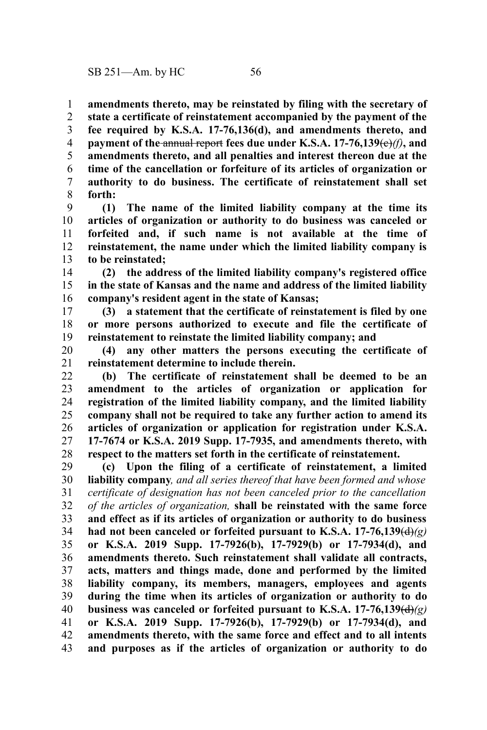**amendments thereto, may be reinstated by filing with the secretary of** 1

**state a certificate of reinstatement accompanied by the payment of the fee required by K.S.A. 17-76,136(d), and amendments thereto, and payment of the** annual report **fees due under K.S.A. 17-76,139**(c)*(f)***, and amendments thereto, and all penalties and interest thereon due at the time of the cancellation or forfeiture of its articles of organization or authority to do business. The certificate of reinstatement shall set forth:** 2 3 4 5 6 7 8

**(1) The name of the limited liability company at the time its articles of organization or authority to do business was canceled or forfeited and, if such name is not available at the time of reinstatement, the name under which the limited liability company is to be reinstated;** 9 10 11 12 13

**(2) the address of the limited liability company's registered office in the state of Kansas and the name and address of the limited liability company's resident agent in the state of Kansas;** 14 15 16

**(3) a statement that the certificate of reinstatement is filed by one or more persons authorized to execute and file the certificate of reinstatement to reinstate the limited liability company; and** 17 18 19

**(4) any other matters the persons executing the certificate of reinstatement determine to include therein.** 20 21

**(b) The certificate of reinstatement shall be deemed to be an amendment to the articles of organization or application for registration of the limited liability company, and the limited liability company shall not be required to take any further action to amend its articles of organization or application for registration under K.S.A. 17-7674 or K.S.A. 2019 Supp. 17-7935, and amendments thereto, with respect to the matters set forth in the certificate of reinstatement.** 22 23 24 25 26 27 28

**(c) Upon the filing of a certificate of reinstatement, a limited liability company***, and all series thereof that have been formed and whose certificate of designation has not been canceled prior to the cancellation of the articles of organization,* **shall be reinstated with the same force and effect as if its articles of organization or authority to do business** had not been canceled or forfeited pursuant to K.S.A.  $17-76,139\left(\frac{d}{g}\right)$ **or K.S.A. 2019 Supp. 17-7926(b), 17-7929(b) or 17-7934(d), and amendments thereto. Such reinstatement shall validate all contracts, acts, matters and things made, done and performed by the limited liability company, its members, managers, employees and agents during the time when its articles of organization or authority to do business was canceled or forfeited pursuant to K.S.A. 17-76,139** $(\text{d})$ *(g)* **or K.S.A. 2019 Supp. 17-7926(b), 17-7929(b) or 17-7934(d), and amendments thereto, with the same force and effect and to all intents and purposes as if the articles of organization or authority to do** 29 30 31 32 33 34 35 36 37 38 39 40 41 42 43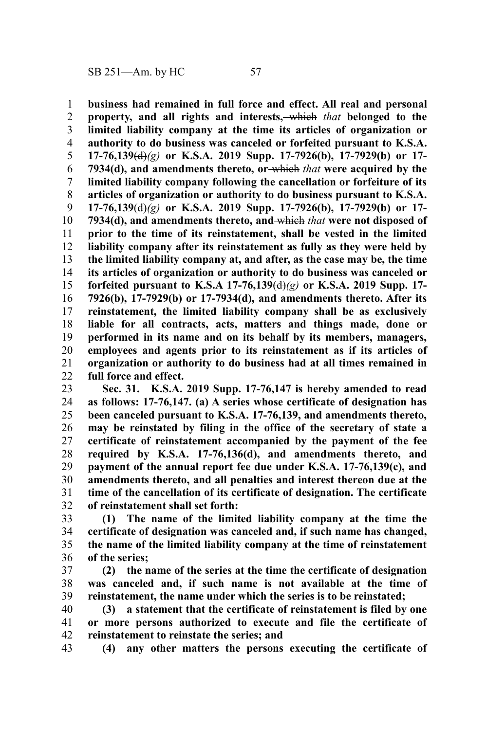**business had remained in full force and effect. All real and personal property, and all rights and interests,** which *that* **belonged to the limited liability company at the time its articles of organization or authority to do business was canceled or forfeited pursuant to K.S.A. 17-76,139**(d)*(g)* **or K.S.A. 2019 Supp. 17-7926(b), 17-7929(b) or 17- 7934(d), and amendments thereto, or** which *that* **were acquired by the limited liability company following the cancellation or forfeiture of its articles of organization or authority to do business pursuant to K.S.A. 17-76,139**(d)*(g)* **or K.S.A. 2019 Supp. 17-7926(b), 17-7929(b) or 17- 7934(d), and amendments thereto, and** which *that* **were not disposed of prior to the time of its reinstatement, shall be vested in the limited liability company after its reinstatement as fully as they were held by the limited liability company at, and after, as the case may be, the time its articles of organization or authority to do business was canceled or forfeited pursuant to K.S.A 17-76,139**(d)*(g)* **or K.S.A. 2019 Supp. 17- 7926(b), 17-7929(b) or 17-7934(d), and amendments thereto. After its reinstatement, the limited liability company shall be as exclusively liable for all contracts, acts, matters and things made, done or performed in its name and on its behalf by its members, managers, employees and agents prior to its reinstatement as if its articles of organization or authority to do business had at all times remained in full force and effect.** 1 2 3 4 5 6 7 8 9 10 11 12 13 14 15 16 17 18 19 20 21 22

**Sec. 31. K.S.A. 2019 Supp. 17-76,147 is hereby amended to read as follows: 17-76,147. (a) A series whose certificate of designation has been canceled pursuant to K.S.A. 17-76,139, and amendments thereto, may be reinstated by filing in the office of the secretary of state a certificate of reinstatement accompanied by the payment of the fee required by K.S.A. 17-76,136(d), and amendments thereto, and payment of the annual report fee due under K.S.A. 17-76,139(c), and amendments thereto, and all penalties and interest thereon due at the time of the cancellation of its certificate of designation. The certificate of reinstatement shall set forth:** 23 24 25 26 27 28 29 30 31 32

**(1) The name of the limited liability company at the time the certificate of designation was canceled and, if such name has changed, the name of the limited liability company at the time of reinstatement of the series;** 33 34 35 36

**(2) the name of the series at the time the certificate of designation was canceled and, if such name is not available at the time of reinstatement, the name under which the series is to be reinstated;** 37 38 39

**(3) a statement that the certificate of reinstatement is filed by one or more persons authorized to execute and file the certificate of reinstatement to reinstate the series; and** 40 41 42

43

**(4) any other matters the persons executing the certificate of**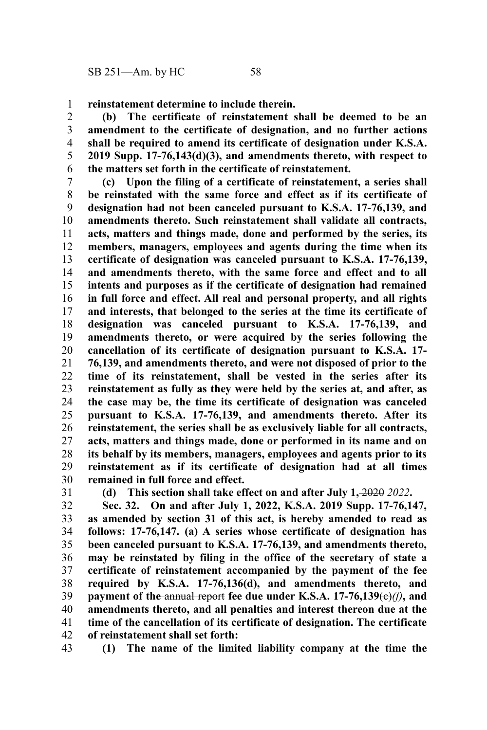**reinstatement determine to include therein.** 1

**(b) The certificate of reinstatement shall be deemed to be an amendment to the certificate of designation, and no further actions shall be required to amend its certificate of designation under K.S.A. 2019 Supp. 17-76,143(d)(3), and amendments thereto, with respect to the matters set forth in the certificate of reinstatement.** 2 3 4 5 6

**(c) Upon the filing of a certificate of reinstatement, a series shall be reinstated with the same force and effect as if its certificate of designation had not been canceled pursuant to K.S.A. 17-76,139, and amendments thereto. Such reinstatement shall validate all contracts, acts, matters and things made, done and performed by the series, its members, managers, employees and agents during the time when its certificate of designation was canceled pursuant to K.S.A. 17-76,139, and amendments thereto, with the same force and effect and to all intents and purposes as if the certificate of designation had remained in full force and effect. All real and personal property, and all rights and interests, that belonged to the series at the time its certificate of designation was canceled pursuant to K.S.A. 17-76,139, and amendments thereto, or were acquired by the series following the cancellation of its certificate of designation pursuant to K.S.A. 17- 76,139, and amendments thereto, and were not disposed of prior to the time of its reinstatement, shall be vested in the series after its reinstatement as fully as they were held by the series at, and after, as the case may be, the time its certificate of designation was canceled pursuant to K.S.A. 17-76,139, and amendments thereto. After its reinstatement, the series shall be as exclusively liable for all contracts, acts, matters and things made, done or performed in its name and on its behalf by its members, managers, employees and agents prior to its reinstatement as if its certificate of designation had at all times remained in full force and effect.** 7 8 9 10 11 12 13 14 15 16 17 18 19 20 21 22 23 24 25 26 27 28 29 30

31

**(d) This section shall take effect on and after July 1,** 2020 *2022***.**

**Sec. 32. On and after July 1, 2022, K.S.A. 2019 Supp. 17-76,147, as amended by section 31 of this act, is hereby amended to read as follows: 17-76,147. (a) A series whose certificate of designation has been canceled pursuant to K.S.A. 17-76,139, and amendments thereto, may be reinstated by filing in the office of the secretary of state a certificate of reinstatement accompanied by the payment of the fee required by K.S.A. 17-76,136(d), and amendments thereto, and payment of the** annual report **fee due under K.S.A. 17-76,139**(c)*(f)***, and amendments thereto, and all penalties and interest thereon due at the time of the cancellation of its certificate of designation. The certificate of reinstatement shall set forth:** 32 33 34 35 36 37 38 39 40 41 42

43

**(1) The name of the limited liability company at the time the**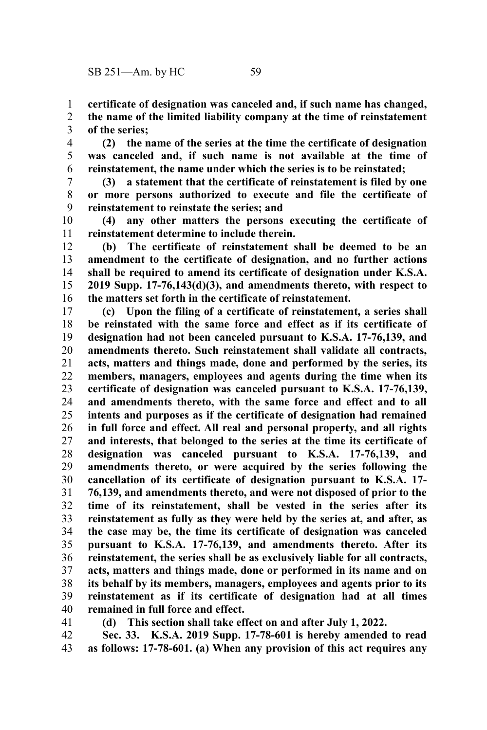- **certificate of designation was canceled and, if such name has changed, the name of the limited liability company at the time of reinstatement of the series;** 1 2 3
- **(2) the name of the series at the time the certificate of designation was canceled and, if such name is not available at the time of reinstatement, the name under which the series is to be reinstated;** 4 5 6
- **(3) a statement that the certificate of reinstatement is filed by one or more persons authorized to execute and file the certificate of reinstatement to reinstate the series; and** 7 8 9
- **(4) any other matters the persons executing the certificate of reinstatement determine to include therein.** 10 11
- **(b) The certificate of reinstatement shall be deemed to be an amendment to the certificate of designation, and no further actions shall be required to amend its certificate of designation under K.S.A. 2019 Supp. 17-76,143(d)(3), and amendments thereto, with respect to the matters set forth in the certificate of reinstatement.** 12 13 14 15 16
- **(c) Upon the filing of a certificate of reinstatement, a series shall be reinstated with the same force and effect as if its certificate of designation had not been canceled pursuant to K.S.A. 17-76,139, and amendments thereto. Such reinstatement shall validate all contracts, acts, matters and things made, done and performed by the series, its members, managers, employees and agents during the time when its certificate of designation was canceled pursuant to K.S.A. 17-76,139, and amendments thereto, with the same force and effect and to all intents and purposes as if the certificate of designation had remained in full force and effect. All real and personal property, and all rights and interests, that belonged to the series at the time its certificate of designation was canceled pursuant to K.S.A. 17-76,139, and amendments thereto, or were acquired by the series following the cancellation of its certificate of designation pursuant to K.S.A. 17- 76,139, and amendments thereto, and were not disposed of prior to the time of its reinstatement, shall be vested in the series after its reinstatement as fully as they were held by the series at, and after, as the case may be, the time its certificate of designation was canceled pursuant to K.S.A. 17-76,139, and amendments thereto. After its reinstatement, the series shall be as exclusively liable for all contracts, acts, matters and things made, done or performed in its name and on its behalf by its members, managers, employees and agents prior to its reinstatement as if its certificate of designation had at all times remained in full force and effect.** 17 18 19 20 21 22 23 24 25 26 27 28 29 30 31 32 33 34 35 36 37 38 39 40
- **(d) This section shall take effect on and after July 1, 2022.** 41
- **Sec. 33. K.S.A. 2019 Supp. 17-78-601 is hereby amended to read as follows: 17-78-601. (a) When any provision of this act requires any** 42 43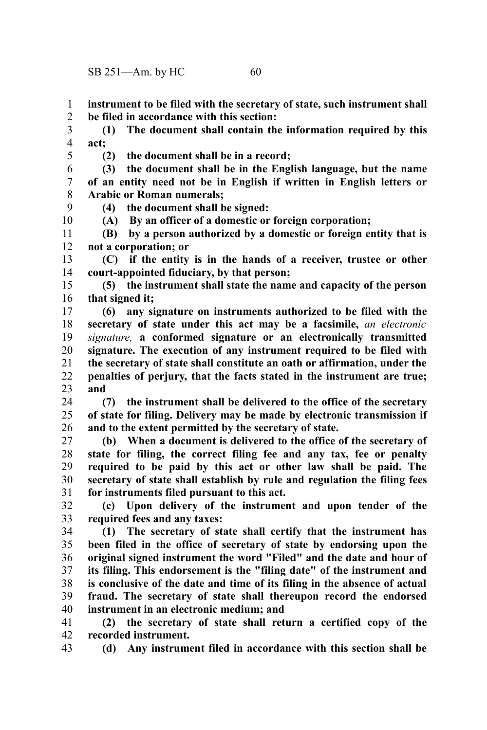**instrument to be filed with the secretary of state, such instrument shall be filed in accordance with this section:** 1 2

**(1) The document shall contain the information required by this act;** 3 4

5

9 10 **(2) the document shall be in a record;**

**(3) the document shall be in the English language, but the name of an entity need not be in English if written in English letters or Arabic or Roman numerals;** 6 7 8

**(4) the document shall be signed:**

**(A) By an officer of a domestic or foreign corporation;**

**(B) by a person authorized by a domestic or foreign entity that is not a corporation; or** 11 12

**(C) if the entity is in the hands of a receiver, trustee or other court-appointed fiduciary, by that person;** 13 14

**(5) the instrument shall state the name and capacity of the person that signed it;** 15 16

**(6) any signature on instruments authorized to be filed with the secretary of state under this act may be a facsimile,** *an electronic signature,* **a conformed signature or an electronically transmitted signature. The execution of any instrument required to be filed with the secretary of state shall constitute an oath or affirmation, under the penalties of perjury, that the facts stated in the instrument are true; and** 17 18 19 20 21 22 23

**(7) the instrument shall be delivered to the office of the secretary of state for filing. Delivery may be made by electronic transmission if and to the extent permitted by the secretary of state.** 24 25 26

**(b) When a document is delivered to the office of the secretary of state for filing, the correct filing fee and any tax, fee or penalty required to be paid by this act or other law shall be paid. The secretary of state shall establish by rule and regulation the filing fees for instruments filed pursuant to this act.** 27 28 29 30 31

**(c) Upon delivery of the instrument and upon tender of the required fees and any taxes:** 32 33

**(1) The secretary of state shall certify that the instrument has been filed in the office of secretary of state by endorsing upon the original signed instrument the word "Filed" and the date and hour of its filing. This endorsement is the "filing date" of the instrument and is conclusive of the date and time of its filing in the absence of actual fraud. The secretary of state shall thereupon record the endorsed instrument in an electronic medium; and** 34 35 36 37 38 39 40

**(2) the secretary of state shall return a certified copy of the recorded instrument.** 41 42

**(d) Any instrument filed in accordance with this section shall be** 43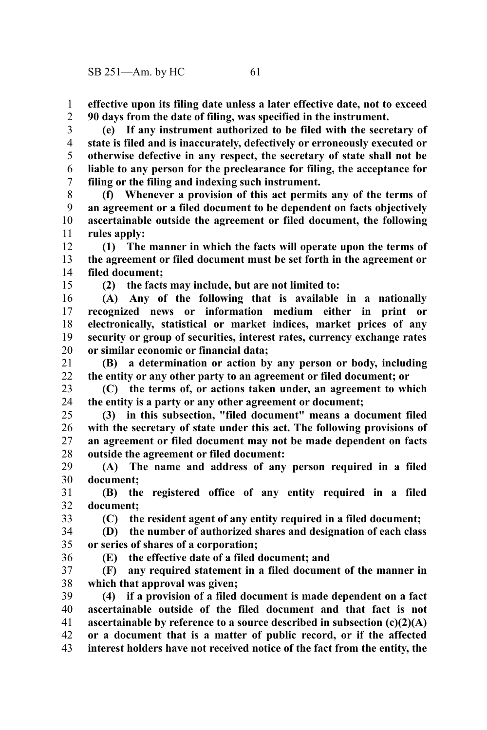**effective upon its filing date unless a later effective date, not to exceed 90 days from the date of filing, was specified in the instrument.** 1 2

**(e) If any instrument authorized to be filed with the secretary of state is filed and is inaccurately, defectively or erroneously executed or otherwise defective in any respect, the secretary of state shall not be liable to any person for the preclearance for filing, the acceptance for filing or the filing and indexing such instrument.** 3 4 5 6 7

**(f) Whenever a provision of this act permits any of the terms of an agreement or a filed document to be dependent on facts objectively ascertainable outside the agreement or filed document, the following rules apply:** 8 9 10 11

**(1) The manner in which the facts will operate upon the terms of the agreement or filed document must be set forth in the agreement or filed document;** 12 13 14

15

**(2) the facts may include, but are not limited to:**

**(A) Any of the following that is available in a nationally recognized news or information medium either in print or electronically, statistical or market indices, market prices of any security or group of securities, interest rates, currency exchange rates or similar economic or financial data;** 16 17 18 19 20

**(B) a determination or action by any person or body, including the entity or any other party to an agreement or filed document; or** 21 22

**(C) the terms of, or actions taken under, an agreement to which the entity is a party or any other agreement or document;** 23 24

**(3) in this subsection, "filed document" means a document filed with the secretary of state under this act. The following provisions of an agreement or filed document may not be made dependent on facts outside the agreement or filed document:** 25 26 27 28

**(A) The name and address of any person required in a filed document;** 29 30

**(B) the registered office of any entity required in a filed document;** 31 32

33

36

**(C) the resident agent of any entity required in a filed document;**

**(D) the number of authorized shares and designation of each class or series of shares of a corporation;** 34 35

**(E) the effective date of a filed document; and**

**(F) any required statement in a filed document of the manner in which that approval was given;** 37 38

**(4) if a provision of a filed document is made dependent on a fact ascertainable outside of the filed document and that fact is not ascertainable by reference to a source described in subsection (c)(2)(A) or a document that is a matter of public record, or if the affected interest holders have not received notice of the fact from the entity, the** 39 40 41 42 43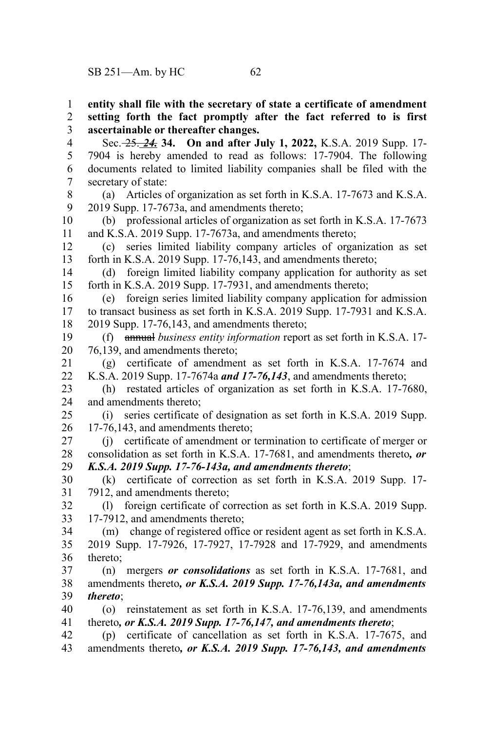**entity shall file with the secretary of state a certificate of amendment** 1

**setting forth the fact promptly after the fact referred to is first ascertainable or thereafter changes.** 2 3

Sec. 25. *24.* **34. On and after July 1, 2022,** K.S.A. 2019 Supp. 17- 7904 is hereby amended to read as follows: 17-7904. The following documents related to limited liability companies shall be filed with the secretary of state: 4 5 6 7

(a) Articles of organization as set forth in K.S.A. 17-7673 and K.S.A. 2019 Supp. 17-7673a, and amendments thereto; 8 9

(b) professional articles of organization as set forth in K.S.A. 17-7673 and K.S.A. 2019 Supp. 17-7673a, and amendments thereto; 10 11

(c) series limited liability company articles of organization as set forth in K.S.A. 2019 Supp. 17-76,143, and amendments thereto; 12 13

(d) foreign limited liability company application for authority as set forth in K.S.A. 2019 Supp. 17-7931, and amendments thereto; 14 15

(e) foreign series limited liability company application for admission to transact business as set forth in K.S.A. 2019 Supp. 17-7931 and K.S.A. 2019 Supp. 17-76,143, and amendments thereto; 16 17 18

(f) annual *business entity information* report as set forth in K.S.A. 17- 76,139, and amendments thereto; 19 20

(g) certificate of amendment as set forth in K.S.A. 17-7674 and K.S.A. 2019 Supp. 17-7674a *and 17-76,143*, and amendments thereto; 21 22

(h) restated articles of organization as set forth in K.S.A. 17-7680, and amendments thereto; 23 24

(i) series certificate of designation as set forth in K.S.A. 2019 Supp. 17-76,143, and amendments thereto; 25 26

(j) certificate of amendment or termination to certificate of merger or consolidation as set forth in K.S.A. 17-7681, and amendments thereto*, or K.S.A. 2019 Supp. 17-76-143a, and amendments thereto*; 27 28 29

(k) certificate of correction as set forth in K.S.A. 2019 Supp. 17- 7912, and amendments thereto; 30 31

(l) foreign certificate of correction as set forth in K.S.A. 2019 Supp. 17-7912, and amendments thereto; 32 33

(m) change of registered office or resident agent as set forth in K.S.A. 2019 Supp. 17-7926, 17-7927, 17-7928 and 17-7929, and amendments thereto; 34 35 36

(n) mergers *or consolidations* as set forth in K.S.A. 17-7681, and amendments thereto*, or K.S.A. 2019 Supp. 17-76,143a, and amendments thereto*; 37 38 39

(o) reinstatement as set forth in K.S.A. 17-76,139, and amendments thereto*, or K.S.A. 2019 Supp. 17-76,147, and amendments thereto*; 40 41

(p) certificate of cancellation as set forth in K.S.A. 17-7675, and amendments thereto*, or K.S.A. 2019 Supp. 17-76,143, and amendments* 42 43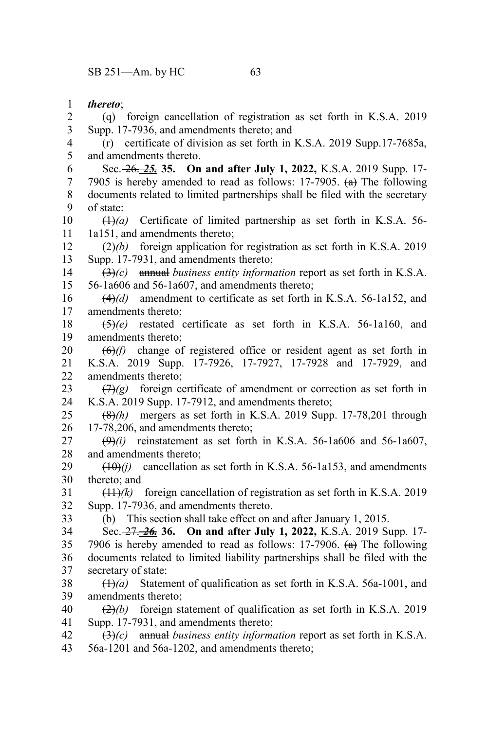*thereto*; 1

(q) foreign cancellation of registration as set forth in K.S.A. 2019 Supp. 17-7936, and amendments thereto; and 2 3

(r) certificate of division as set forth in K.S.A. 2019 Supp.17-7685a, and amendments thereto. 4 5

Sec. 26. *25.* **35. On and after July 1, 2022,** K.S.A. 2019 Supp. 17- 7905 is hereby amended to read as follows: 17-7905.  $(a)$  The following documents related to limited partnerships shall be filed with the secretary of state: 6 7 8 9

(1)*(a)* Certificate of limited partnership as set forth in K.S.A. 56- 1a151, and amendments thereto; 10 11

(2)*(b)* foreign application for registration as set forth in K.S.A. 2019 Supp. 17-7931, and amendments thereto; 12 13

(3)*(c)* annual *business entity information* report as set forth in K.S.A. 56-1a606 and 56-1a607, and amendments thereto; 14 15

(4)*(d)* amendment to certificate as set forth in K.S.A. 56-1a152, and amendments thereto; 16 17

(5)*(e)* restated certificate as set forth in K.S.A. 56-1a160, and amendments thereto; 18 19

(6)*(f)* change of registered office or resident agent as set forth in K.S.A. 2019 Supp. 17-7926, 17-7927, 17-7928 and 17-7929, and amendments thereto; 20 21 22

 $(\exists x)(g)$  foreign certificate of amendment or correction as set forth in K.S.A. 2019 Supp. 17-7912, and amendments thereto; 23 24

(8)*(h)* mergers as set forth in K.S.A. 2019 Supp. 17-78,201 through 17-78,206, and amendments thereto; 25 26

 $(9)$ *(i)* reinstatement as set forth in K.S.A. 56-1a606 and 56-1a607, and amendments thereto; 27 28

 $(10)(i)$  cancellation as set forth in K.S.A. 56-1a153, and amendments thereto; and 29 30

(11)*(k)* foreign cancellation of registration as set forth in K.S.A. 2019 Supp. 17-7936, and amendments thereto. 31 32

(b) This section shall take effect on and after January 1, 2015. 33

Sec. 27. *26.* **36. On and after July 1, 2022,** K.S.A. 2019 Supp. 17- 7906 is hereby amended to read as follows: 17-7906.  $(a)$  The following documents related to limited liability partnerships shall be filed with the secretary of state: 34 35 36 37

(1)*(a)* Statement of qualification as set forth in K.S.A. 56a-1001, and amendments thereto; 38 39

(2)*(b)* foreign statement of qualification as set forth in K.S.A. 2019 Supp. 17-7931, and amendments thereto; 40 41

(3)*(c)* annual *business entity information* report as set forth in K.S.A. 56a-1201 and 56a-1202, and amendments thereto; 42 43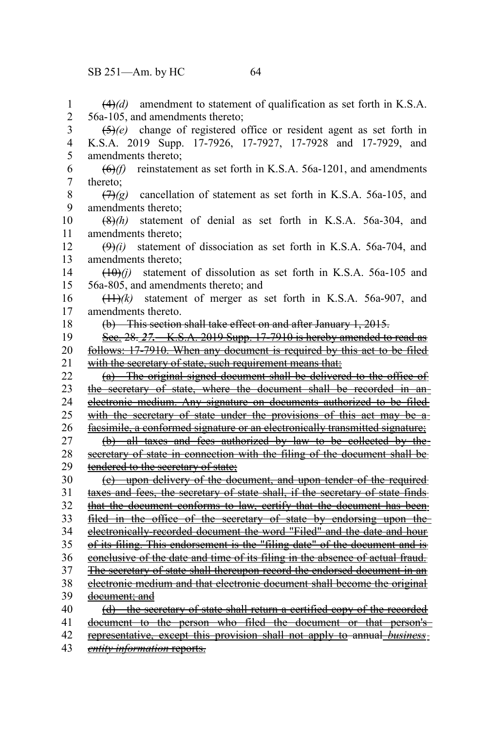| 1<br>$\overline{2}$     | amendment to statement of qualification as set forth in K.S.A.<br>$(4)$ $(d)$<br>56a-105, and amendments thereto;                                   |
|-------------------------|-----------------------------------------------------------------------------------------------------------------------------------------------------|
| $\overline{\mathbf{3}}$ | change of registered office or resident agent as set forth in                                                                                       |
| $\overline{4}$          | $\leftrightarrow$ (e)                                                                                                                               |
| 5                       | K.S.A. 2019 Supp. 17-7926, 17-7927, 17-7928 and 17-7929, and                                                                                        |
|                         | amendments thereto;                                                                                                                                 |
| 6                       | reinstatement as set forth in K.S.A. 56a-1201, and amendments<br>$\Theta(f)$                                                                        |
| $\overline{7}$          | thereto;                                                                                                                                            |
| $\,$ $\,$<br>9          | cancellation of statement as set forth in K.S.A. 56a-105, and<br>$\leftrightarrow$ <sub>(g)</sub><br>amendments thereto;                            |
| 10                      | statement of denial as set forth in K.S.A. 56a-304, and<br>$\left(\frac{8}{6}\right)$                                                               |
| 11                      | amendments thereto;                                                                                                                                 |
| 12                      | statement of dissociation as set forth in K.S.A. 56a-704, and<br>$\Theta$ i)                                                                        |
| 13                      | amendments thereto;                                                                                                                                 |
| 14                      | statement of dissolution as set forth in K.S.A. 56a-105 and<br>$\left(\frac{1}{0}\right)$                                                           |
| 15                      | 56a-805, and amendments thereto; and                                                                                                                |
| 16                      | $(11)(k)$ statement of merger as set forth in K.S.A. 56a-907, and                                                                                   |
| 17                      | amendments thereto.                                                                                                                                 |
| 18                      | (b) This section shall take effect on and after January 1, 2015.                                                                                    |
| 19                      | See: 28.27. K.S.A. 2019 Supp. 17-7910 is hereby amended to read as                                                                                  |
| 20                      | follows: 17-7910. When any document is required by this act to be filed                                                                             |
| 21                      | with the secretary of state, such requirement means that:                                                                                           |
| 22                      | (a) The original signed document shall be delivered to the office of                                                                                |
| 23                      | the secretary of state, where the document shall be recorded in an-                                                                                 |
| 24                      | electronic medium. Any signature on documents authorized to be filed                                                                                |
| 25                      | with the secretary of state under the provisions of this act may be a-                                                                              |
| 26                      | facsimile, a conformed signature or an electronically transmitted signature;                                                                        |
| 27                      | (b) all taxes and fees authorized by law to be collected by the-                                                                                    |
| 28                      | secretary of state in connection with the filing of the document shall be                                                                           |
| 29                      | tendered to the secretary of state;                                                                                                                 |
| 30                      | (e) upon delivery of the document, and upon tender of the required                                                                                  |
| 31                      | taxes and fees, the secretary of state shall, if the secretary of state finds:                                                                      |
| 32                      | that the document conforms to law, certify that the document has been-                                                                              |
| 33                      | filed in the office of the secretary of state by endorsing upon the                                                                                 |
| 34                      | electronically-recorded document the word "Filed" and the date and hour                                                                             |
| 35                      | of its filing. This endorsement is the "filing date" of the document and is                                                                         |
| 36                      | conclusive of the date and time of its filing in the absence of actual fraud-                                                                       |
| 37                      | The secretary of state shall thereupon record the endorsed document in an                                                                           |
| 38                      | electronic medium and that electronic document shall become the original                                                                            |
| 39                      | document; and                                                                                                                                       |
| 40                      | (d) the secretary of state shall return a certified copy of the recorded                                                                            |
| 41<br>42                | document to the person who filed the document or that person's<br>representative, except this provision shall not apply to annual <i>business</i> : |
| $\sim$                  |                                                                                                                                                     |

43 *entity information* reports.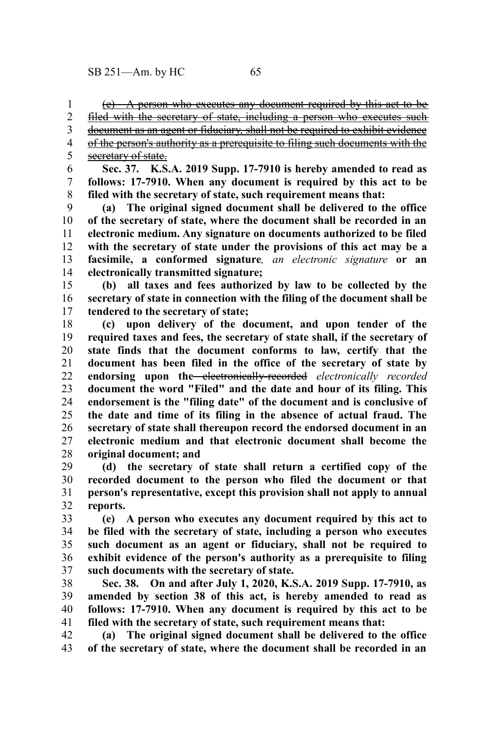(e) A person who executes any document required by this act to be filed with the secretary of state, including a person who executes such document as an agent or fiduciary, shall not be required to exhibit evidence of the person's authority as a prerequisite to filing such documents with the secretary of state. 1 2 3 4 5

**Sec. 37. K.S.A. 2019 Supp. 17-7910 is hereby amended to read as follows: 17-7910. When any document is required by this act to be filed with the secretary of state, such requirement means that:** 6 7 8

**(a) The original signed document shall be delivered to the office of the secretary of state, where the document shall be recorded in an electronic medium. Any signature on documents authorized to be filed with the secretary of state under the provisions of this act may be a facsimile, a conformed signature***, an electronic signature* **or an electronically transmitted signature;** 9 10 11 12 13 14

**(b) all taxes and fees authorized by law to be collected by the secretary of state in connection with the filing of the document shall be tendered to the secretary of state;** 15 16 17

**(c) upon delivery of the document, and upon tender of the required taxes and fees, the secretary of state shall, if the secretary of state finds that the document conforms to law, certify that the document has been filed in the office of the secretary of state by endorsing upon the** electronically-recorded *electronically recorded* **document the word "Filed" and the date and hour of its filing. This endorsement is the "filing date" of the document and is conclusive of the date and time of its filing in the absence of actual fraud. The secretary of state shall thereupon record the endorsed document in an electronic medium and that electronic document shall become the original document; and** 18 19 20 21 22 23 24 25 26 27 28

**(d) the secretary of state shall return a certified copy of the recorded document to the person who filed the document or that person's representative, except this provision shall not apply to annual reports.** 29 30 31 32

**(e) A person who executes any document required by this act to be filed with the secretary of state, including a person who executes such document as an agent or fiduciary, shall not be required to exhibit evidence of the person's authority as a prerequisite to filing such documents with the secretary of state.** 33 34 35 36 37

**Sec. 38. On and after July 1, 2020, K.S.A. 2019 Supp. 17-7910, as amended by section 38 of this act, is hereby amended to read as follows: 17-7910. When any document is required by this act to be filed with the secretary of state, such requirement means that:** 38 39 40 41

**(a) The original signed document shall be delivered to the office of the secretary of state, where the document shall be recorded in an** 42 43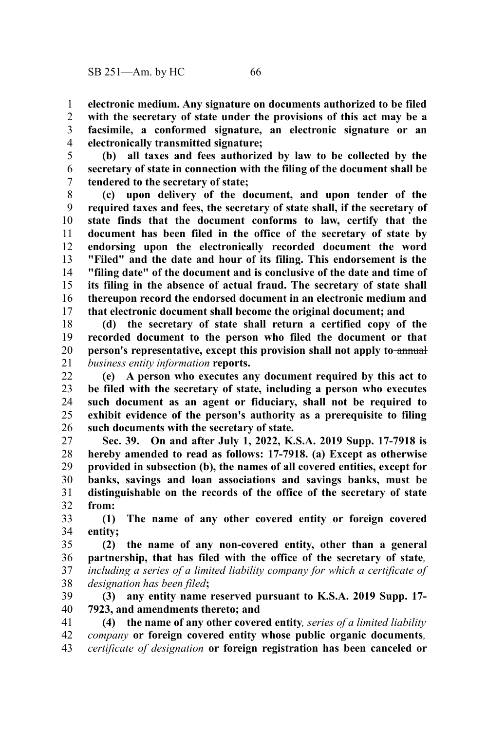**electronic medium. Any signature on documents authorized to be filed with the secretary of state under the provisions of this act may be a facsimile, a conformed signature, an electronic signature or an electronically transmitted signature;** 1 2 3 4

**(b) all taxes and fees authorized by law to be collected by the secretary of state in connection with the filing of the document shall be tendered to the secretary of state;** 5 6 7

**(c) upon delivery of the document, and upon tender of the required taxes and fees, the secretary of state shall, if the secretary of state finds that the document conforms to law, certify that the document has been filed in the office of the secretary of state by endorsing upon the electronically recorded document the word "Filed" and the date and hour of its filing. This endorsement is the "filing date" of the document and is conclusive of the date and time of its filing in the absence of actual fraud. The secretary of state shall thereupon record the endorsed document in an electronic medium and that electronic document shall become the original document; and** 8 9 10 11 12 13 14 15 16 17

**(d) the secretary of state shall return a certified copy of the recorded document to the person who filed the document or that person's representative, except this provision shall not apply to annual** *business entity information* **reports.** 18 19 20 21

**(e) A person who executes any document required by this act to be filed with the secretary of state, including a person who executes such document as an agent or fiduciary, shall not be required to exhibit evidence of the person's authority as a prerequisite to filing such documents with the secretary of state.** 22 23 24 25 26

**Sec. 39. On and after July 1, 2022, K.S.A. 2019 Supp. 17-7918 is hereby amended to read as follows: 17-7918. (a) Except as otherwise provided in subsection (b), the names of all covered entities, except for banks, savings and loan associations and savings banks, must be distinguishable on the records of the office of the secretary of state from:** 27 28 29 30 31 32

**(1) The name of any other covered entity or foreign covered entity;** 33 34

**(2) the name of any non-covered entity, other than a general partnership, that has filed with the office of the secretary of state***, including a series of a limited liability company for which a certificate of designation has been filed***;** 35 36 37 38

**(3) any entity name reserved pursuant to K.S.A. 2019 Supp. 17- 7923, and amendments thereto; and** 39 40

**(4) the name of any other covered entity***, series of a limited liability company* **or foreign covered entity whose public organic documents***, certificate of designation* **or foreign registration has been canceled or** 41 42 43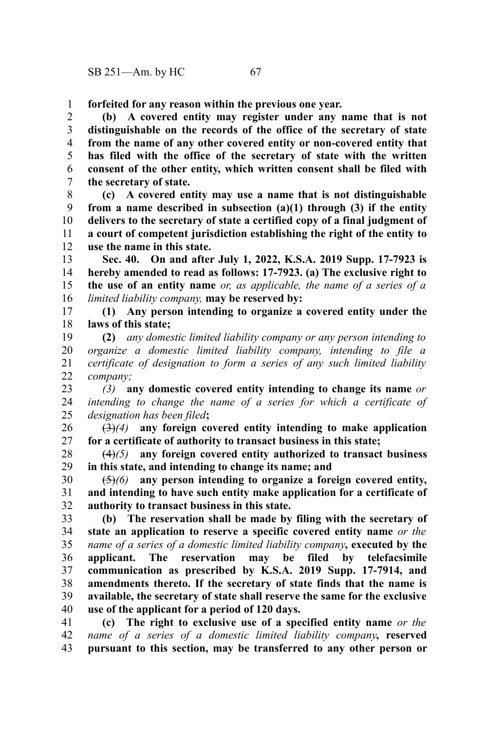**forfeited for any reason within the previous one year.** 1

**(b) A covered entity may register under any name that is not distinguishable on the records of the office of the secretary of state from the name of any other covered entity or non-covered entity that has filed with the office of the secretary of state with the written consent of the other entity, which written consent shall be filed with the secretary of state.** 2 3 4 5 6 7

**(c) A covered entity may use a name that is not distinguishable from a name described in subsection (a)(1) through (3) if the entity delivers to the secretary of state a certified copy of a final judgment of a court of competent jurisdiction establishing the right of the entity to use the name in this state.** 8 9 10 11 12

**Sec. 40. On and after July 1, 2022, K.S.A. 2019 Supp. 17-7923 is hereby amended to read as follows: 17-7923. (a) The exclusive right to the use of an entity name** *or, as applicable, the name of a series of a limited liability company,* **may be reserved by:** 13 14 15 16

**(1) Any person intending to organize a covered entity under the laws of this state;** 17 18

**(2)** *any domestic limited liability company or any person intending to organize a domestic limited liability company, intending to file a certificate of designation to form a series of any such limited liability company;* 19 20 21 22

*(3)* **any domestic covered entity intending to change its name** *or intending to change the name of a series for which a certificate of designation has been filed***;** 23 24 25

(3)*(4)* **any foreign covered entity intending to make application for a certificate of authority to transact business in this state;** 26 27

(4)*(5)* **any foreign covered entity authorized to transact business in this state, and intending to change its name; and** 28 29

(5)*(6)* **any person intending to organize a foreign covered entity, and intending to have such entity make application for a certificate of authority to transact business in this state.** 30 31 32

**(b) The reservation shall be made by filing with the secretary of state an application to reserve a specific covered entity name** *or the name of a series of a domestic limited liability company***, executed by the applicant. The reservation may be filed by telefacsimile communication as prescribed by K.S.A. 2019 Supp. 17-7914, and amendments thereto. If the secretary of state finds that the name is available, the secretary of state shall reserve the same for the exclusive use of the applicant for a period of 120 days.** 33 34 35 36 37 38 39 40

**(c) The right to exclusive use of a specified entity name** *or the name of a series of a domestic limited liability company***, reserved pursuant to this section, may be transferred to any other person or** 41 42 43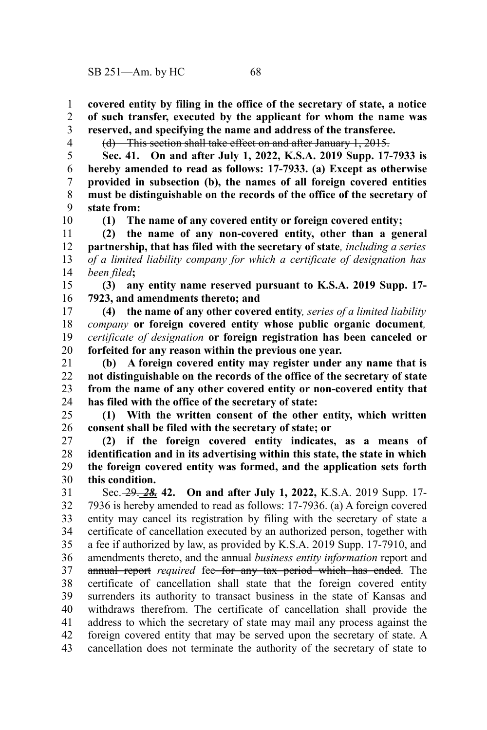**covered entity by filing in the office of the secretary of state, a notice of such transfer, executed by the applicant for whom the name was reserved, and specifying the name and address of the transferee.** 1 2 3

4

(d) This section shall take effect on and after January 1, 2015.

**Sec. 41. On and after July 1, 2022, K.S.A. 2019 Supp. 17-7933 is hereby amended to read as follows: 17-7933. (a) Except as otherwise provided in subsection (b), the names of all foreign covered entities must be distinguishable on the records of the office of the secretary of state from:** 5 6 7 8 9 10

**(1) The name of any covered entity or foreign covered entity;**

**(2) the name of any non-covered entity, other than a general partnership, that has filed with the secretary of state***, including a series of a limited liability company for which a certificate of designation has been filed***;** 11 12 13 14

**(3) any entity name reserved pursuant to K.S.A. 2019 Supp. 17- 7923, and amendments thereto; and** 15 16

**(4) the name of any other covered entity***, series of a limited liability company* **or foreign covered entity whose public organic document***, certificate of designation* **or foreign registration has been canceled or forfeited for any reason within the previous one year.** 17 18 19 20

**(b) A foreign covered entity may register under any name that is not distinguishable on the records of the office of the secretary of state from the name of any other covered entity or non-covered entity that has filed with the office of the secretary of state:** 21 22 23 24

**(1) With the written consent of the other entity, which written consent shall be filed with the secretary of state; or** 25 26

**(2) if the foreign covered entity indicates, as a means of identification and in its advertising within this state, the state in which the foreign covered entity was formed, and the application sets forth this condition.** 27 28 29 30

Sec. 29. *28.* **42. On and after July 1, 2022,** K.S.A. 2019 Supp. 17- 7936 is hereby amended to read as follows: 17-7936. (a) A foreign covered entity may cancel its registration by filing with the secretary of state a certificate of cancellation executed by an authorized person, together with a fee if authorized by law, as provided by K.S.A. 2019 Supp. 17-7910, and amendments thereto, and the annual *business entity information* report and annual report *required* fee for any tax period which has ended. The certificate of cancellation shall state that the foreign covered entity surrenders its authority to transact business in the state of Kansas and withdraws therefrom. The certificate of cancellation shall provide the address to which the secretary of state may mail any process against the foreign covered entity that may be served upon the secretary of state. A cancellation does not terminate the authority of the secretary of state to 31 32 33 34 35 36 37 38 39 40 41 42 43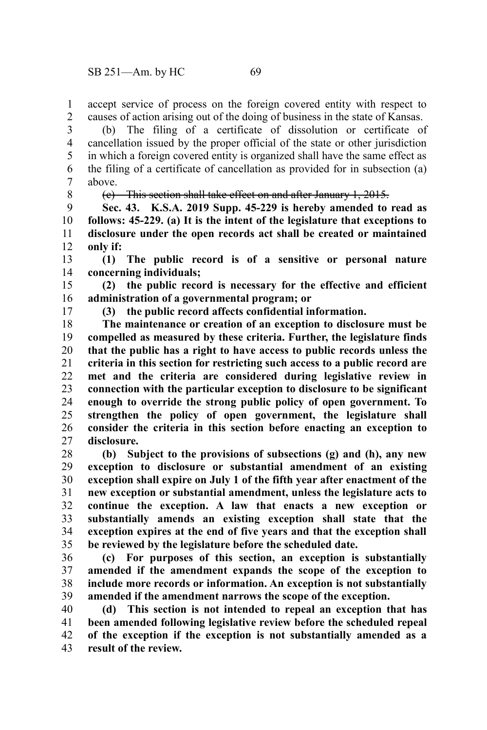accept service of process on the foreign covered entity with respect to causes of action arising out of the doing of business in the state of Kansas. 1 2

(b) The filing of a certificate of dissolution or certificate of cancellation issued by the proper official of the state or other jurisdiction in which a foreign covered entity is organized shall have the same effect as the filing of a certificate of cancellation as provided for in subsection (a) above. 3 4 5 6 7

8

(c) This section shall take effect on and after January 1, 2015.

**Sec. 43. K.S.A. 2019 Supp. 45-229 is hereby amended to read as follows: 45-229. (a) It is the intent of the legislature that exceptions to disclosure under the open records act shall be created or maintained only if:** 9 10 11 12

**(1) The public record is of a sensitive or personal nature concerning individuals;** 13 14

**(2) the public record is necessary for the effective and efficient administration of a governmental program; or** 15 16

17

**(3) the public record affects confidential information.**

**The maintenance or creation of an exception to disclosure must be compelled as measured by these criteria. Further, the legislature finds that the public has a right to have access to public records unless the criteria in this section for restricting such access to a public record are met and the criteria are considered during legislative review in connection with the particular exception to disclosure to be significant enough to override the strong public policy of open government. To strengthen the policy of open government, the legislature shall consider the criteria in this section before enacting an exception to disclosure.** 18 19 20 21 22 23 24 25 26 27

**(b) Subject to the provisions of subsections (g) and (h), any new exception to disclosure or substantial amendment of an existing exception shall expire on July 1 of the fifth year after enactment of the new exception or substantial amendment, unless the legislature acts to continue the exception. A law that enacts a new exception or substantially amends an existing exception shall state that the exception expires at the end of five years and that the exception shall be reviewed by the legislature before the scheduled date.** 28 29 30 31 32 33 34 35

**(c) For purposes of this section, an exception is substantially amended if the amendment expands the scope of the exception to include more records or information. An exception is not substantially amended if the amendment narrows the scope of the exception.** 36 37 38 39

**(d) This section is not intended to repeal an exception that has been amended following legislative review before the scheduled repeal of the exception if the exception is not substantially amended as a result of the review.** 40 41 42 43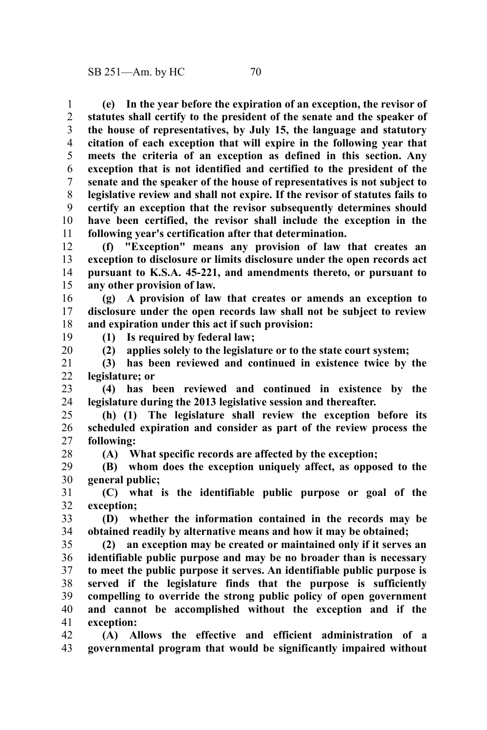**(e) In the year before the expiration of an exception, the revisor of statutes shall certify to the president of the senate and the speaker of the house of representatives, by July 15, the language and statutory citation of each exception that will expire in the following year that meets the criteria of an exception as defined in this section. Any exception that is not identified and certified to the president of the senate and the speaker of the house of representatives is not subject to legislative review and shall not expire. If the revisor of statutes fails to certify an exception that the revisor subsequently determines should have been certified, the revisor shall include the exception in the following year's certification after that determination.** 1 2 3 4 5 6 7 8 9 10 11

**(f) "Exception" means any provision of law that creates an exception to disclosure or limits disclosure under the open records act pursuant to K.S.A. 45-221, and amendments thereto, or pursuant to any other provision of law.** 12 13 14 15

**(g) A provision of law that creates or amends an exception to disclosure under the open records law shall not be subject to review and expiration under this act if such provision:** 16 17 18

19 20

28

**(1) Is required by federal law; (2) applies solely to the legislature or to the state court system;**

**(3) has been reviewed and continued in existence twice by the legislature; or** 21 22

**(4) has been reviewed and continued in existence by the legislature during the 2013 legislative session and thereafter.** 23 24

**(h) (1) The legislature shall review the exception before its scheduled expiration and consider as part of the review process the following:** 25 26 27

**(A) What specific records are affected by the exception;**

**(B) whom does the exception uniquely affect, as opposed to the general public;** 29 30

**(C) what is the identifiable public purpose or goal of the exception;** 31 32

**(D) whether the information contained in the records may be obtained readily by alternative means and how it may be obtained;** 33 34

**(2) an exception may be created or maintained only if it serves an identifiable public purpose and may be no broader than is necessary to meet the public purpose it serves. An identifiable public purpose is served if the legislature finds that the purpose is sufficiently compelling to override the strong public policy of open government and cannot be accomplished without the exception and if the exception:** 35 36 37 38 39 40 41

**(A) Allows the effective and efficient administration of a governmental program that would be significantly impaired without** 42 43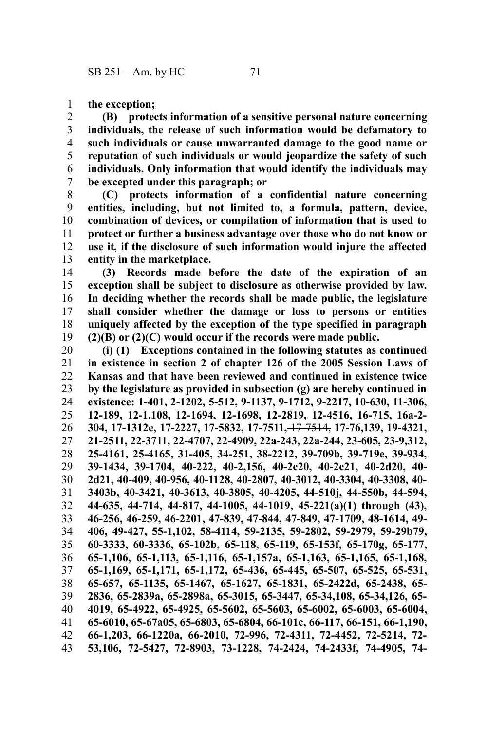**the exception;** 1

**(B) protects information of a sensitive personal nature concerning individuals, the release of such information would be defamatory to such individuals or cause unwarranted damage to the good name or reputation of such individuals or would jeopardize the safety of such individuals. Only information that would identify the individuals may be excepted under this paragraph; or** 2 3 4 5 6 7

**(C) protects information of a confidential nature concerning entities, including, but not limited to, a formula, pattern, device, combination of devices, or compilation of information that is used to protect or further a business advantage over those who do not know or use it, if the disclosure of such information would injure the affected entity in the marketplace.** 8 9 10 11 12 13

**(3) Records made before the date of the expiration of an exception shall be subject to disclosure as otherwise provided by law. In deciding whether the records shall be made public, the legislature shall consider whether the damage or loss to persons or entities uniquely affected by the exception of the type specified in paragraph (2)(B) or (2)(C) would occur if the records were made public.** 14 15 16 17 18 19

**(i) (1) Exceptions contained in the following statutes as continued in existence in section 2 of chapter 126 of the 2005 Session Laws of Kansas and that have been reviewed and continued in existence twice by the legislature as provided in subsection (g) are hereby continued in existence: 1-401, 2-1202, 5-512, 9-1137, 9-1712, 9-2217, 10-630, 11-306, 12-189, 12-1,108, 12-1694, 12-1698, 12-2819, 12-4516, 16-715, 16a-2- 304, 17-1312e, 17-2227, 17-5832, 17-7511,** 17-7514, **17-76,139, 19-4321, 21-2511, 22-3711, 22-4707, 22-4909, 22a-243, 22a-244, 23-605, 23-9,312, 25-4161, 25-4165, 31-405, 34-251, 38-2212, 39-709b, 39-719e, 39-934, 39-1434, 39-1704, 40-222, 40-2,156, 40-2c20, 40-2c21, 40-2d20, 40- 2d21, 40-409, 40-956, 40-1128, 40-2807, 40-3012, 40-3304, 40-3308, 40- 3403b, 40-3421, 40-3613, 40-3805, 40-4205, 44-510j, 44-550b, 44-594, 44-635, 44-714, 44-817, 44-1005, 44-1019, 45-221(a)(1) through (43), 46-256, 46-259, 46-2201, 47-839, 47-844, 47-849, 47-1709, 48-1614, 49- 406, 49-427, 55-1,102, 58-4114, 59-2135, 59-2802, 59-2979, 59-29b79, 60-3333, 60-3336, 65-102b, 65-118, 65-119, 65-153f, 65-170g, 65-177, 65-1,106, 65-1,113, 65-1,116, 65-1,157a, 65-1,163, 65-1,165, 65-1,168, 65-1,169, 65-1,171, 65-1,172, 65-436, 65-445, 65-507, 65-525, 65-531, 65-657, 65-1135, 65-1467, 65-1627, 65-1831, 65-2422d, 65-2438, 65- 2836, 65-2839a, 65-2898a, 65-3015, 65-3447, 65-34,108, 65-34,126, 65- 4019, 65-4922, 65-4925, 65-5602, 65-5603, 65-6002, 65-6003, 65-6004, 65-6010, 65-67a05, 65-6803, 65-6804, 66-101c, 66-117, 66-151, 66-1,190, 66-1,203, 66-1220a, 66-2010, 72-996, 72-4311, 72-4452, 72-5214, 72- 53,106, 72-5427, 72-8903, 73-1228, 74-2424, 74-2433f, 74-4905, 74-** 20 21 22 23 24 25 26 27 28 29 30 31 32 33 34 35 36 37 38 39 40 41 42 43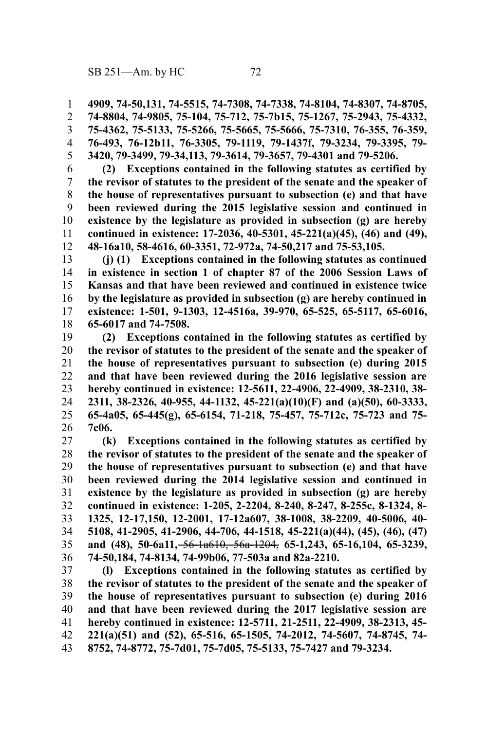**4909, 74-50,131, 74-5515, 74-7308, 74-7338, 74-8104, 74-8307, 74-8705,** 1

**74-8804, 74-9805, 75-104, 75-712, 75-7b15, 75-1267, 75-2943, 75-4332, 75-4362, 75-5133, 75-5266, 75-5665, 75-5666, 75-7310, 76-355, 76-359, 76-493, 76-12b11, 76-3305, 79-1119, 79-1437f, 79-3234, 79-3395, 79- 3420, 79-3499, 79-34,113, 79-3614, 79-3657, 79-4301 and 79-5206.** 2 3 4 5

**(2) Exceptions contained in the following statutes as certified by the revisor of statutes to the president of the senate and the speaker of the house of representatives pursuant to subsection (e) and that have been reviewed during the 2015 legislative session and continued in existence by the legislature as provided in subsection (g) are hereby continued in existence: 17-2036, 40-5301, 45-221(a)(45), (46) and (49), 48-16a10, 58-4616, 60-3351, 72-972a, 74-50,217 and 75-53,105.** 6 7 8 9 10 11 12

**(j) (1) Exceptions contained in the following statutes as continued in existence in section 1 of chapter 87 of the 2006 Session Laws of Kansas and that have been reviewed and continued in existence twice by the legislature as provided in subsection (g) are hereby continued in existence: 1-501, 9-1303, 12-4516a, 39-970, 65-525, 65-5117, 65-6016, 65-6017 and 74-7508.** 13 14 15 16 17 18

**(2) Exceptions contained in the following statutes as certified by the revisor of statutes to the president of the senate and the speaker of the house of representatives pursuant to subsection (e) during 2015 and that have been reviewed during the 2016 legislative session are hereby continued in existence: 12-5611, 22-4906, 22-4909, 38-2310, 38- 2311, 38-2326, 40-955, 44-1132, 45-221(a)(10)(F) and (a)(50), 60-3333, 65-4a05, 65-445(g), 65-6154, 71-218, 75-457, 75-712c, 75-723 and 75- 7c06.** 19 20 21 22 23 24 25 26

**(k) Exceptions contained in the following statutes as certified by the revisor of statutes to the president of the senate and the speaker of the house of representatives pursuant to subsection (e) and that have been reviewed during the 2014 legislative session and continued in existence by the legislature as provided in subsection (g) are hereby continued in existence: 1-205, 2-2204, 8-240, 8-247, 8-255c, 8-1324, 8- 1325, 12-17,150, 12-2001, 17-12a607, 38-1008, 38-2209, 40-5006, 40- 5108, 41-2905, 41-2906, 44-706, 44-1518, 45-221(a)(44), (45), (46), (47) and (48), 50-6a11,** 56-1a610, 56a-1204, **65-1,243, 65-16,104, 65-3239, 74-50,184, 74-8134, 74-99b06, 77-503a and 82a-2210.** 27 28 29 30 31 32 33 34 35 36

**(l) Exceptions contained in the following statutes as certified by the revisor of statutes to the president of the senate and the speaker of the house of representatives pursuant to subsection (e) during 2016 and that have been reviewed during the 2017 legislative session are hereby continued in existence: 12-5711, 21-2511, 22-4909, 38-2313, 45- 221(a)(51) and (52), 65-516, 65-1505, 74-2012, 74-5607, 74-8745, 74- 8752, 74-8772, 75-7d01, 75-7d05, 75-5133, 75-7427 and 79-3234.** 37 38 39 40 41 42 43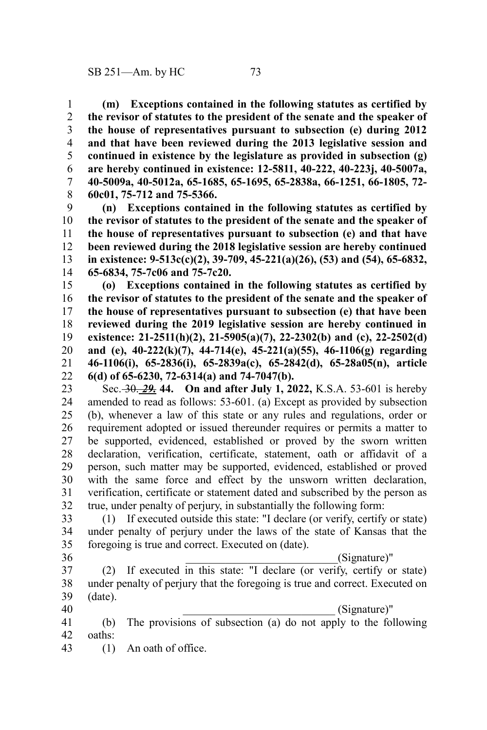**(m) Exceptions contained in the following statutes as certified by the revisor of statutes to the president of the senate and the speaker of the house of representatives pursuant to subsection (e) during 2012 and that have been reviewed during the 2013 legislative session and continued in existence by the legislature as provided in subsection (g) are hereby continued in existence: 12-5811, 40-222, 40-223j, 40-5007a, 40-5009a, 40-5012a, 65-1685, 65-1695, 65-2838a, 66-1251, 66-1805, 72- 60c01, 75-712 and 75-5366.** 1 2 3 4 5 6 7 8

**(n) Exceptions contained in the following statutes as certified by the revisor of statutes to the president of the senate and the speaker of the house of representatives pursuant to subsection (e) and that have been reviewed during the 2018 legislative session are hereby continued in existence: 9-513c(c)(2), 39-709, 45-221(a)(26), (53) and (54), 65-6832, 65-6834, 75-7c06 and 75-7c20.** 9 10 11 12 13 14

**(o) Exceptions contained in the following statutes as certified by the revisor of statutes to the president of the senate and the speaker of the house of representatives pursuant to subsection (e) that have been reviewed during the 2019 legislative session are hereby continued in existence: 21-2511(h)(2), 21-5905(a)(7), 22-2302(b) and (c), 22-2502(d) and (e), 40-222(k)(7), 44-714(e), 45-221(a)(55), 46-1106(g) regarding 46-1106(i), 65-2836(i), 65-2839a(c), 65-2842(d), 65-28a05(n), article 6(d) of 65-6230, 72-6314(a) and 74-7047(b).** 15 16 17 18 19 20 21 22

Sec. 30. *29.* **44. On and after July 1, 2022,** K.S.A. 53-601 is hereby amended to read as follows: 53-601. (a) Except as provided by subsection (b), whenever a law of this state or any rules and regulations, order or requirement adopted or issued thereunder requires or permits a matter to be supported, evidenced, established or proved by the sworn written declaration, verification, certificate, statement, oath or affidavit of a person, such matter may be supported, evidenced, established or proved with the same force and effect by the unsworn written declaration, verification, certificate or statement dated and subscribed by the person as true, under penalty of perjury, in substantially the following form: 23 24 25 26 27 28 29 30 31 32

(1) If executed outside this state: "I declare (or verify, certify or state) under penalty of perjury under the laws of the state of Kansas that the foregoing is true and correct. Executed on (date). 33 34 35

36

\_\_\_\_\_\_\_\_\_\_\_\_\_\_\_\_\_\_\_\_\_\_\_\_\_\_\_(Signature)"

(2) If executed in this state: "I declare (or verify, certify or state) under penalty of perjury that the foregoing is true and correct. Executed on (date). 37 38 39

40

 $(Signature)$ "

- (b) The provisions of subsection (a) do not apply to the following oaths: 41 42
- (1) An oath of office. 43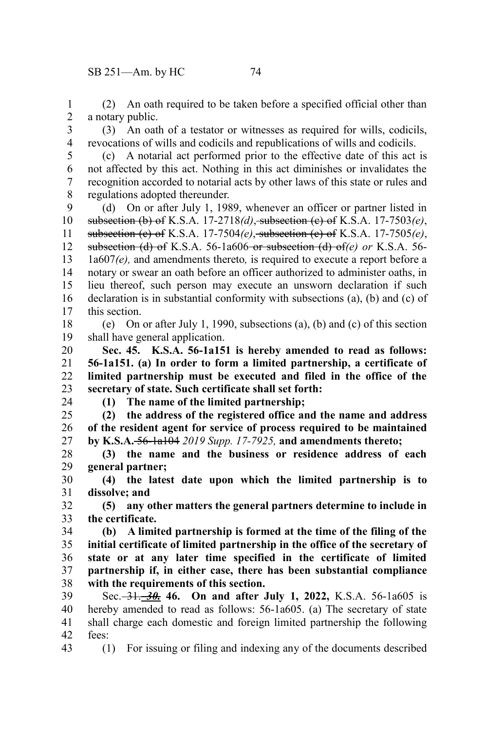SB 251—Am. by HC 74

(2) An oath required to be taken before a specified official other than a notary public. 1 2

3

(3) An oath of a testator or witnesses as required for wills, codicils, revocations of wills and codicils and republications of wills and codicils.

4

(c) A notarial act performed prior to the effective date of this act is not affected by this act. Nothing in this act diminishes or invalidates the recognition accorded to notarial acts by other laws of this state or rules and regulations adopted thereunder. 5 6 7 8

(d) On or after July 1, 1989, whenever an officer or partner listed in subsection (b) of K.S.A. 17-2718*(d)*, subsection (c) of K.S.A. 17-7503*(e)*, subsection (c) of K.S.A. 17-7504*(e)*, subsection (c) of K.S.A. 17-7505*(e)*, subsection (d) of K.S.A. 56-1a606 or subsection (d) of*(e) or* K.S.A. 56- 1a607*(e),* and amendments thereto*,* is required to execute a report before a notary or swear an oath before an officer authorized to administer oaths, in lieu thereof, such person may execute an unsworn declaration if such declaration is in substantial conformity with subsections (a), (b) and (c) of this section. 9 10 11 12 13 14 15 16 17

(e) On or after July 1, 1990, subsections (a), (b) and (c) of this section shall have general application. 18 19

**Sec. 45. K.S.A. 56-1a151 is hereby amended to read as follows: 56-1a151. (a) In order to form a limited partnership, a certificate of limited partnership must be executed and filed in the office of the secretary of state. Such certificate shall set forth:** 20 21 22 23

24

**(1) The name of the limited partnership;**

**(2) the address of the registered office and the name and address of the resident agent for service of process required to be maintained by K.S.A.** 56-1a104 *2019 Supp. 17-7925,* **and amendments thereto;** 25 26 27

**(3) the name and the business or residence address of each general partner;** 28 29

**(4) the latest date upon which the limited partnership is to dissolve; and** 30 31

**(5) any other matters the general partners determine to include in the certificate.** 32 33

**(b) A limited partnership is formed at the time of the filing of the initial certificate of limited partnership in the office of the secretary of state or at any later time specified in the certificate of limited partnership if, in either case, there has been substantial compliance with the requirements of this section.** 34 35 36 37 38

Sec. 31. *30.* **46. On and after July 1, 2022,** K.S.A. 56-1a605 is hereby amended to read as follows: 56-1a605. (a) The secretary of state shall charge each domestic and foreign limited partnership the following fees: 39 40 41 42

(1) For issuing or filing and indexing any of the documents described 43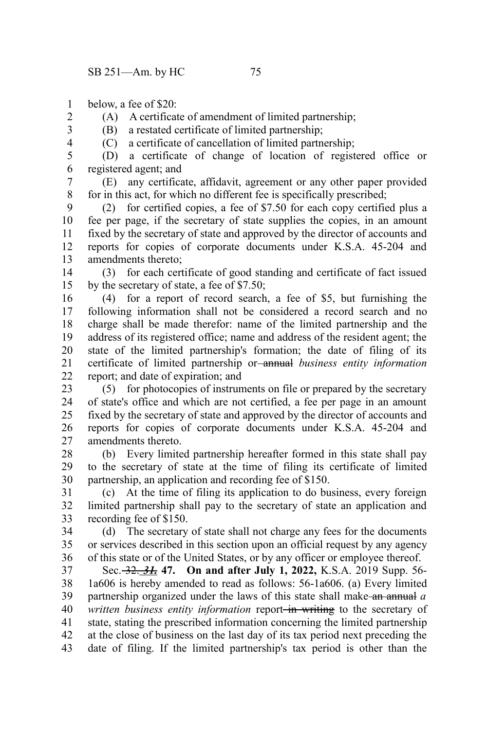below, a fee of \$20: 1

2 3 4 (A) A certificate of amendment of limited partnership;

(B) a restated certificate of limited partnership;

(C) a certificate of cancellation of limited partnership;

(D) a certificate of change of location of registered office or registered agent; and 5 6

(E) any certificate, affidavit, agreement or any other paper provided for in this act, for which no different fee is specifically prescribed; 7 8

(2) for certified copies, a fee of \$7.50 for each copy certified plus a fee per page, if the secretary of state supplies the copies, in an amount fixed by the secretary of state and approved by the director of accounts and reports for copies of corporate documents under K.S.A. 45-204 and amendments thereto; 9 10 11 12 13

(3) for each certificate of good standing and certificate of fact issued by the secretary of state, a fee of \$7.50; 14 15

(4) for a report of record search, a fee of \$5, but furnishing the following information shall not be considered a record search and no charge shall be made therefor: name of the limited partnership and the address of its registered office; name and address of the resident agent; the state of the limited partnership's formation; the date of filing of its certificate of limited partnership or annual *business entity information* report; and date of expiration; and 16 17 18 19 20 21 22

(5) for photocopies of instruments on file or prepared by the secretary of state's office and which are not certified, a fee per page in an amount fixed by the secretary of state and approved by the director of accounts and reports for copies of corporate documents under K.S.A. 45-204 and amendments thereto. 23 24 25 26 27

(b) Every limited partnership hereafter formed in this state shall pay to the secretary of state at the time of filing its certificate of limited partnership, an application and recording fee of \$150. 28 29 30

(c) At the time of filing its application to do business, every foreign limited partnership shall pay to the secretary of state an application and recording fee of \$150. 31 32 33

(d) The secretary of state shall not charge any fees for the documents or services described in this section upon an official request by any agency of this state or of the United States, or by any officer or employee thereof. 34 35 36

Sec. 32. *31.* **47. On and after July 1, 2022,** K.S.A. 2019 Supp. 56- 1a606 is hereby amended to read as follows: 56-1a606. (a) Every limited partnership organized under the laws of this state shall make an annual *a written business entity information* report—in writing to the secretary of state, stating the prescribed information concerning the limited partnership at the close of business on the last day of its tax period next preceding the date of filing. If the limited partnership's tax period is other than the 37 38 39 40 41 42 43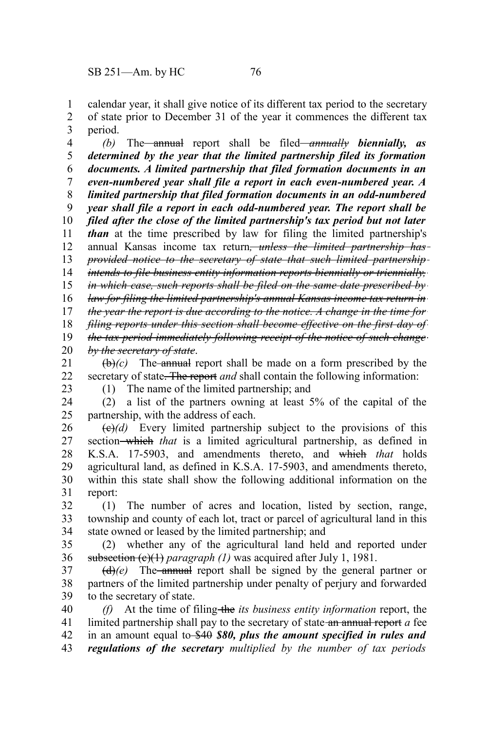calendar year, it shall give notice of its different tax period to the secretary of state prior to December 31 of the year it commences the different tax period. 1 2 3

*(b)* The annual report shall be filed *annually biennially, as determined by the year that the limited partnership filed its formation documents. A limited partnership that filed formation documents in an even-numbered year shall file a report in each even-numbered year. A limited partnership that filed formation documents in an odd-numbered year shall file a report in each odd-numbered year. The report shall be filed after the close of the limited partnership's tax period but not later than* at the time prescribed by law for filing the limited partnership's annual Kansas income tax return*, unless the limited partnership has provided notice to the secretary of state that such limited partnership intends to file business entity information reports biennially or triennially, in which case, such reports shall be filed on the same date prescribed by law for filing the limited partnership's annual Kansas income tax return in the year the report is due according to the notice. A change in the time for filing reports under this section shall become effective on the first day of the tax period immediately following receipt of the notice of such change by the secretary of state*. 4 5 6 7 8 9 10 11 12 13 14 15 16 17 18 19 20

 $\left(\frac{b}{c}\right)$  The annual report shall be made on a form prescribed by the secretary of state. The report *and* shall contain the following information: 21 22

23

(1) The name of the limited partnership; and

(2) a list of the partners owning at least 5% of the capital of the partnership, with the address of each. 24 25

 $\left(\frac{e}{e}\right)$  Every limited partnership subject to the provisions of this section—which *that* is a limited agricultural partnership, as defined in K.S.A. 17-5903, and amendments thereto, and which *that* holds agricultural land, as defined in K.S.A. 17-5903, and amendments thereto, within this state shall show the following additional information on the report: 26 27 28 29 30 31

(1) The number of acres and location, listed by section, range, township and county of each lot, tract or parcel of agricultural land in this state owned or leased by the limited partnership; and 32 33 34

(2) whether any of the agricultural land held and reported under subsection (e)(1) *paragraph* (1) was acquired after July 1, 1981. 35 36

 $(d)$ (e) The annual report shall be signed by the general partner or partners of the limited partnership under penalty of perjury and forwarded to the secretary of state. 37 38 39

*(f)* At the time of filing the *its business entity information* report, the limited partnership shall pay to the secretary of state an annual report *a* fee in an amount equal to \$40 *\$80, plus the amount specified in rules and regulations of the secretary multiplied by the number of tax periods* 40 41 42 43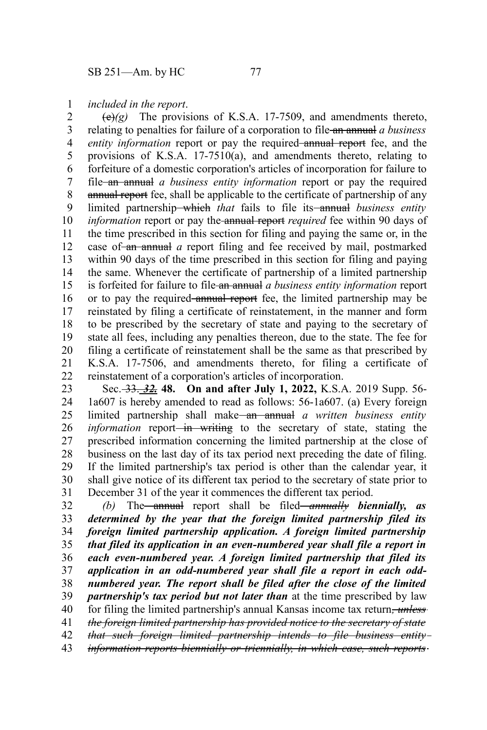## SB 251—Am. by HC 77

*included in the report*. 1

 $\left(\frac{e}{e}\right)(g)$  The provisions of K.S.A. 17-7509, and amendments thereto, relating to penalties for failure of a corporation to file an annual *a business entity information* report or pay the required annual report fee, and the provisions of K.S.A. 17-7510(a), and amendments thereto, relating to forfeiture of a domestic corporation's articles of incorporation for failure to file an annual *a business entity information* report or pay the required annual report fee, shall be applicable to the certificate of partnership of any limited partnership-which that fails to file its-annual business entity *information* report or pay the annual report *required* fee within 90 days of the time prescribed in this section for filing and paying the same or, in the case of an annual *a* report filing and fee received by mail, postmarked within 90 days of the time prescribed in this section for filing and paying the same. Whenever the certificate of partnership of a limited partnership is forfeited for failure to file an annual *a business entity information* report or to pay the required annual report fee, the limited partnership may be reinstated by filing a certificate of reinstatement, in the manner and form to be prescribed by the secretary of state and paying to the secretary of state all fees, including any penalties thereon, due to the state. The fee for filing a certificate of reinstatement shall be the same as that prescribed by K.S.A. 17-7506, and amendments thereto, for filing a certificate of reinstatement of a corporation's articles of incorporation. 2 3 4 5 6 7 8 9 10 11 12 13 14 15 16 17 18 19 20 21 22

Sec. 33. *32.* **48. On and after July 1, 2022,** K.S.A. 2019 Supp. 56- 1a607 is hereby amended to read as follows: 56-1a607. (a) Every foreign limited partnership shall make an annual *a written business entity information* report<del> in writing</del> to the secretary of state, stating the prescribed information concerning the limited partnership at the close of business on the last day of its tax period next preceding the date of filing. If the limited partnership's tax period is other than the calendar year, it shall give notice of its different tax period to the secretary of state prior to December 31 of the year it commences the different tax period. 23 24 25 26 27 28 29 30 31

*(b)* The annual report shall be filed *annually biennially, as determined by the year that the foreign limited partnership filed its foreign limited partnership application. A foreign limited partnership that filed its application in an even-numbered year shall file a report in each even-numbered year. A foreign limited partnership that filed its application in an odd-numbered year shall file a report in each oddnumbered year. The report shall be filed after the close of the limited partnership's tax period but not later than* at the time prescribed by law for filing the limited partnership's annual Kansas income tax return*, unless the foreign limited partnership has provided notice to the secretary of state that such foreign limited partnership intends to file business entity* 32 33 34 35 36 37 38 39 40 41 42

*information reports biennially or triennially, in which case, such reports* 43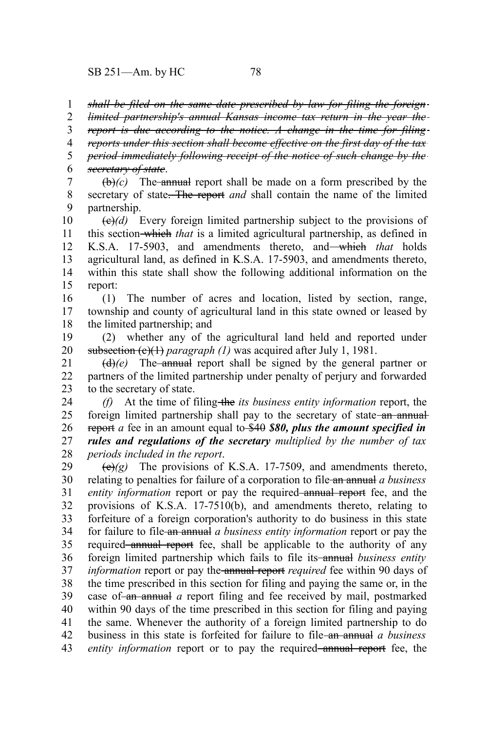*shall be filed on the same date prescribed by law for filing the foreign* 1

*limited partnership's annual Kansas income tax return in the year the* 2

*report is due according to the notice. A change in the time for filing* 3

*reports under this section shall become effective on the first day of the tax* 4

*period immediately following receipt of the notice of such change by the secretary of state*. 5 6

 $(\theta)$  (c) The annual report shall be made on a form prescribed by the secretary of state. The report *and* shall contain the name of the limited partnership. 7 8 9

(c)*(d)* Every foreign limited partnership subject to the provisions of this section which *that* is a limited agricultural partnership, as defined in K.S.A. 17-5903, and amendments thereto, and which *that* holds agricultural land, as defined in K.S.A. 17-5903, and amendments thereto, within this state shall show the following additional information on the report: 10 11 12 13 14 15

(1) The number of acres and location, listed by section, range, township and county of agricultural land in this state owned or leased by the limited partnership; and 16 17 18

(2) whether any of the agricultural land held and reported under subsection (e)(1) *paragraph (1)* was acquired after July 1, 1981. 19 20

 $(d)$ (e) The annual report shall be signed by the general partner or partners of the limited partnership under penalty of perjury and forwarded to the secretary of state. 21 22 23

*(f)* At the time of filing the *its business entity information* report, the foreign limited partnership shall pay to the secretary of state an annualreport *a* fee in an amount equal to \$40 *\$80, plus the amount specified in rules and regulations of the secretary multiplied by the number of tax periods included in the report*. 24 25 26 27 28

 $\left(\frac{e}{e}\right)(g)$  The provisions of K.S.A. 17-7509, and amendments thereto, relating to penalties for failure of a corporation to file an annual *a business entity information* report or pay the required annual report fee, and the provisions of K.S.A. 17-7510(b), and amendments thereto, relating to forfeiture of a foreign corporation's authority to do business in this state for failure to file an annual *a business entity information* report or pay the required annual report fee, shall be applicable to the authority of any foreign limited partnership which fails to file its-annual business entity *information* report or pay the annual report *required* fee within 90 days of the time prescribed in this section for filing and paying the same or, in the case of-an annual *a* report filing and fee received by mail, postmarked within 90 days of the time prescribed in this section for filing and paying the same. Whenever the authority of a foreign limited partnership to do business in this state is forfeited for failure to file an annual *a business entity information* report or to pay the required annual report fee, the 29 30 31 32 33 34 35 36 37 38 39 40 41 42 43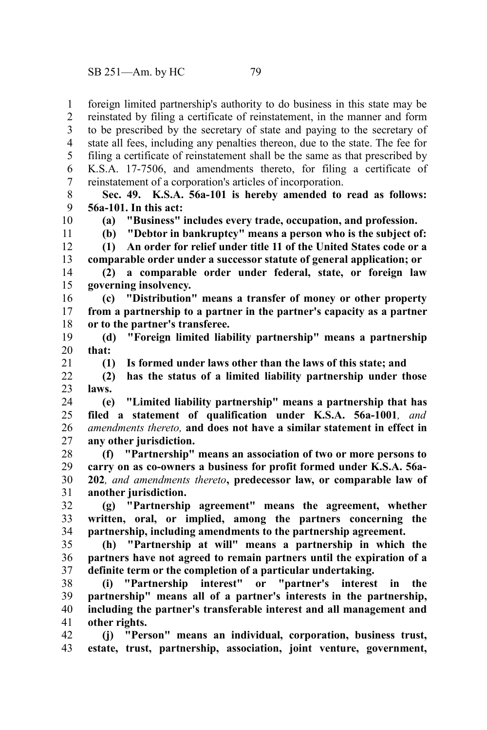foreign limited partnership's authority to do business in this state may be reinstated by filing a certificate of reinstatement, in the manner and form to be prescribed by the secretary of state and paying to the secretary of state all fees, including any penalties thereon, due to the state. The fee for filing a certificate of reinstatement shall be the same as that prescribed by K.S.A. 17-7506, and amendments thereto, for filing a certificate of reinstatement of a corporation's articles of incorporation. 1 2 3 4 5 6 7

**Sec. 49. K.S.A. 56a-101 is hereby amended to read as follows: 56a-101. In this act:** 8 9

10

21

**(a) "Business" includes every trade, occupation, and profession.**

11

**(b) "Debtor in bankruptcy" means a person who is the subject of:**

**(1) An order for relief under title 11 of the United States code or a comparable order under a successor statute of general application; or** 12 13

**(2) a comparable order under federal, state, or foreign law governing insolvency.** 14 15

**(c) "Distribution" means a transfer of money or other property from a partnership to a partner in the partner's capacity as a partner or to the partner's transferee.** 16 17 18

**(d) "Foreign limited liability partnership" means a partnership that:** 19 20

**(1) Is formed under laws other than the laws of this state; and**

**(2) has the status of a limited liability partnership under those laws.** 22 23

**(e) "Limited liability partnership" means a partnership that has filed a statement of qualification under K.S.A. 56a-1001***, and amendments thereto,* **and does not have a similar statement in effect in any other jurisdiction.** 24 25 26 27

**(f) "Partnership" means an association of two or more persons to carry on as co-owners a business for profit formed under K.S.A. 56a-202***, and amendments thereto***, predecessor law, or comparable law of another jurisdiction.** 28 29 30 31

**(g) "Partnership agreement" means the agreement, whether written, oral, or implied, among the partners concerning the partnership, including amendments to the partnership agreement.** 32 33 34

**(h) "Partnership at will" means a partnership in which the partners have not agreed to remain partners until the expiration of a definite term or the completion of a particular undertaking.** 35 36 37

**(i) "Partnership interest" or "partner's interest in the partnership" means all of a partner's interests in the partnership, including the partner's transferable interest and all management and other rights.** 38 39 40 41

**(j) "Person" means an individual, corporation, business trust, estate, trust, partnership, association, joint venture, government,** 42 43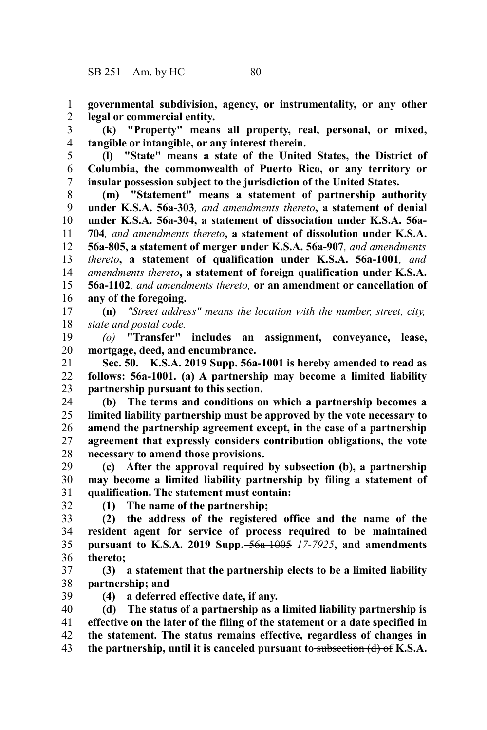**governmental subdivision, agency, or instrumentality, or any other legal or commercial entity.** 1 2

**(k) "Property" means all property, real, personal, or mixed, tangible or intangible, or any interest therein.** 3 4

**(l) "State" means a state of the United States, the District of Columbia, the commonwealth of Puerto Rico, or any territory or insular possession subject to the jurisdiction of the United States.** 5 6 7

**(m) "Statement" means a statement of partnership authority under K.S.A. 56a-303***, and amendments thereto***, a statement of denial under K.S.A. 56a-304, a statement of dissociation under K.S.A. 56a-704***, and amendments thereto***, a statement of dissolution under K.S.A. 56a-805, a statement of merger under K.S.A. 56a-907***, and amendments thereto***, a statement of qualification under K.S.A. 56a-1001***, and amendments thereto***, a statement of foreign qualification under K.S.A. 56a-1102***, and amendments thereto,* **or an amendment or cancellation of any of the foregoing.** 8 9 10 11 12 13 14 15 16

**(n)** *"Street address" means the location with the number, street, city, state and postal code.* 17 18

*(o)* **"Transfer" includes an assignment, conveyance, lease, mortgage, deed, and encumbrance.** 19 20

**Sec. 50. K.S.A. 2019 Supp. 56a-1001 is hereby amended to read as follows: 56a-1001. (a) A partnership may become a limited liability partnership pursuant to this section.** 21 22 23

**(b) The terms and conditions on which a partnership becomes a limited liability partnership must be approved by the vote necessary to amend the partnership agreement except, in the case of a partnership agreement that expressly considers contribution obligations, the vote necessary to amend those provisions.** 24 25 26 27 28

**(c) After the approval required by subsection (b), a partnership may become a limited liability partnership by filing a statement of qualification. The statement must contain:** 29 30 31

32

**(1) The name of the partnership;**

**(2) the address of the registered office and the name of the resident agent for service of process required to be maintained pursuant to K.S.A. 2019 Supp.** 56a-1005 *17-7925***, and amendments thereto;** 33 34 35 36

**(3) a statement that the partnership elects to be a limited liability partnership; and** 37 38

39

**(4) a deferred effective date, if any.**

**(d) The status of a partnership as a limited liability partnership is effective on the later of the filing of the statement or a date specified in the statement. The status remains effective, regardless of changes in the partnership, until it is canceled pursuant to** subsection (d) of **K.S.A.** 40 41 42 43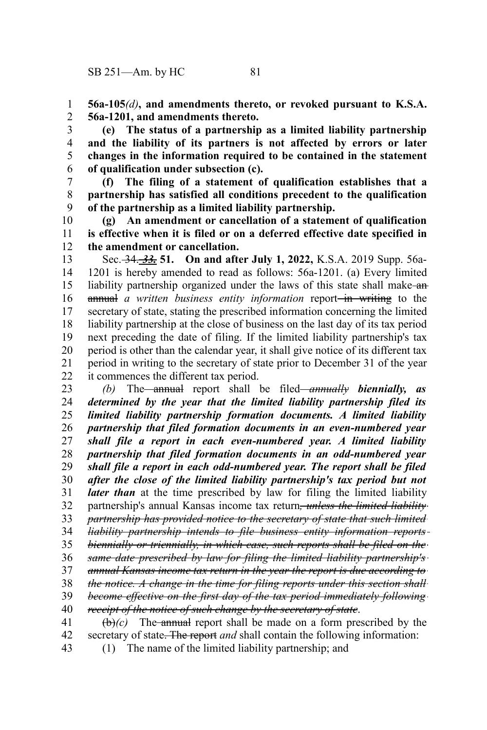**56a-105***(d)***, and amendments thereto, or revoked pursuant to K.S.A. 56a-1201, and amendments thereto.** 1 2

**(e) The status of a partnership as a limited liability partnership and the liability of its partners is not affected by errors or later changes in the information required to be contained in the statement of qualification under subsection (c).** 3 4 5 6

**(f) The filing of a statement of qualification establishes that a partnership has satisfied all conditions precedent to the qualification of the partnership as a limited liability partnership.** 7 8 9

**(g) An amendment or cancellation of a statement of qualification is effective when it is filed or on a deferred effective date specified in the amendment or cancellation.** 10 11 12

Sec. 34. *33.* **51. On and after July 1, 2022,** K.S.A. 2019 Supp. 56a-1201 is hereby amended to read as follows: 56a-1201. (a) Every limited liability partnership organized under the laws of this state shall make-anannual *a written business entity information* report<del> in writing</del> to the secretary of state, stating the prescribed information concerning the limited liability partnership at the close of business on the last day of its tax period next preceding the date of filing. If the limited liability partnership's tax period is other than the calendar year, it shall give notice of its different tax period in writing to the secretary of state prior to December 31 of the year it commences the different tax period. 13 14 15 16 17 18 19 20 21 22

*(b)* The annual report shall be filed *annually biennially, as determined by the year that the limited liability partnership filed its limited liability partnership formation documents. A limited liability partnership that filed formation documents in an even-numbered year shall file a report in each even-numbered year. A limited liability partnership that filed formation documents in an odd-numbered year shall file a report in each odd-numbered year. The report shall be filed after the close of the limited liability partnership's tax period but not later than* at the time prescribed by law for filing the limited liability partnership's annual Kansas income tax return*, unless the limited liability partnership has provided notice to the secretary of state that such limited liability partnership intends to file business entity information reports biennially or triennially, in which case, such reports shall be filed on the same date prescribed by law for filing the limited liability partnership's annual Kansas income tax return in the year the report is due according to the notice. A change in the time for filing reports under this section shall become effective on the first day of the tax period immediately following receipt of the notice of such change by the secretary of state*.  $\left(\frac{b}{c}\right)$  The annual report shall be made on a form prescribed by the secretary of state. The report *and* shall contain the following information: 23 24 25 26 27 28 29 30 31 32 33 34 35 36 37 38 39 40 41 42

(1) The name of the limited liability partnership; and 43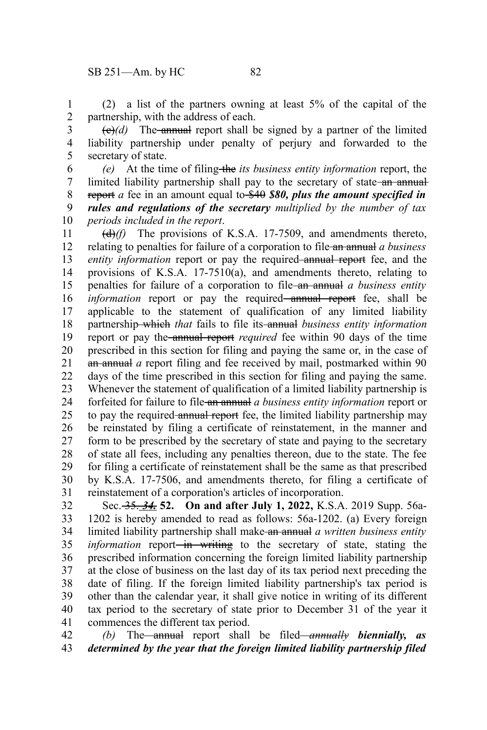(2) a list of the partners owning at least 5% of the capital of the partnership, with the address of each. 1 2

3 4

5

 $\left(\frac{e}{e}\right)$  The annual report shall be signed by a partner of the limited liability partnership under penalty of perjury and forwarded to the secretary of state.

*(e)* At the time of filing-the *its business entity information* report, the limited liability partnership shall pay to the secretary of state an annualreport *a* fee in an amount equal to \$40 *\$80, plus the amount specified in rules and regulations of the secretary multiplied by the number of tax periods included in the report*. 6 7 8 9 10

(d)*(f)* The provisions of K.S.A. 17-7509, and amendments thereto, relating to penalties for failure of a corporation to file an annual *a business entity information* report or pay the required annual report fee, and the provisions of K.S.A. 17-7510(a), and amendments thereto, relating to penalties for failure of a corporation to file an annual *a business entity information* report or pay the required—annual report fee, shall be applicable to the statement of qualification of any limited liability partnership which *that* fails to file its annual *business entity information* report or pay the annual report *required* fee within 90 days of the time prescribed in this section for filing and paying the same or, in the case of an annual *a* report filing and fee received by mail, postmarked within 90 days of the time prescribed in this section for filing and paying the same. Whenever the statement of qualification of a limited liability partnership is forfeited for failure to file an annual *a business entity information* report or to pay the required annual report fee, the limited liability partnership may be reinstated by filing a certificate of reinstatement, in the manner and form to be prescribed by the secretary of state and paying to the secretary of state all fees, including any penalties thereon, due to the state. The fee for filing a certificate of reinstatement shall be the same as that prescribed by K.S.A. 17-7506, and amendments thereto, for filing a certificate of reinstatement of a corporation's articles of incorporation. 11 12 13 14 15 16 17 18 19 20 21 22 23 24 25 26 27 28 29 30 31

Sec. 35. *34.* **52. On and after July 1, 2022,** K.S.A. 2019 Supp. 56a-1202 is hereby amended to read as follows: 56a-1202. (a) Every foreign limited liability partnership shall make an annual *a written business entity information* report<del> in writing</del> to the secretary of state, stating the prescribed information concerning the foreign limited liability partnership at the close of business on the last day of its tax period next preceding the date of filing. If the foreign limited liability partnership's tax period is other than the calendar year, it shall give notice in writing of its different tax period to the secretary of state prior to December 31 of the year it commences the different tax period. 32 33 34 35 36 37 38 39 40 41

*(b)* The annual report shall be filed *annually biennially, as determined by the year that the foreign limited liability partnership filed* 42 43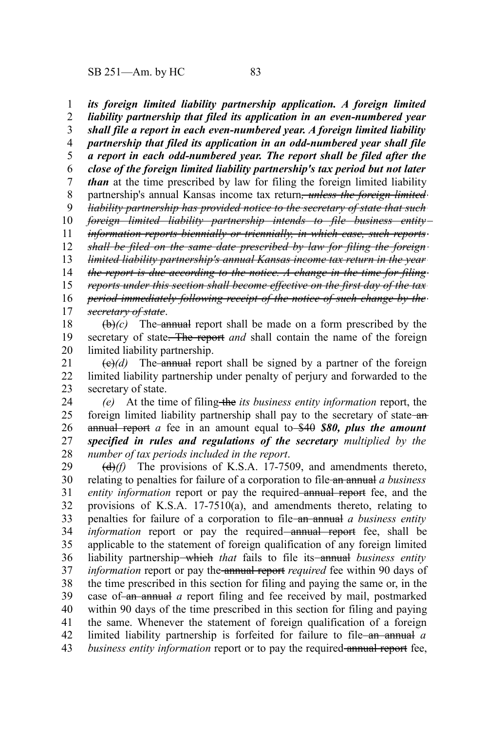SB 251—Am. by HC 83

*its foreign limited liability partnership application. A foreign limited* 1

*liability partnership that filed its application in an even-numbered year* 2

*shall file a report in each even-numbered year. A foreign limited liability partnership that filed its application in an odd-numbered year shall file* 3 4

*a report in each odd-numbered year. The report shall be filed after the* 5

*close of the foreign limited liability partnership's tax period but not later* 6

*than* at the time prescribed by law for filing the foreign limited liability 7

partnership's annual Kansas income tax return*, unless the foreign limited* 8

*liability partnership has provided notice to the secretary of state that such* 9

*foreign limited liability partnership intends to file business entity* 10

*information reports biennially or triennially, in which case, such reports* 11

*shall be filed on the same date prescribed by law for filing the foreign* 12

*limited liability partnership's annual Kansas income tax return in the year* 13

*the report is due according to the notice. A change in the time for filing* 14

*reports under this section shall become effective on the first day of the tax* 15

*period immediately following receipt of the notice of such change by the secretary of state*. 16 17

 $\left(\frac{b}{c}\right)$  The annual report shall be made on a form prescribed by the secretary of state. The report *and* shall contain the name of the foreign limited liability partnership. 18 19 20

 $\left(\frac{e}{e}\right)$  The annual report shall be signed by a partner of the foreign limited liability partnership under penalty of perjury and forwarded to the secretary of state. 21 22 23

*(e)* At the time of filing-the *its business entity information* report, the foreign limited liability partnership shall pay to the secretary of state-anannual report *a* fee in an amount equal to \$40 *\$80, plus the amount specified in rules and regulations of the secretary multiplied by the number of tax periods included in the report*. 24 25 26 27 28

(d)*(f)* The provisions of K.S.A. 17-7509, and amendments thereto, relating to penalties for failure of a corporation to file an annual *a business entity information* report or pay the required annual report fee, and the provisions of K.S.A. 17-7510(a), and amendments thereto, relating to penalties for failure of a corporation to file an annual *a business entity information* report or pay the required—annual report fee, shall be applicable to the statement of foreign qualification of any foreign limited liability partnership-which that fails to file its-annual business entity *information* report or pay the annual report *required* fee within 90 days of the time prescribed in this section for filing and paying the same or, in the case of an annual *a* report filing and fee received by mail, postmarked within 90 days of the time prescribed in this section for filing and paying the same. Whenever the statement of foreign qualification of a foreign limited liability partnership is forfeited for failure to file an annual *a business entity information* report or to pay the required annual report fee, 29 30 31 32 33 34 35 36 37 38 39 40 41 42 43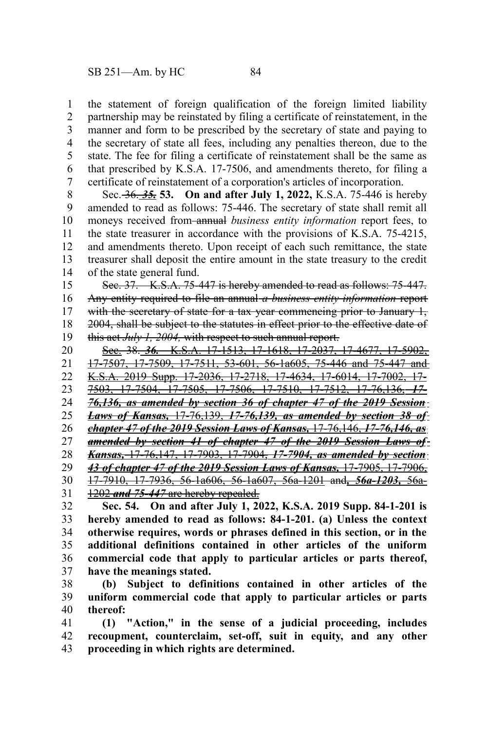the statement of foreign qualification of the foreign limited liability partnership may be reinstated by filing a certificate of reinstatement, in the manner and form to be prescribed by the secretary of state and paying to the secretary of state all fees, including any penalties thereon, due to the state. The fee for filing a certificate of reinstatement shall be the same as that prescribed by K.S.A. 17-7506, and amendments thereto, for filing a certificate of reinstatement of a corporation's articles of incorporation. 1 2 3 4 5 6 7

Sec. 36. *35.* **53. On and after July 1, 2022,** K.S.A. 75-446 is hereby amended to read as follows: 75-446. The secretary of state shall remit all moneys received from-annual *business entity information* report fees, to the state treasurer in accordance with the provisions of K.S.A. 75-4215, and amendments thereto. Upon receipt of each such remittance, the state treasurer shall deposit the entire amount in the state treasury to the credit of the state general fund. 8 9 10 11 12 13 14

Sec. 37. K.S.A. 75-447 is hereby amended to read as follows: 75-447. Any entity required to file an annual *a business entity information* report with the secretary of state for a tax year commencing prior to January 1, 2004, shall be subject to the statutes in effect prior to the effective date of this act *July 1, 2004,* with respect to such annual report. 15 16 17 18 19

Sec. 38. *36.*  K.S.A. 17-1513, 17-1618, 17-2037, 17-4677, 17-5902, 17-7507, 17-7509, 17-7511, 53-601, 56-1a605, 75-446 and 75-447 and K.S.A. 2019 Supp. 17-2036, 17-2718, 17-4634, 17-6014, 17-7002, 17- 7503, 17-7504, 17-7505, 17-7506, 17-7510, 17-7512, 17-76,136, *17- 76,136, as amended by section 36 of chapter 47 of the 2019 Session Laws of Kansas,* 17-76,139, *17-76,139, as amended by section 38 of chapter 47 of the 2019 Session Laws of Kansas,* 17-76,146, *17-76,146, as amended by section 41 of chapter 47 of the 2019 Session Laws of Kansas,* 17-76,147, 17-7903, 17-7904, *17-7904, as amended by section 43 of chapter 47 of the 2019 Session Laws of Kansas,* 17-7905, 17-7906, 17-7910, 17-7936, 56-1a606, 56-1a607, 56a-1201 and *, 56a-1203,* 56a- 1202 *and 75-447* are hereby repealed. 20 21 22 23 24 25 26 27 28 29 30 31

**Sec. 54. On and after July 1, 2022, K.S.A. 2019 Supp. 84-1-201 is hereby amended to read as follows: 84-1-201. (a) Unless the context otherwise requires, words or phrases defined in this section, or in the additional definitions contained in other articles of the uniform commercial code that apply to particular articles or parts thereof, have the meanings stated.** 32 33 34 35 36 37

**(b) Subject to definitions contained in other articles of the uniform commercial code that apply to particular articles or parts thereof:** 38 39 40

**(1) "Action," in the sense of a judicial proceeding, includes recoupment, counterclaim, set-off, suit in equity, and any other proceeding in which rights are determined.** 41 42 43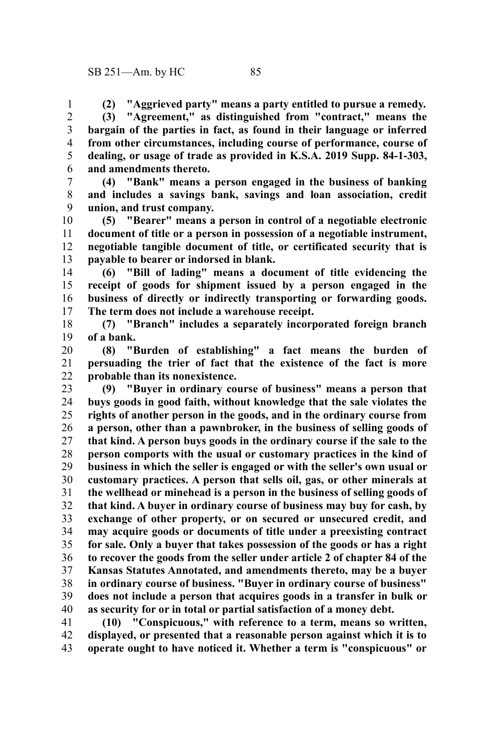1

**(2) "Aggrieved party" means a party entitled to pursue a remedy.**

**(3) "Agreement," as distinguished from "contract," means the bargain of the parties in fact, as found in their language or inferred from other circumstances, including course of performance, course of dealing, or usage of trade as provided in K.S.A. 2019 Supp. 84-1-303, and amendments thereto.** 2 3 4 5 6

**(4) "Bank" means a person engaged in the business of banking and includes a savings bank, savings and loan association, credit union, and trust company.** 7 8 9

**(5) "Bearer" means a person in control of a negotiable electronic document of title or a person in possession of a negotiable instrument, negotiable tangible document of title, or certificated security that is payable to bearer or indorsed in blank.** 10 11 12 13

**(6) "Bill of lading" means a document of title evidencing the receipt of goods for shipment issued by a person engaged in the business of directly or indirectly transporting or forwarding goods. The term does not include a warehouse receipt.** 14 15 16 17

**(7) "Branch" includes a separately incorporated foreign branch of a bank.** 18 19

**(8) "Burden of establishing" a fact means the burden of persuading the trier of fact that the existence of the fact is more probable than its nonexistence.** 20 21 22

**(9) "Buyer in ordinary course of business" means a person that buys goods in good faith, without knowledge that the sale violates the rights of another person in the goods, and in the ordinary course from a person, other than a pawnbroker, in the business of selling goods of that kind. A person buys goods in the ordinary course if the sale to the person comports with the usual or customary practices in the kind of business in which the seller is engaged or with the seller's own usual or customary practices. A person that sells oil, gas, or other minerals at the wellhead or minehead is a person in the business of selling goods of that kind. A buyer in ordinary course of business may buy for cash, by exchange of other property, or on secured or unsecured credit, and may acquire goods or documents of title under a preexisting contract for sale. Only a buyer that takes possession of the goods or has a right to recover the goods from the seller under article 2 of chapter 84 of the Kansas Statutes Annotated, and amendments thereto, may be a buyer in ordinary course of business. "Buyer in ordinary course of business" does not include a person that acquires goods in a transfer in bulk or as security for or in total or partial satisfaction of a money debt.** 23 24 25 26 27 28 29 30 31 32 33 34 35 36 37 38 39 40

**(10) "Conspicuous," with reference to a term, means so written, displayed, or presented that a reasonable person against which it is to operate ought to have noticed it. Whether a term is "conspicuous" or** 41 42 43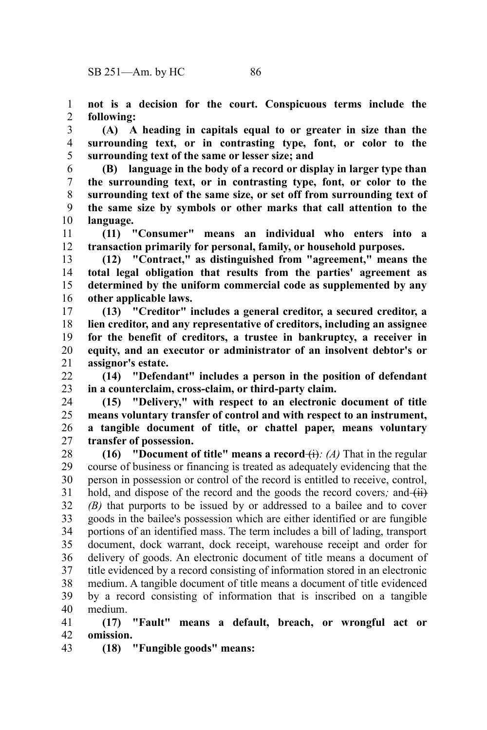**not is a decision for the court. Conspicuous terms include the following:** 1 2

**(A) A heading in capitals equal to or greater in size than the surrounding text, or in contrasting type, font, or color to the surrounding text of the same or lesser size; and** 3 4 5

**(B) language in the body of a record or display in larger type than the surrounding text, or in contrasting type, font, or color to the surrounding text of the same size, or set off from surrounding text of the same size by symbols or other marks that call attention to the language.** 6 7 8 9 10

**(11) "Consumer" means an individual who enters into a transaction primarily for personal, family, or household purposes.** 11 12

**(12) "Contract," as distinguished from "agreement," means the total legal obligation that results from the parties' agreement as determined by the uniform commercial code as supplemented by any other applicable laws.** 13 14 15 16

**(13) "Creditor" includes a general creditor, a secured creditor, a lien creditor, and any representative of creditors, including an assignee for the benefit of creditors, a trustee in bankruptcy, a receiver in equity, and an executor or administrator of an insolvent debtor's or assignor's estate.** 17 18 19 20 21

**(14) "Defendant" includes a person in the position of defendant in a counterclaim, cross-claim, or third-party claim.** 22 23

**(15) "Delivery," with respect to an electronic document of title means voluntary transfer of control and with respect to an instrument, a tangible document of title, or chattel paper, means voluntary transfer of possession.** 24 25 26 27

**(16) "Document of title" means a record**  $\overrightarrow{(h)}$ **: (A)** That in the regular course of business or financing is treated as adequately evidencing that the person in possession or control of the record is entitled to receive, control, hold, and dispose of the record and the goods the record covers; and  $\overrightarrow{H}$ *(B)* that purports to be issued by or addressed to a bailee and to cover goods in the bailee's possession which are either identified or are fungible portions of an identified mass. The term includes a bill of lading, transport document, dock warrant, dock receipt, warehouse receipt and order for delivery of goods. An electronic document of title means a document of title evidenced by a record consisting of information stored in an electronic medium. A tangible document of title means a document of title evidenced by a record consisting of information that is inscribed on a tangible medium. 28 29 30 31 32 33 34 35 36 37 38 39 40

**(17) "Fault" means a default, breach, or wrongful act or omission.** 41 42

**(18) "Fungible goods" means:** 43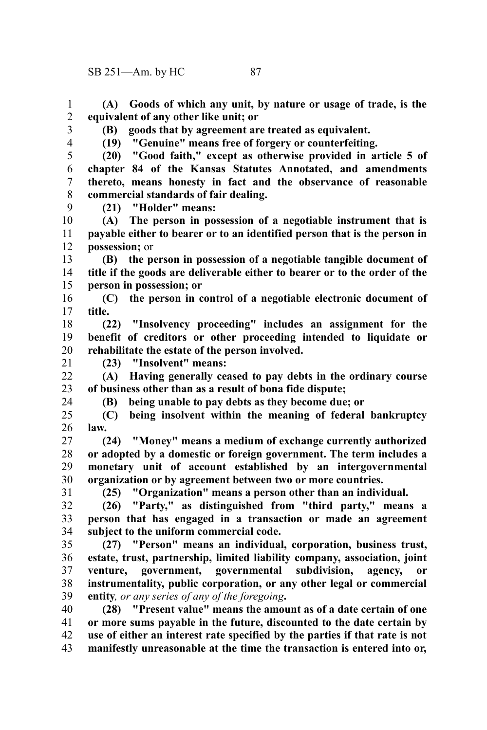**(A) Goods of which any unit, by nature or usage of trade, is the equivalent of any other like unit; or** 1 2

3

**(B) goods that by agreement are treated as equivalent.**

4

**(19) "Genuine" means free of forgery or counterfeiting.**

**(20) "Good faith," except as otherwise provided in article 5 of chapter 84 of the Kansas Statutes Annotated, and amendments thereto, means honesty in fact and the observance of reasonable commercial standards of fair dealing.** 5 6 7 8

**(21) "Holder" means:**

**(A) The person in possession of a negotiable instrument that is payable either to bearer or to an identified person that is the person in possession:** or 10 11 12

**(B) the person in possession of a negotiable tangible document of title if the goods are deliverable either to bearer or to the order of the person in possession; or** 13 14 15

**(C) the person in control of a negotiable electronic document of title.** 16 17

**(22) "Insolvency proceeding" includes an assignment for the benefit of creditors or other proceeding intended to liquidate or rehabilitate the estate of the person involved.** 18 19 20

**(23) "Insolvent" means:**

**(A) Having generally ceased to pay debts in the ordinary course of business other than as a result of bona fide dispute;** 22 23

**(B) being unable to pay debts as they become due; or**

**(C) being insolvent within the meaning of federal bankruptcy law.** 25 26

**(24) "Money" means a medium of exchange currently authorized or adopted by a domestic or foreign government. The term includes a monetary unit of account established by an intergovernmental organization or by agreement between two or more countries.** 27 28 29 30

31

21

24

**(25) "Organization" means a person other than an individual.**

**(26) "Party," as distinguished from "third party," means a person that has engaged in a transaction or made an agreement subject to the uniform commercial code.** 32 33 34

**(27) "Person" means an individual, corporation, business trust, estate, trust, partnership, limited liability company, association, joint** venture, government, governmental subdivision, agency, **instrumentality, public corporation, or any other legal or commercial entity***, or any series of any of the foregoing***.** 35 36 37 38 39

**(28) "Present value" means the amount as of a date certain of one or more sums payable in the future, discounted to the date certain by use of either an interest rate specified by the parties if that rate is not manifestly unreasonable at the time the transaction is entered into or,** 40 41 42 43

9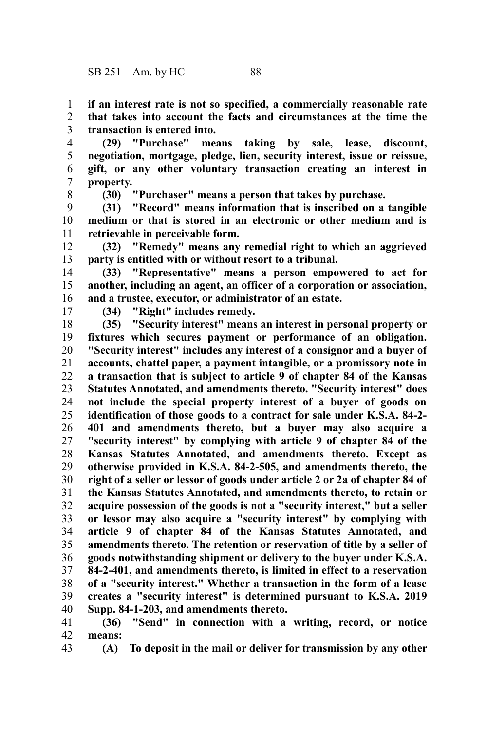**if an interest rate is not so specified, a commercially reasonable rate that takes into account the facts and circumstances at the time the transaction is entered into.** 1 2 3

**(29) "Purchase" means taking by sale, lease, discount, negotiation, mortgage, pledge, lien, security interest, issue or reissue, gift, or any other voluntary transaction creating an interest in property.** 4 5 6 7

8

**(30) "Purchaser" means a person that takes by purchase.**

**(31) "Record" means information that is inscribed on a tangible medium or that is stored in an electronic or other medium and is retrievable in perceivable form.** 9 10 11

**(32) "Remedy" means any remedial right to which an aggrieved party is entitled with or without resort to a tribunal.** 12 13

**(33) "Representative" means a person empowered to act for another, including an agent, an officer of a corporation or association, and a trustee, executor, or administrator of an estate.** 14 15 16

17

**(34) "Right" includes remedy.**

**(35) "Security interest" means an interest in personal property or fixtures which secures payment or performance of an obligation. "Security interest" includes any interest of a consignor and a buyer of accounts, chattel paper, a payment intangible, or a promissory note in a transaction that is subject to article 9 of chapter 84 of the Kansas Statutes Annotated, and amendments thereto. "Security interest" does not include the special property interest of a buyer of goods on identification of those goods to a contract for sale under K.S.A. 84-2- 401 and amendments thereto, but a buyer may also acquire a "security interest" by complying with article 9 of chapter 84 of the Kansas Statutes Annotated, and amendments thereto. Except as otherwise provided in K.S.A. 84-2-505, and amendments thereto, the right of a seller or lessor of goods under article 2 or 2a of chapter 84 of the Kansas Statutes Annotated, and amendments thereto, to retain or acquire possession of the goods is not a "security interest," but a seller or lessor may also acquire a "security interest" by complying with article 9 of chapter 84 of the Kansas Statutes Annotated, and amendments thereto. The retention or reservation of title by a seller of goods notwithstanding shipment or delivery to the buyer under K.S.A. 84-2-401, and amendments thereto, is limited in effect to a reservation of a "security interest." Whether a transaction in the form of a lease creates a "security interest" is determined pursuant to K.S.A. 2019 Supp. 84-1-203, and amendments thereto.** 18 19 20 21 22 23 24 25 26 27 28 29 30 31 32 33 34 35 36 37 38 39 40

**(36) "Send" in connection with a writing, record, or notice means:** 41 42

43

**(A) To deposit in the mail or deliver for transmission by any other**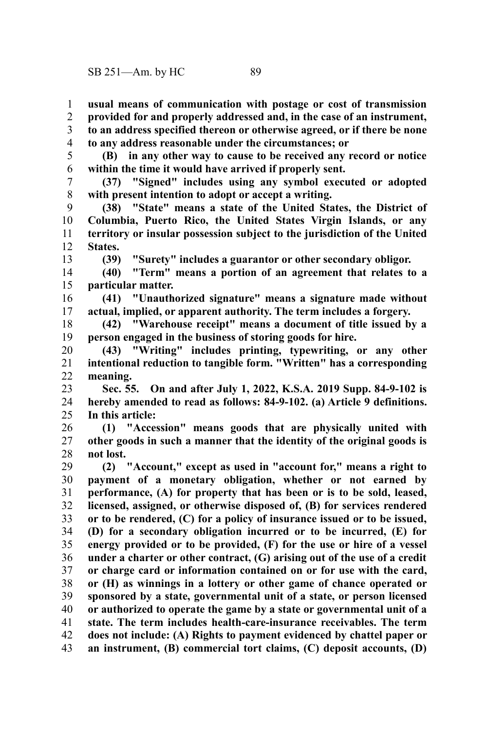**usual means of communication with postage or cost of transmission** 1

**provided for and properly addressed and, in the case of an instrument,** 2

**to an address specified thereon or otherwise agreed, or if there be none to any address reasonable under the circumstances; or** 3 4

5

**(B) in any other way to cause to be received any record or notice within the time it would have arrived if properly sent.** 6

**(37) "Signed" includes using any symbol executed or adopted with present intention to adopt or accept a writing.** 7 8

**(38) "State" means a state of the United States, the District of Columbia, Puerto Rico, the United States Virgin Islands, or any territory or insular possession subject to the jurisdiction of the United States.** 9 10 11 12

13

**(39) "Surety" includes a guarantor or other secondary obligor.**

**(40) "Term" means a portion of an agreement that relates to a particular matter.** 14 15

**(41) "Unauthorized signature" means a signature made without actual, implied, or apparent authority. The term includes a forgery.** 16 17

**(42) "Warehouse receipt" means a document of title issued by a person engaged in the business of storing goods for hire.** 18 19

**(43) "Writing" includes printing, typewriting, or any other intentional reduction to tangible form. "Written" has a corresponding meaning.** 20 21 22

**Sec. 55. On and after July 1, 2022, K.S.A. 2019 Supp. 84-9-102 is hereby amended to read as follows: 84-9-102. (a) Article 9 definitions. In this article:** 23 24 25

**(1) "Accession" means goods that are physically united with other goods in such a manner that the identity of the original goods is not lost.** 26 27 28

**(2) "Account," except as used in "account for," means a right to payment of a monetary obligation, whether or not earned by performance, (A) for property that has been or is to be sold, leased, licensed, assigned, or otherwise disposed of, (B) for services rendered or to be rendered, (C) for a policy of insurance issued or to be issued, (D) for a secondary obligation incurred or to be incurred, (E) for energy provided or to be provided, (F) for the use or hire of a vessel under a charter or other contract, (G) arising out of the use of a credit or charge card or information contained on or for use with the card, or (H) as winnings in a lottery or other game of chance operated or sponsored by a state, governmental unit of a state, or person licensed or authorized to operate the game by a state or governmental unit of a state. The term includes health-care-insurance receivables. The term does not include: (A) Rights to payment evidenced by chattel paper or an instrument, (B) commercial tort claims, (C) deposit accounts, (D)** 29 30 31 32 33 34 35 36 37 38 39 40 41 42 43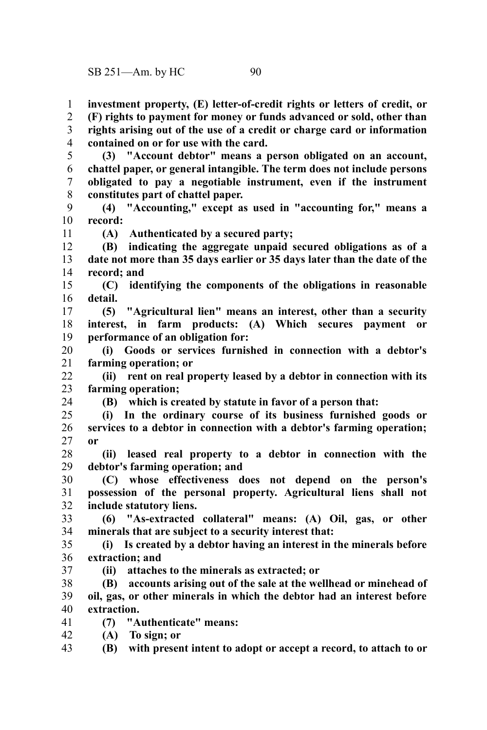**chattel paper, or general intangible. The term does not include persons obligated to pay a negotiable instrument, even if the instrument constitutes part of chattel paper. (4) "Accounting," except as used in "accounting for," means a record: (A) Authenticated by a secured party; (B) indicating the aggregate unpaid secured obligations as of a date not more than 35 days earlier or 35 days later than the date of the record; and (C) identifying the components of the obligations in reasonable detail. (5) "Agricultural lien" means an interest, other than a security interest, in farm products: (A) Which secures payment or performance of an obligation for: (i) Goods or services furnished in connection with a debtor's farming operation; or (ii) rent on real property leased by a debtor in connection with its farming operation; (B) which is created by statute in favor of a person that: (i) In the ordinary course of its business furnished goods or services to a debtor in connection with a debtor's farming operation; or (ii) leased real property to a debtor in connection with the debtor's farming operation; and (C) whose effectiveness does not depend on the person's possession of the personal property. Agricultural liens shall not include statutory liens. (6) "As-extracted collateral" means: (A) Oil, gas, or other minerals that are subject to a security interest that: (i) Is created by a debtor having an interest in the minerals before extraction; and (ii) attaches to the minerals as extracted; or (B) accounts arising out of the sale at the wellhead or minehead of oil, gas, or other minerals in which the debtor had an interest before extraction. (7) "Authenticate" means: (A) To sign; or (B) with present intent to adopt or accept a record, to attach to or** 6 7 8 43

**investment property, (E) letter-of-credit rights or letters of credit, or (F) rights to payment for money or funds advanced or sold, other than rights arising out of the use of a credit or charge card or information contained on or for use with the card.** 1 2 3 4

**(3) "Account debtor" means a person obligated on an account,** 5

9 10

11

12 13 14

15 16

17 18 19

20 21

22 23

24

 $25$ 26 27

28 29

30 31 32

33 34

35 36

37

38 39 40

41

42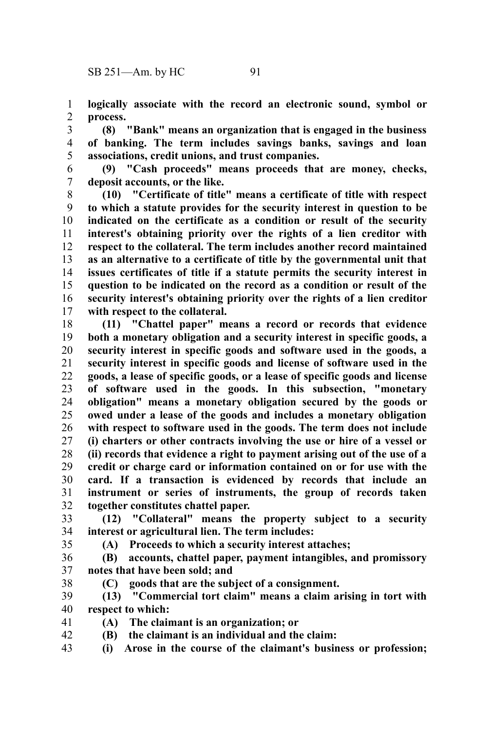**logically associate with the record an electronic sound, symbol or process.** 1 2

**(8) "Bank" means an organization that is engaged in the business of banking. The term includes savings banks, savings and loan associations, credit unions, and trust companies.** 3 4 5

**(9) "Cash proceeds" means proceeds that are money, checks, deposit accounts, or the like.** 6 7

**(10) "Certificate of title" means a certificate of title with respect to which a statute provides for the security interest in question to be indicated on the certificate as a condition or result of the security interest's obtaining priority over the rights of a lien creditor with respect to the collateral. The term includes another record maintained as an alternative to a certificate of title by the governmental unit that issues certificates of title if a statute permits the security interest in question to be indicated on the record as a condition or result of the security interest's obtaining priority over the rights of a lien creditor with respect to the collateral.** 8 9 10 11 12 13 14 15 16 17

**(11) "Chattel paper" means a record or records that evidence both a monetary obligation and a security interest in specific goods, a security interest in specific goods and software used in the goods, a security interest in specific goods and license of software used in the goods, a lease of specific goods, or a lease of specific goods and license of software used in the goods. In this subsection, "monetary obligation" means a monetary obligation secured by the goods or owed under a lease of the goods and includes a monetary obligation with respect to software used in the goods. The term does not include (i) charters or other contracts involving the use or hire of a vessel or (ii) records that evidence a right to payment arising out of the use of a credit or charge card or information contained on or for use with the card. If a transaction is evidenced by records that include an instrument or series of instruments, the group of records taken together constitutes chattel paper.** 18 19 20 21 22 23 24 25 26 27 28 29 30 31 32

**(12) "Collateral" means the property subject to a security interest or agricultural lien. The term includes:** 33 34

35

38

42

**(A) Proceeds to which a security interest attaches;**

**(B) accounts, chattel paper, payment intangibles, and promissory notes that have been sold; and** 36 37

**(C) goods that are the subject of a consignment.**

**(13) "Commercial tort claim" means a claim arising in tort with respect to which:** 39 40

**(A) The claimant is an organization; or** 41

**(B) the claimant is an individual and the claim:**

**(i) Arose in the course of the claimant's business or profession;** 43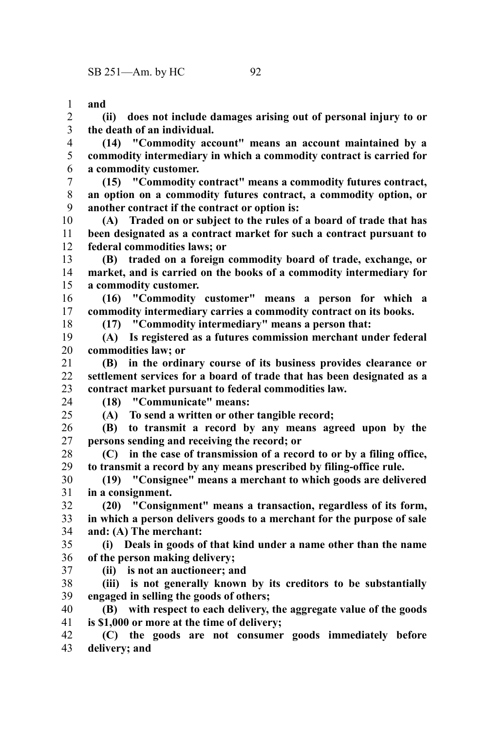**and** 1

**(ii) does not include damages arising out of personal injury to or the death of an individual.** 2 3

**(14) "Commodity account" means an account maintained by a commodity intermediary in which a commodity contract is carried for a commodity customer.** 4 5 6

**(15) "Commodity contract" means a commodity futures contract, an option on a commodity futures contract, a commodity option, or another contract if the contract or option is:** 7 8 9

**(A) Traded on or subject to the rules of a board of trade that has been designated as a contract market for such a contract pursuant to federal commodities laws; or** 10 11 12

**(B) traded on a foreign commodity board of trade, exchange, or market, and is carried on the books of a commodity intermediary for a commodity customer.** 13 14 15

**(16) "Commodity customer" means a person for which a commodity intermediary carries a commodity contract on its books.** 16 17

18

**(17) "Commodity intermediary" means a person that:**

**(A) Is registered as a futures commission merchant under federal commodities law; or** 19 20

**(B) in the ordinary course of its business provides clearance or settlement services for a board of trade that has been designated as a contract market pursuant to federal commodities law.** 21 22 23

24

**(18) "Communicate" means:**

 $25$ 

**(A) To send a written or other tangible record;**

**(B) to transmit a record by any means agreed upon by the persons sending and receiving the record; or** 26 27

**(C) in the case of transmission of a record to or by a filing office, to transmit a record by any means prescribed by filing-office rule.** 28 29

**(19) "Consignee" means a merchant to which goods are delivered in a consignment.** 30 31

**(20) "Consignment" means a transaction, regardless of its form, in which a person delivers goods to a merchant for the purpose of sale and: (A) The merchant:** 32 33 34

**(i) Deals in goods of that kind under a name other than the name of the person making delivery;** 35 36

37

**(ii) is not an auctioneer; and**

**(iii) is not generally known by its creditors to be substantially engaged in selling the goods of others;** 38 39

**(B) with respect to each delivery, the aggregate value of the goods is \$1,000 or more at the time of delivery;** 40 41

**(C) the goods are not consumer goods immediately before delivery; and** 42 43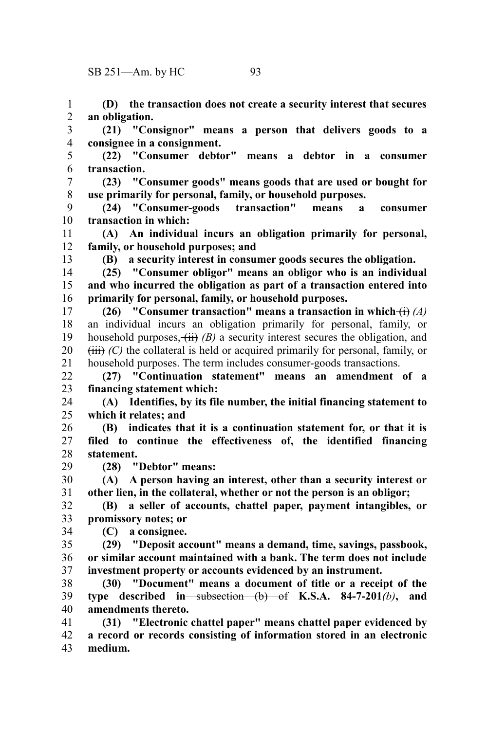SB 251—Am. by HC 93

**(D) the transaction does not create a security interest that secures an obligation.** 1 2

**(21) "Consignor" means a person that delivers goods to a consignee in a consignment.** 3 4

**(22) "Consumer debtor" means a debtor in a consumer transaction.** 5 6

**(23) "Consumer goods" means goods that are used or bought for use primarily for personal, family, or household purposes.** 7 8

**(24) "Consumer-goods transaction" means a consumer transaction in which:** 9 10

**(A) An individual incurs an obligation primarily for personal, family, or household purposes; and** 11 12

**(B) a security interest in consumer goods secures the obligation.**

**(25) "Consumer obligor" means an obligor who is an individual and who incurred the obligation as part of a transaction entered into primarily for personal, family, or household purposes.** 14 15 16

**(26)** "Consumer transaction" means a transaction in which  $\overrightarrow{\textbf{(i)}}$  *(A)* an individual incurs an obligation primarily for personal, family, or household purposes,  $(ii)$  *(B)* a security interest secures the obligation, and  $(iii)$  *(C)* the collateral is held or acquired primarily for personal, family, or household purposes. The term includes consumer-goods transactions. 17 18 19 20 21

**(27) "Continuation statement" means an amendment of a financing statement which:** 22 23

**(A) Identifies, by its file number, the initial financing statement to which it relates; and** 24 25

**(B) indicates that it is a continuation statement for, or that it is filed to continue the effectiveness of, the identified financing statement.** 26 27 28

**(28) "Debtor" means:** 29

**(A) A person having an interest, other than a security interest or other lien, in the collateral, whether or not the person is an obligor;** 30 31

**(B) a seller of accounts, chattel paper, payment intangibles, or promissory notes; or** 32 33

**(C) a consignee.**

**(29) "Deposit account" means a demand, time, savings, passbook, or similar account maintained with a bank. The term does not include investment property or accounts evidenced by an instrument.** 35 36 37

**(30) "Document" means a document of title or a receipt of the type described in** subsection (b) of **K.S.A. 84-7-201***(b)***, and amendments thereto.** 38 39 40

**(31) "Electronic chattel paper" means chattel paper evidenced by a record or records consisting of information stored in an electronic medium.** 41 42 43

13

34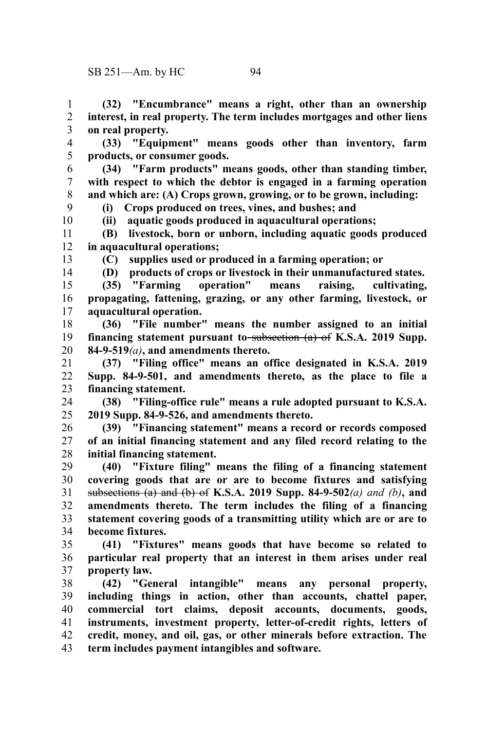**(32) "Encumbrance" means a right, other than an ownership interest, in real property. The term includes mortgages and other liens on real property.** 1 2 3

**(33) "Equipment" means goods other than inventory, farm products, or consumer goods.** 4 5

**(34) "Farm products" means goods, other than standing timber, with respect to which the debtor is engaged in a farming operation and which are: (A) Crops grown, growing, or to be grown, including:** 6 7 8

**(i) Crops produced on trees, vines, and bushes; and**

**(ii) aquatic goods produced in aquacultural operations;**

**(B) livestock, born or unborn, including aquatic goods produced in aquacultural operations;** 11 12

**(C) supplies used or produced in a farming operation; or**

13 14

9 10

**(D) products of crops or livestock in their unmanufactured states.**

**(35) "Farming operation" means raising, cultivating, propagating, fattening, grazing, or any other farming, livestock, or aquacultural operation.** 15 16 17

**(36) "File number" means the number assigned to an initial financing statement pursuant to** subsection (a) of **K.S.A. 2019 Supp. 84-9-519***(a)***, and amendments thereto.** 18 19 20

**(37) "Filing office" means an office designated in K.S.A. 2019 Supp. 84-9-501, and amendments thereto, as the place to file a financing statement.** 21 22 23

**(38) "Filing-office rule" means a rule adopted pursuant to K.S.A. 2019 Supp. 84-9-526, and amendments thereto.** 24 25

**(39) "Financing statement" means a record or records composed of an initial financing statement and any filed record relating to the initial financing statement.** 26 27 28

**(40) "Fixture filing" means the filing of a financing statement covering goods that are or are to become fixtures and satisfying** subsections (a) and (b) of **K.S.A. 2019 Supp. 84-9-502***(a) and (b)***, and amendments thereto. The term includes the filing of a financing statement covering goods of a transmitting utility which are or are to become fixtures.** 29 30 31 32 33 34

**(41) "Fixtures" means goods that have become so related to particular real property that an interest in them arises under real property law.** 35 36 37

**(42) "General intangible" means any personal property, including things in action, other than accounts, chattel paper, commercial tort claims, deposit accounts, documents, goods, instruments, investment property, letter-of-credit rights, letters of credit, money, and oil, gas, or other minerals before extraction. The term includes payment intangibles and software.** 38 39 40 41 42 43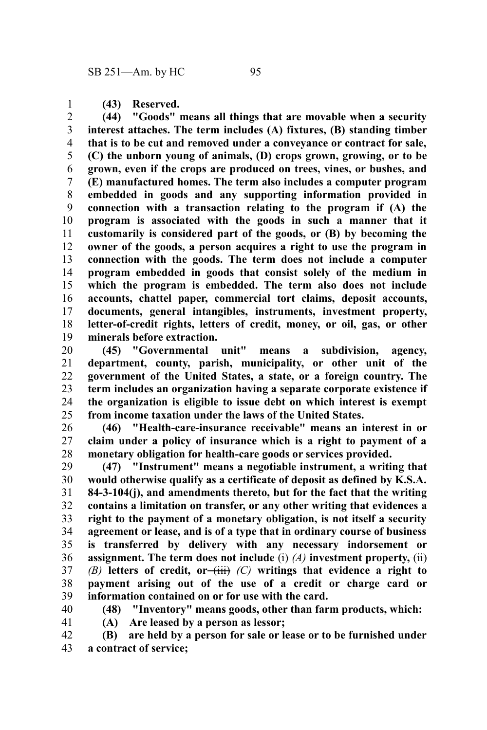**(43) Reserved.** 1

**(44) "Goods" means all things that are movable when a security interest attaches. The term includes (A) fixtures, (B) standing timber that is to be cut and removed under a conveyance or contract for sale, (C) the unborn young of animals, (D) crops grown, growing, or to be grown, even if the crops are produced on trees, vines, or bushes, and (E) manufactured homes. The term also includes a computer program embedded in goods and any supporting information provided in connection with a transaction relating to the program if (A) the program is associated with the goods in such a manner that it customarily is considered part of the goods, or (B) by becoming the owner of the goods, a person acquires a right to use the program in connection with the goods. The term does not include a computer program embedded in goods that consist solely of the medium in which the program is embedded. The term also does not include accounts, chattel paper, commercial tort claims, deposit accounts, documents, general intangibles, instruments, investment property, letter-of-credit rights, letters of credit, money, or oil, gas, or other minerals before extraction.** 2 3 4 5 6 7 8 9 10 11 12 13 14 15 16 17 18 19

**(45) "Governmental unit" means a subdivision, agency, department, county, parish, municipality, or other unit of the government of the United States, a state, or a foreign country. The term includes an organization having a separate corporate existence if the organization is eligible to issue debt on which interest is exempt from income taxation under the laws of the United States.** 20 21 22 23 24 25

**(46) "Health-care-insurance receivable" means an interest in or claim under a policy of insurance which is a right to payment of a monetary obligation for health-care goods or services provided.** 26 27 28

**(47) "Instrument" means a negotiable instrument, a writing that would otherwise qualify as a certificate of deposit as defined by K.S.A. 84-3-104(j), and amendments thereto, but for the fact that the writing contains a limitation on transfer, or any other writing that evidences a right to the payment of a monetary obligation, is not itself a security agreement or lease, and is of a type that in ordinary course of business is transferred by delivery with any necessary indorsement or assignment.** The term does not include  $\overrightarrow{H}$  *(A)* investment property,  $\overrightarrow{H}$ *(B)* **letters of credit, or** (iii) *(C)* **writings that evidence a right to payment arising out of the use of a credit or charge card or information contained on or for use with the card.** 29 30 31 32 33 34 35 36 37 38 39

40 41 **(48) "Inventory" means goods, other than farm products, which:**

**(A) Are leased by a person as lessor;**

**(B) are held by a person for sale or lease or to be furnished under a contract of service;** 42 43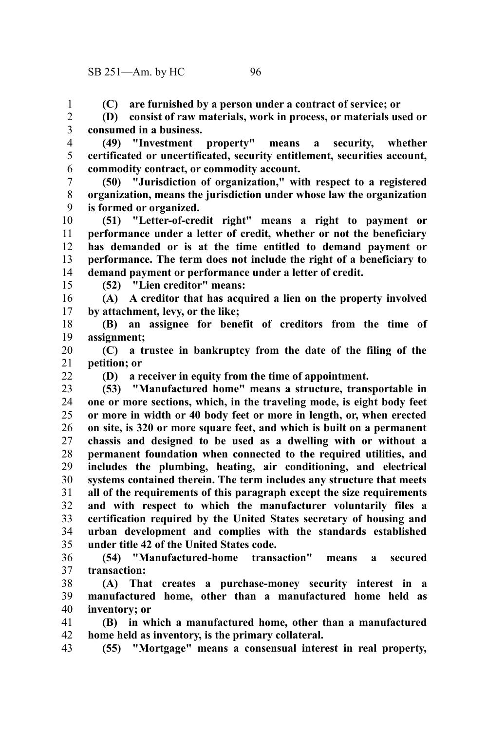**(C) are furnished by a person under a contract of service; or**

**(D) consist of raw materials, work in process, or materials used or consumed in a business.** 2 3

**(49) "Investment property" means a security, whether certificated or uncertificated, security entitlement, securities account, commodity contract, or commodity account.** 4 5 6

**(50) "Jurisdiction of organization," with respect to a registered organization, means the jurisdiction under whose law the organization is formed or organized.** 7 8 9

**(51) "Letter-of-credit right" means a right to payment or performance under a letter of credit, whether or not the beneficiary has demanded or is at the time entitled to demand payment or performance. The term does not include the right of a beneficiary to demand payment or performance under a letter of credit.** 10 11 12 13 14

15

1

**(52) "Lien creditor" means:**

**(A) A creditor that has acquired a lien on the property involved by attachment, levy, or the like;** 16 17

**(B) an assignee for benefit of creditors from the time of assignment;** 18 19

**(C) a trustee in bankruptcy from the date of the filing of the petition; or** 20 21

22

**(D) a receiver in equity from the time of appointment.**

**(53) "Manufactured home" means a structure, transportable in one or more sections, which, in the traveling mode, is eight body feet or more in width or 40 body feet or more in length, or, when erected on site, is 320 or more square feet, and which is built on a permanent chassis and designed to be used as a dwelling with or without a permanent foundation when connected to the required utilities, and includes the plumbing, heating, air conditioning, and electrical systems contained therein. The term includes any structure that meets all of the requirements of this paragraph except the size requirements and with respect to which the manufacturer voluntarily files a certification required by the United States secretary of housing and urban development and complies with the standards established under title 42 of the United States code.** 23 24 25 26 27 28 29 30 31 32 33 34 35

**(54) "Manufactured-home transaction" means a secured transaction:** 36 37

**(A) That creates a purchase-money security interest in a manufactured home, other than a manufactured home held as inventory; or** 38 39 40

**(B) in which a manufactured home, other than a manufactured home held as inventory, is the primary collateral.** 41 42

**(55) "Mortgage" means a consensual interest in real property,** 43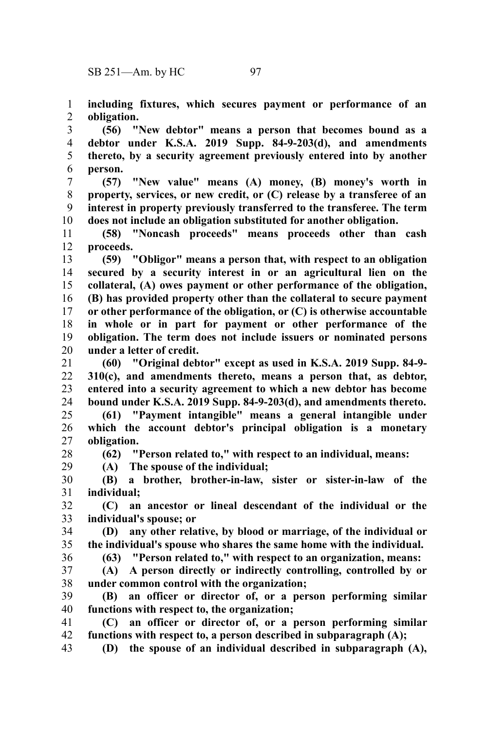**including fixtures, which secures payment or performance of an obligation.** 1 2

**(56) "New debtor" means a person that becomes bound as a debtor under K.S.A. 2019 Supp. 84-9-203(d), and amendments thereto, by a security agreement previously entered into by another person.** 3 4 5 6

**(57) "New value" means (A) money, (B) money's worth in property, services, or new credit, or (C) release by a transferee of an interest in property previously transferred to the transferee. The term does not include an obligation substituted for another obligation.** 7 8 9 10

**(58) "Noncash proceeds" means proceeds other than cash proceeds.** 11 12

**(59) "Obligor" means a person that, with respect to an obligation secured by a security interest in or an agricultural lien on the collateral, (A) owes payment or other performance of the obligation, (B) has provided property other than the collateral to secure payment or other performance of the obligation, or (C) is otherwise accountable in whole or in part for payment or other performance of the obligation. The term does not include issuers or nominated persons under a letter of credit.** 13 14 15 16 17 18 19 20

**(60) "Original debtor" except as used in K.S.A. 2019 Supp. 84-9- 310(c), and amendments thereto, means a person that, as debtor, entered into a security agreement to which a new debtor has become bound under K.S.A. 2019 Supp. 84-9-203(d), and amendments thereto.** 21 22 23 24

**(61) "Payment intangible" means a general intangible under which the account debtor's principal obligation is a monetary obligation.** 25 26 27

**(62) "Person related to," with respect to an individual, means:**

**(A) The spouse of the individual;**

**(B) a brother, brother-in-law, sister or sister-in-law of the individual;** 30 31

**(C) an ancestor or lineal descendant of the individual or the individual's spouse; or** 32 33

**(D) any other relative, by blood or marriage, of the individual or the individual's spouse who shares the same home with the individual.** 34 35

36

28 29

**(63) "Person related to," with respect to an organization, means:**

**(A) A person directly or indirectly controlling, controlled by or under common control with the organization;** 37 38

**(B) an officer or director of, or a person performing similar functions with respect to, the organization;** 39 40

**(C) an officer or director of, or a person performing similar functions with respect to, a person described in subparagraph (A);** 41 42

**(D) the spouse of an individual described in subparagraph (A),** 43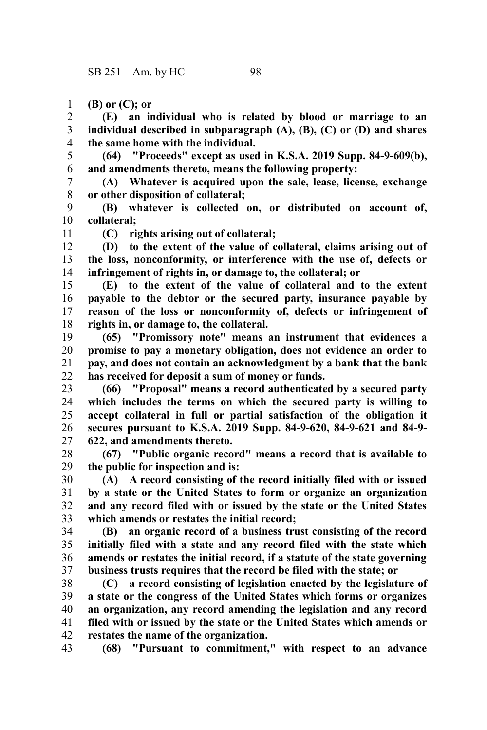**(B) or (C); or** 1

**(E) an individual who is related by blood or marriage to an individual described in subparagraph (A), (B), (C) or (D) and shares the same home with the individual.** 2 3 4

**(64) "Proceeds" except as used in K.S.A. 2019 Supp. 84-9-609(b), and amendments thereto, means the following property:** 5 6

**(A) Whatever is acquired upon the sale, lease, license, exchange or other disposition of collateral;** 7 8

**(B) whatever is collected on, or distributed on account of, collateral;** 9 10

11

**(C) rights arising out of collateral;**

**(D) to the extent of the value of collateral, claims arising out of the loss, nonconformity, or interference with the use of, defects or infringement of rights in, or damage to, the collateral; or** 12 13 14

**(E) to the extent of the value of collateral and to the extent payable to the debtor or the secured party, insurance payable by reason of the loss or nonconformity of, defects or infringement of rights in, or damage to, the collateral.** 15 16 17 18

**(65) "Promissory note" means an instrument that evidences a promise to pay a monetary obligation, does not evidence an order to pay, and does not contain an acknowledgment by a bank that the bank has received for deposit a sum of money or funds.** 19 20 21 22

**(66) "Proposal" means a record authenticated by a secured party which includes the terms on which the secured party is willing to accept collateral in full or partial satisfaction of the obligation it secures pursuant to K.S.A. 2019 Supp. 84-9-620, 84-9-621 and 84-9- 622, and amendments thereto.** 23 24 25 26 27

**(67) "Public organic record" means a record that is available to the public for inspection and is:** 28 29

**(A) A record consisting of the record initially filed with or issued by a state or the United States to form or organize an organization and any record filed with or issued by the state or the United States which amends or restates the initial record;** 30 31 32 33

**(B) an organic record of a business trust consisting of the record initially filed with a state and any record filed with the state which amends or restates the initial record, if a statute of the state governing business trusts requires that the record be filed with the state; or** 34 35 36 37

**(C) a record consisting of legislation enacted by the legislature of a state or the congress of the United States which forms or organizes an organization, any record amending the legislation and any record filed with or issued by the state or the United States which amends or restates the name of the organization.** 38 39 40 41 42

**(68) "Pursuant to commitment," with respect to an advance** 43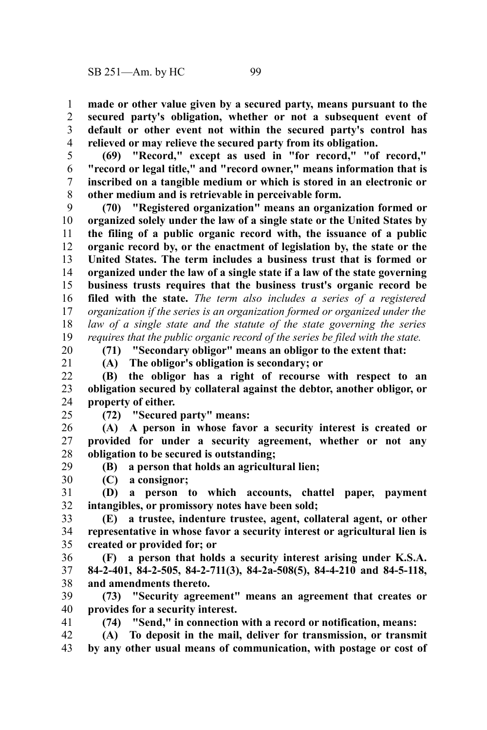**made or other value given by a secured party, means pursuant to the secured party's obligation, whether or not a subsequent event of default or other event not within the secured party's control has relieved or may relieve the secured party from its obligation.** 1 2 3 4

**(69) "Record," except as used in "for record," "of record," "record or legal title," and "record owner," means information that is inscribed on a tangible medium or which is stored in an electronic or other medium and is retrievable in perceivable form.** 5 6 7 8

**(70) "Registered organization" means an organization formed or organized solely under the law of a single state or the United States by the filing of a public organic record with, the issuance of a public organic record by, or the enactment of legislation by, the state or the United States. The term includes a business trust that is formed or organized under the law of a single state if a law of the state governing business trusts requires that the business trust's organic record be filed with the state.** *The term also includes a series of a registered organization if the series is an organization formed or organized under the law of a single state and the statute of the state governing the series requires that the public organic record of the series be filed with the state.* 9 10 11 12 13 14 15 16 17 18 19

20

**(71) "Secondary obligor" means an obligor to the extent that:**

21

**(A) The obligor's obligation is secondary; or**

**(B) the obligor has a right of recourse with respect to an obligation secured by collateral against the debtor, another obligor, or property of either.** 22 23 24

25

41

**(72) "Secured party" means:**

**(A) A person in whose favor a security interest is created or provided for under a security agreement, whether or not any obligation to be secured is outstanding;** 26 27 28 29

**(B) a person that holds an agricultural lien;**

**(C) a consignor;** 30

**(D) a person to which accounts, chattel paper, payment intangibles, or promissory notes have been sold;** 31 32

**(E) a trustee, indenture trustee, agent, collateral agent, or other representative in whose favor a security interest or agricultural lien is created or provided for; or** 33 34 35

**(F) a person that holds a security interest arising under K.S.A. 84-2-401, 84-2-505, 84-2-711(3), 84-2a-508(5), 84-4-210 and 84-5-118, and amendments thereto.** 36 37 38

**(73) "Security agreement" means an agreement that creates or provides for a security interest.** 39 40

**(74) "Send," in connection with a record or notification, means:**

**(A) To deposit in the mail, deliver for transmission, or transmit** 42

**by any other usual means of communication, with postage or cost of** 43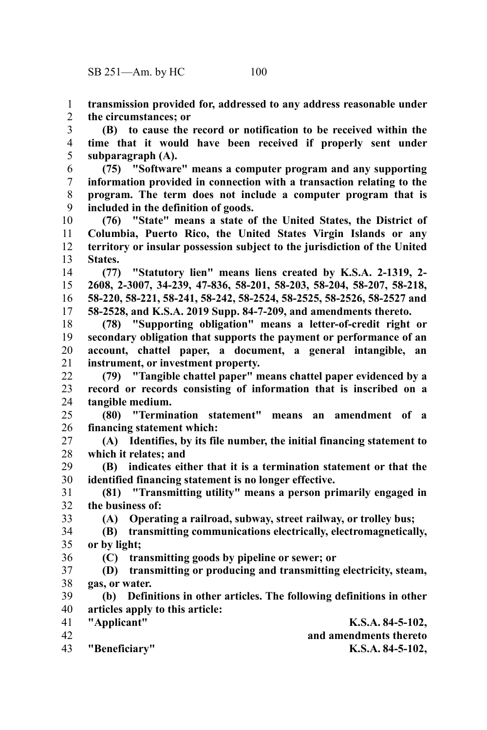**transmission provided for, addressed to any address reasonable under the circumstances; or** 1 2

**(B) to cause the record or notification to be received within the time that it would have been received if properly sent under subparagraph (A).** 3 4 5

**(75) "Software" means a computer program and any supporting information provided in connection with a transaction relating to the program. The term does not include a computer program that is included in the definition of goods.** 6 7 8 9

**(76) "State" means a state of the United States, the District of Columbia, Puerto Rico, the United States Virgin Islands or any territory or insular possession subject to the jurisdiction of the United States.** 10 11 12 13

**(77) "Statutory lien" means liens created by K.S.A. 2-1319, 2- 2608, 2-3007, 34-239, 47-836, 58-201, 58-203, 58-204, 58-207, 58-218, 58-220, 58-221, 58-241, 58-242, 58-2524, 58-2525, 58-2526, 58-2527 and 58-2528, and K.S.A. 2019 Supp. 84-7-209, and amendments thereto.** 14 15 16 17

**(78) "Supporting obligation" means a letter-of-credit right or secondary obligation that supports the payment or performance of an account, chattel paper, a document, a general intangible, an instrument, or investment property.** 18 19 20 21

**(79) "Tangible chattel paper" means chattel paper evidenced by a record or records consisting of information that is inscribed on a tangible medium.** 22 23 24

**(80) "Termination statement" means an amendment of a financing statement which:** 25 26

**(A) Identifies, by its file number, the initial financing statement to which it relates; and** 27 28

**(B) indicates either that it is a termination statement or that the identified financing statement is no longer effective.** 29 30

**(81) "Transmitting utility" means a person primarily engaged in the business of:** 31 32

33

36

**(A) Operating a railroad, subway, street railway, or trolley bus;**

**(B) transmitting communications electrically, electromagnetically, or by light;** 34 35

**(C) transmitting goods by pipeline or sewer; or**

**(D) transmitting or producing and transmitting electricity, steam, gas, or water.** 37 38

**(b) Definitions in other articles. The following definitions in other articles apply to this article:** 39 40

**"Applicant" K.S.A. 84-5-102, and amendments thereto "Beneficiary" K.S.A. 84-5-102,** 41 42 43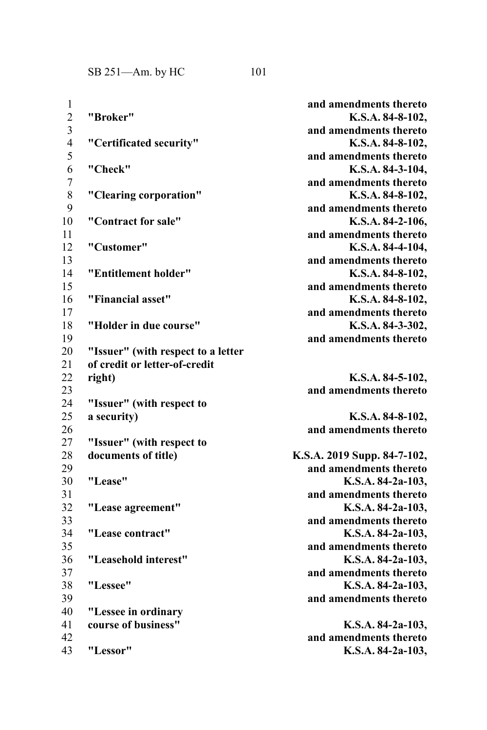SB 251—Am. by HC 101

 **and amendments thereto "Broker" K.S.A. 84-8-102, and amendments thereto "Certificated security" K.S.A. 84-8-102, and amendments thereto "Check" K.S.A. 84-3-104, and amendments thereto "Clearing corporation" K.S.A. 84-8-102, and amendments thereto "Contract for sale" K.S.A. 84-2-106, and amendments thereto "Customer" K.S.A. 84-4-104, and amendments thereto "Entitlement holder" K.S.A. 84-8-102, and amendments thereto "Financial asset" K.S.A. 84-8-102, and amendments thereto "Holder in due course" K.S.A. 84-3-302, and amendments thereto "Issuer" (with respect to a letter of credit or letter-of-credit right) K.S.A. 84-5-102, and amendments thereto "Issuer" (with respect to a security) K.S.A. 84-8-102, and amendments thereto "Issuer" (with respect to documents of title) K.S.A. 2019 Supp. 84-7-102, and amendments thereto "Lease" K.S.A. 84-2a-103, and amendments thereto "Lease agreement" K.S.A. 84-2a-103, and amendments thereto "Lease contract" K.S.A. 84-2a-103, and amendments thereto "Leasehold interest" K.S.A. 84-2a-103, and amendments thereto "Lessee" K.S.A. 84-2a-103, and amendments thereto "Lessee in ordinary course of business" K.S.A. 84-2a-103, and amendments thereto "Lessor" K.S.A. 84-2a-103,**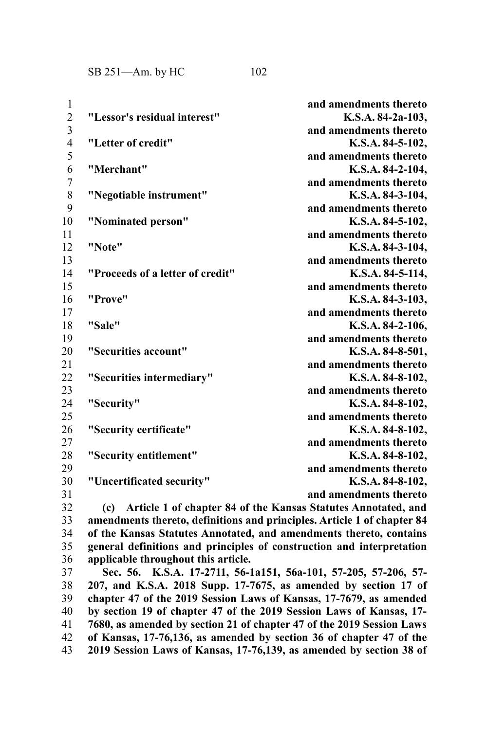| 1              |                                                                  | and amendments thereto |
|----------------|------------------------------------------------------------------|------------------------|
| $\overline{2}$ | "Lessor's residual interest"                                     | K.S.A. 84-2a-103,      |
| $\mathfrak{Z}$ |                                                                  | and amendments thereto |
| $\overline{4}$ | "Letter of credit"                                               | K.S.A. 84-5-102,       |
| 5              |                                                                  | and amendments thereto |
| 6              | "Merchant"                                                       | K.S.A. 84-2-104,       |
| 7              |                                                                  | and amendments thereto |
| 8              | "Negotiable instrument"                                          | K.S.A. 84-3-104,       |
| 9              |                                                                  | and amendments thereto |
| 10             | "Nominated person"                                               | K.S.A. 84-5-102,       |
| 11             |                                                                  | and amendments thereto |
| 12             | "Note"                                                           | K.S.A. 84-3-104,       |
| 13             |                                                                  | and amendments thereto |
| 14             | "Proceeds of a letter of credit"                                 | K.S.A. 84-5-114,       |
| 15             |                                                                  | and amendments thereto |
| 16             | "Prove"                                                          | K.S.A. 84-3-103,       |
| 17             |                                                                  | and amendments thereto |
| 18             | "Sale"                                                           | K.S.A. 84-2-106,       |
| 19             |                                                                  | and amendments thereto |
| 20             | "Securities account"                                             | K.S.A. 84-8-501,       |
| 21             |                                                                  | and amendments thereto |
| 22             | "Securities intermediary"                                        | K.S.A. 84-8-102,       |
| 23             |                                                                  | and amendments thereto |
| 24             | "Security"                                                       | K.S.A. 84-8-102,       |
| 25             |                                                                  | and amendments thereto |
| 26             | "Security certificate"                                           | K.S.A. 84-8-102,       |
| 27             |                                                                  | and amendments thereto |
| 28             | "Security entitlement"                                           | K.S.A. 84-8-102,       |
| 29             |                                                                  | and amendments thereto |
| 30             | "Uncertificated security"                                        | K.S.A. 84-8-102,       |
| 31             |                                                                  | and amendments thereto |
| 32             | (c) Article 1 of chanter 84 of the Kansas Statutes Annotated and |                        |

**(c) Article 1 of chapter 84 of the Kansas Statutes Annotated, and amendments thereto, definitions and principles. Article 1 of chapter 84 of the Kansas Statutes Annotated, and amendments thereto, contains general definitions and principles of construction and interpretation applicable throughout this article.** 32 33 34 35 36

**Sec. 56. K.S.A. 17-2711, 56-1a151, 56a-101, 57-205, 57-206, 57- 207, and K.S.A. 2018 Supp. 17-7675, as amended by section 17 of chapter 47 of the 2019 Session Laws of Kansas, 17-7679, as amended by section 19 of chapter 47 of the 2019 Session Laws of Kansas, 17- 7680, as amended by section 21 of chapter 47 of the 2019 Session Laws of Kansas, 17-76,136, as amended by section 36 of chapter 47 of the 2019 Session Laws of Kansas, 17-76,139, as amended by section 38 of** 37 38 39 40 41 42 43